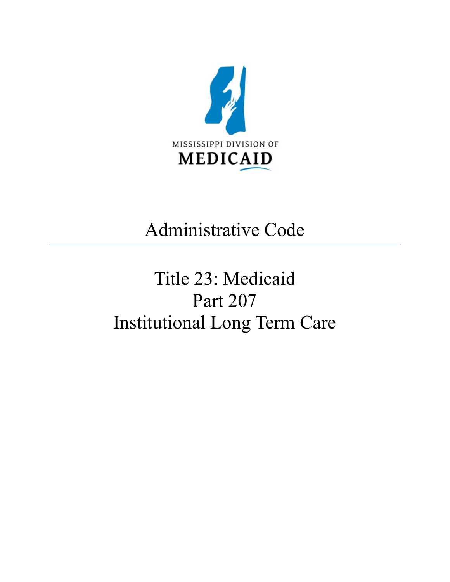<span id="page-0-0"></span>

## Administrative Code

# Title 23: Medicaid Part 207 Institutional Long Term Care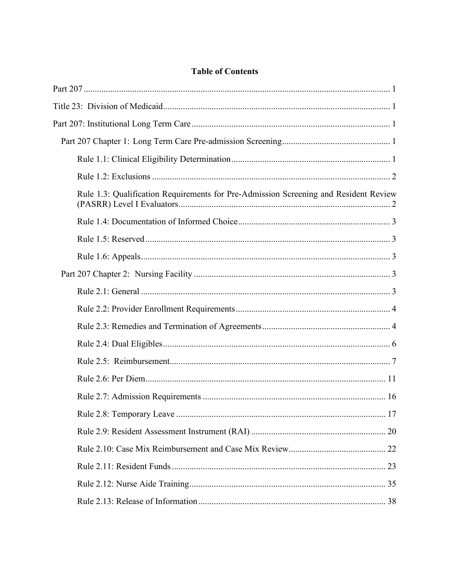### **Table of Contents**

| Rule 1.3: Qualification Requirements for Pre-Admission Screening and Resident Review |  |
|--------------------------------------------------------------------------------------|--|
|                                                                                      |  |
|                                                                                      |  |
|                                                                                      |  |
|                                                                                      |  |
|                                                                                      |  |
|                                                                                      |  |
|                                                                                      |  |
|                                                                                      |  |
|                                                                                      |  |
|                                                                                      |  |
|                                                                                      |  |
|                                                                                      |  |
|                                                                                      |  |
|                                                                                      |  |
|                                                                                      |  |
|                                                                                      |  |
|                                                                                      |  |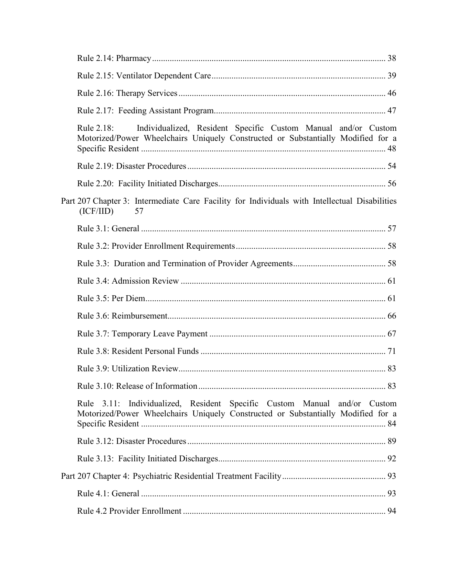| Individualized, Resident Specific Custom Manual and/or Custom<br>Rule 2.18:<br>Motorized/Power Wheelchairs Uniquely Constructed or Substantially Modified for a |
|-----------------------------------------------------------------------------------------------------------------------------------------------------------------|
|                                                                                                                                                                 |
|                                                                                                                                                                 |
| Part 207 Chapter 3: Intermediate Care Facility for Individuals with Intellectual Disabilities<br>(ICF/IID)<br>57                                                |
|                                                                                                                                                                 |
|                                                                                                                                                                 |
|                                                                                                                                                                 |
|                                                                                                                                                                 |
|                                                                                                                                                                 |
|                                                                                                                                                                 |
|                                                                                                                                                                 |
|                                                                                                                                                                 |
|                                                                                                                                                                 |
|                                                                                                                                                                 |
| Rule 3.11: Individualized, Resident Specific Custom Manual and/or Custom<br>Motorized/Power Wheelchairs Uniquely Constructed or Substantially Modified for a    |
|                                                                                                                                                                 |
|                                                                                                                                                                 |
|                                                                                                                                                                 |
|                                                                                                                                                                 |
|                                                                                                                                                                 |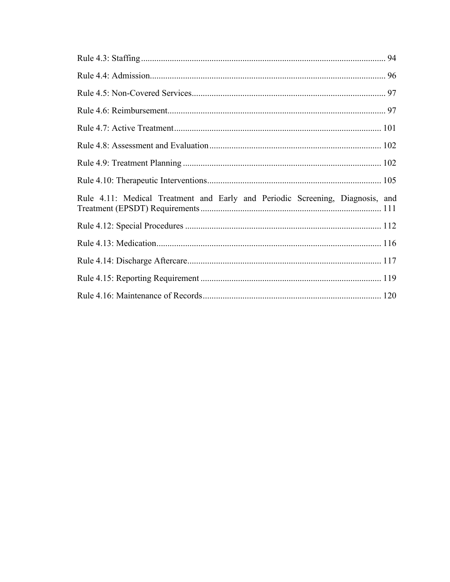| Rule 4.11: Medical Treatment and Early and Periodic Screening, Diagnosis, and |  |
|-------------------------------------------------------------------------------|--|
|                                                                               |  |
|                                                                               |  |
|                                                                               |  |
|                                                                               |  |
|                                                                               |  |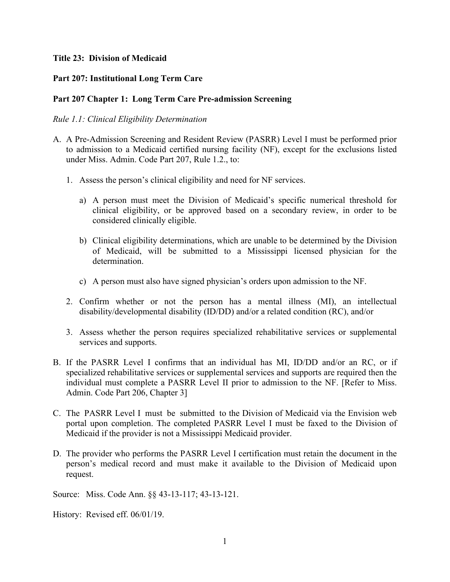#### <span id="page-4-0"></span>**Title 23: Division of Medicaid**

#### <span id="page-4-1"></span>**Part 207: Institutional Long Term Care**

#### <span id="page-4-2"></span>**Part 207 Chapter 1: Long Term Care Pre-admission Screening**

#### <span id="page-4-3"></span>*Rule 1.1: Clinical Eligibility Determination*

- A. A Pre-Admission Screening and Resident Review (PASRR) Level I must be performed prior to admission to a Medicaid certified nursing facility (NF), except for the exclusions listed under Miss. Admin. Code Part 207, Rule 1.2., to:
	- 1. Assess the person's clinical eligibility and need for NF services.
		- a) A person must meet the Division of Medicaid's specific numerical threshold for clinical eligibility, or be approved based on a secondary review, in order to be considered clinically eligible.
		- b) Clinical eligibility determinations, which are unable to be determined by the Division of Medicaid, will be submitted to a Mississippi licensed physician for the determination.
		- c) A person must also have signed physician's orders upon admission to the NF.
	- 2. Confirm whether or not the person has a mental illness (MI), an intellectual disability/developmental disability (ID/DD) and/or a related condition (RC), and/or
	- 3. Assess whether the person requires specialized rehabilitative services or supplemental services and supports.
- B. If the PASRR Level I confirms that an individual has MI, ID/DD and/or an RC, or if specialized rehabilitative services or supplemental services and supports are required then the individual must complete a PASRR Level II prior to admission to the NF. [Refer to Miss. Admin. Code Part 206, Chapter 3]
- C. The PASRR Level I must be submitted to the Division of Medicaid via the Envision web portal upon completion. The completed PASRR Level I must be faxed to the Division of Medicaid if the provider is not a Mississippi Medicaid provider.
- D. The provider who performs the PASRR Level I certification must retain the document in the person's medical record and must make it available to the Division of Medicaid upon request.

Source: Miss. Code Ann. §§ 43-13-117; 43-13-121.

History: Revised eff. 06/01/19.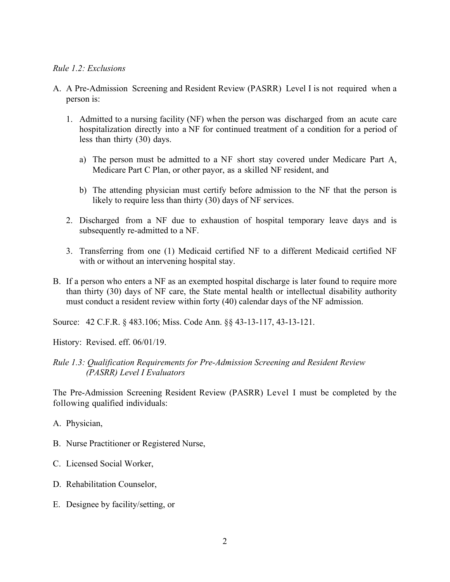#### <span id="page-5-0"></span>*Rule 1.2: Exclusions*

- A. A Pre-Admission Screening and Resident Review (PASRR) Level I is not required when a person is:
	- 1. Admitted to a nursing facility (NF) when the person was discharged from an acute care hospitalization directly into a NF for continued treatment of a condition for a period of less than thirty (30) days.
		- a) The person must be admitted to a NF short stay covered under Medicare Part A, Medicare Part C Plan, or other payor, as a skilled NF resident, and
		- b) The attending physician must certify before admission to the NF that the person is likely to require less than thirty (30) days of NF services.
	- 2. Discharged from a NF due to exhaustion of hospital temporary leave days and is subsequently re-admitted to a NF.
	- 3. Transferring from one (1) Medicaid certified NF to a different Medicaid certified NF with or without an intervening hospital stay.
- B. If a person who enters a NF as an exempted hospital discharge is later found to require more than thirty (30) days of NF care, the State mental health or intellectual disability authority must conduct a resident review within forty (40) calendar days of the NF admission.

Source: 42 C.F.R. § 483.106; Miss. Code Ann. §§ 43-13-117, 43-13-121.

History: Revised. eff. 06/01/19.

#### <span id="page-5-1"></span>*Rule 1.3: Qualification Requirements for Pre-Admission Screening and Resident Review (PASRR) Level I Evaluators*

The Pre-Admission Screening Resident Review (PASRR) Level I must be completed by the following qualified individuals:

- A. Physician,
- B. Nurse Practitioner or Registered Nurse,
- C. Licensed Social Worker,
- D. Rehabilitation Counselor,
- E. Designee by facility/setting, or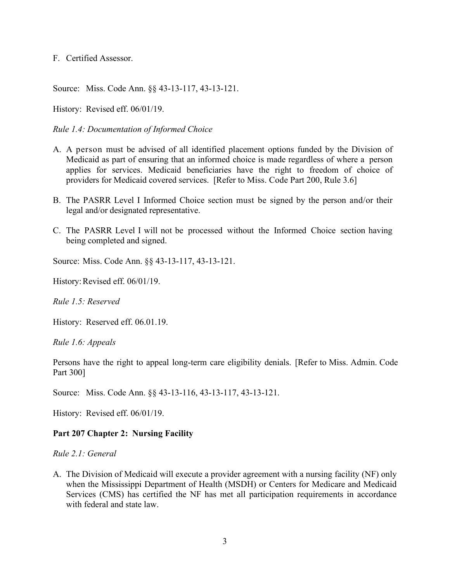F. Certified Assessor.

Source: Miss. Code Ann. §§ 43-13-117, 43-13-121.

History: Revised eff. 06/01/19.

<span id="page-6-0"></span>*Rule 1.4: Documentation of Informed Choice*

- A. A person must be advised of all identified placement options funded by the Division of Medicaid as part of ensuring that an informed choice is made regardless of where a person applies for services. Medicaid beneficiaries have the right to freedom of choice of providers for Medicaid covered services. [Refer to Miss. Code Part 200, Rule 3.6]
- B. The PASRR Level I Informed Choice section must be signed by the person and/or their legal and/or designated representative.
- C. The PASRR Level I will not be processed without the Informed Choice section having being completed and signed.

Source: Miss. Code Ann. §§ 43-13-117, 43-13-121.

History: Revised eff. 06/01/19.

<span id="page-6-1"></span>*Rule 1.5: Reserved*

History: Reserved eff. 06.01.19.

<span id="page-6-2"></span>*Rule 1.6: Appeals*

Persons have the right to appeal long-term care eligibility denials. [Refer to Miss. Admin. Code Part 300]

Source: Miss. Code Ann. §§ 43-13-116, 43-13-117, 43-13-121.

History: Revised eff. 06/01/19.

#### <span id="page-6-3"></span>**Part 207 Chapter 2: Nursing Facility**

<span id="page-6-4"></span>*Rule 2.1: General*

A. The Division of Medicaid will execute a provider agreement with a nursing facility (NF) only when the Mississippi Department of Health (MSDH) or Centers for Medicare and Medicaid Services (CMS) has certified the NF has met all participation requirements in accordance with federal and state law.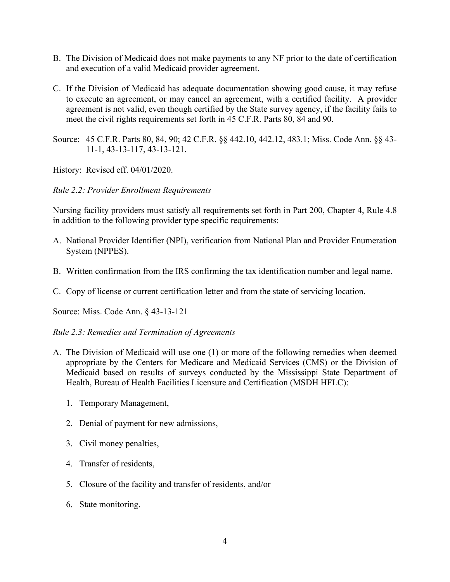- B. The Division of Medicaid does not make payments to any NF prior to the date of certification and execution of a valid Medicaid provider agreement.
- C. If the Division of Medicaid has adequate documentation showing good cause, it may refuse to execute an agreement, or may cancel an agreement, with a certified facility. A provider agreement is not valid, even though certified by the State survey agency, if the facility fails to meet the civil rights requirements set forth in 45 C.F.R. Parts 80, 84 and 90.
- Source: 45 C.F.R. Parts 80, 84, 90; 42 C.F.R. §§ 442.10, 442.12, 483.1; Miss. Code Ann. §§ 43- 11-1, 43-13-117, 43-13-121.

History: Revised eff. 04/01/2020.

#### <span id="page-7-0"></span>*Rule 2.2: Provider Enrollment Requirements*

Nursing facility providers must satisfy all requirements set forth in Part 200, Chapter 4, Rule 4.8 in addition to the following provider type specific requirements:

- A. National Provider Identifier (NPI), verification from National Plan and Provider Enumeration System (NPPES).
- B. Written confirmation from the IRS confirming the tax identification number and legal name.
- C. Copy of license or current certification letter and from the state of servicing location.

Source: Miss. Code Ann. § 43-13-121

#### <span id="page-7-1"></span>*Rule 2.3: Remedies and Termination of Agreements*

- A. The Division of Medicaid will use one (1) or more of the following remedies when deemed appropriate by the Centers for Medicare and Medicaid Services (CMS) or the Division of Medicaid based on results of surveys conducted by the Mississippi State Department of Health, Bureau of Health Facilities Licensure and Certification (MSDH HFLC):
	- 1. Temporary Management,
	- 2. Denial of payment for new admissions,
	- 3. Civil money penalties,
	- 4. Transfer of residents,
	- 5. Closure of the facility and transfer of residents, and/or
	- 6. State monitoring.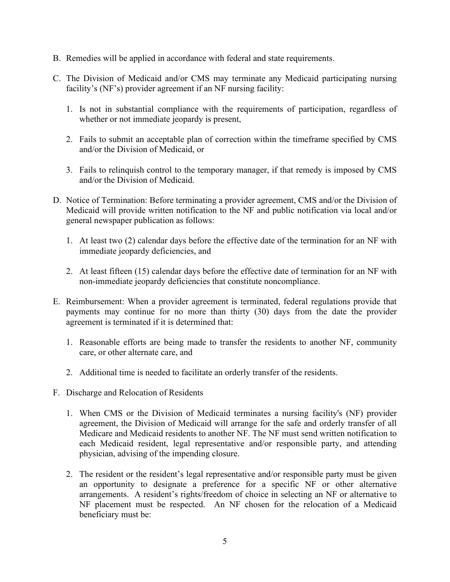- B. Remedies will be applied in accordance with federal and state requirements.
- C. The Division of Medicaid and/or CMS may terminate any Medicaid participating nursing facility's (NF's) provider agreement if an NF nursing facility:
	- 1. Is not in substantial compliance with the requirements of participation, regardless of whether or not immediate jeopardy is present,
	- 2. Fails to submit an acceptable plan of correction within the timeframe specified by CMS and/or the Division of Medicaid, or
	- 3. Fails to relinquish control to the temporary manager, if that remedy is imposed by CMS and/or the Division of Medicaid.
- D. Notice of Termination: Before terminating a provider agreement, CMS and/or the Division of Medicaid will provide written notification to the NF and public notification via local and/or general newspaper publication as follows:
	- 1. At least two (2) calendar days before the effective date of the termination for an NF with immediate jeopardy deficiencies, and
	- 2. At least fifteen (15) calendar days before the effective date of termination for an NF with non-immediate jeopardy deficiencies that constitute noncompliance.
- E. Reimbursement: When a provider agreement is terminated, federal regulations provide that payments may continue for no more than thirty (30) days from the date the provider agreement is terminated if it is determined that:
	- 1. Reasonable efforts are being made to transfer the residents to another NF, community care, or other alternate care, and
	- 2. Additional time is needed to facilitate an orderly transfer of the residents.
- F. Discharge and Relocation of Residents
	- 1. When CMS or the Division of Medicaid terminates a nursing facility's (NF) provider agreement, the Division of Medicaid will arrange for the safe and orderly transfer of all Medicare and Medicaid residents to another NF. The NF must send written notification to each Medicaid resident, legal representative and/or responsible party, and attending physician, advising of the impending closure.
	- 2. The resident or the resident's legal representative and/or responsible party must be given an opportunity to designate a preference for a specific NF or other alternative arrangements. A resident's rights/freedom of choice in selecting an NF or alternative to NF placement must be respected. An NF chosen for the relocation of a Medicaid beneficiary must be: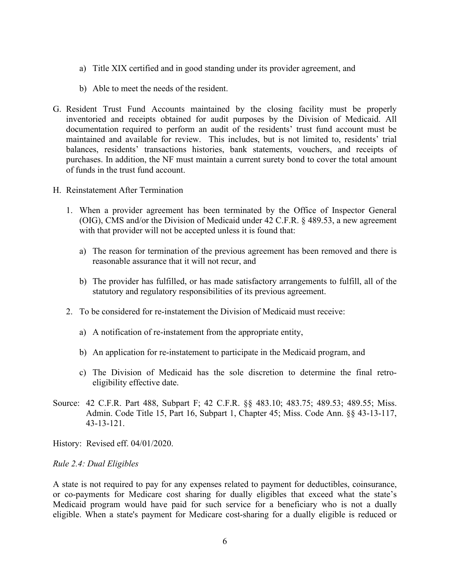- a) Title XIX certified and in good standing under its provider agreement, and
- b) Able to meet the needs of the resident.
- G. Resident Trust Fund Accounts maintained by the closing facility must be properly inventoried and receipts obtained for audit purposes by the Division of Medicaid. All documentation required to perform an audit of the residents' trust fund account must be maintained and available for review. This includes, but is not limited to, residents' trial balances, residents' transactions histories, bank statements, vouchers, and receipts of purchases. In addition, the NF must maintain a current surety bond to cover the total amount of funds in the trust fund account.
- H. Reinstatement After Termination
	- 1. When a provider agreement has been terminated by the Office of Inspector General (OIG), CMS and/or the Division of Medicaid under 42 C.F.R. § 489.53, a new agreement with that provider will not be accepted unless it is found that:
		- a) The reason for termination of the previous agreement has been removed and there is reasonable assurance that it will not recur, and
		- b) The provider has fulfilled, or has made satisfactory arrangements to fulfill, all of the statutory and regulatory responsibilities of its previous agreement.
	- 2. To be considered for re-instatement the Division of Medicaid must receive:
		- a) A notification of re-instatement from the appropriate entity,
		- b) An application for re-instatement to participate in the Medicaid program, and
		- c) The Division of Medicaid has the sole discretion to determine the final retroeligibility effective date.
- Source: 42 C.F.R. Part 488, Subpart F; 42 C.F.R. §§ 483.10; 483.75; 489.53; 489.55; Miss. Admin. Code Title 15, Part 16, Subpart 1, Chapter 45; Miss. Code Ann. §§ 43-13-117, 43-13-121.

History: Revised eff. 04/01/2020.

#### <span id="page-9-0"></span>*Rule 2.4: Dual Eligibles*

A state is not required to pay for any expenses related to payment for deductibles, coinsurance, or co-payments for Medicare cost sharing for dually eligibles that exceed what the state's Medicaid program would have paid for such service for a beneficiary who is not a dually eligible. When a state's payment for Medicare cost-sharing for a dually eligible is reduced or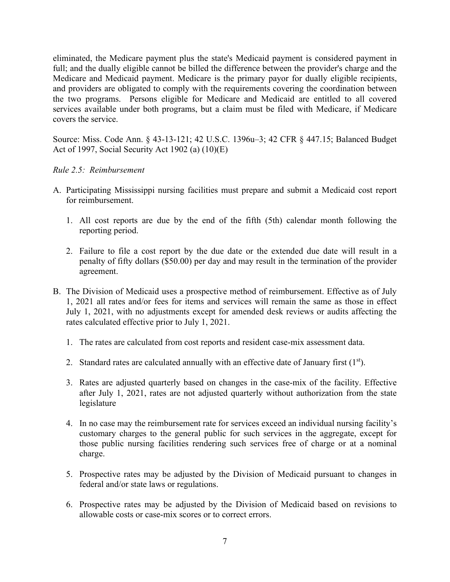eliminated, the Medicare payment plus the state's Medicaid payment is considered payment in full; and the dually eligible cannot be billed the difference between the provider's charge and the Medicare and Medicaid payment. Medicare is the primary payor for dually eligible recipients, and providers are obligated to comply with the requirements covering the coordination between the two programs. Persons eligible for Medicare and Medicaid are entitled to all covered services available under both programs, but a claim must be filed with Medicare, if Medicare covers the service.

Source: Miss. Code Ann. § 43-13-121; 42 U.S.C. 1396u–3; 42 CFR § 447.15; Balanced Budget Act of 1997, Social Security Act 1902 (a) (10)(E)

#### <span id="page-10-0"></span>*Rule 2.5: Reimbursement*

- A. Participating Mississippi nursing facilities must prepare and submit a Medicaid cost report for reimbursement.
	- 1. All cost reports are due by the end of the fifth (5th) calendar month following the reporting period.
	- 2. Failure to file a cost report by the due date or the extended due date will result in a penalty of fifty dollars (\$50.00) per day and may result in the termination of the provider agreement.
- B. The Division of Medicaid uses a prospective method of reimbursement. Effective as of July 1, 2021 all rates and/or fees for items and services will remain the same as those in effect July 1, 2021, with no adjustments except for amended desk reviews or audits affecting the rates calculated effective prior to July 1, 2021.
	- 1. The rates are calculated from cost reports and resident case-mix assessment data.
	- 2. Standard rates are calculated annually with an effective date of January first  $(1<sup>st</sup>)$ .
	- 3. Rates are adjusted quarterly based on changes in the case-mix of the facility. Effective after July 1, 2021, rates are not adjusted quarterly without authorization from the state legislature
	- 4. In no case may the reimbursement rate for services exceed an individual nursing facility's customary charges to the general public for such services in the aggregate, except for those public nursing facilities rendering such services free of charge or at a nominal charge.
	- 5. Prospective rates may be adjusted by the Division of Medicaid pursuant to changes in federal and/or state laws or regulations.
	- 6. Prospective rates may be adjusted by the Division of Medicaid based on revisions to allowable costs or case-mix scores or to correct errors.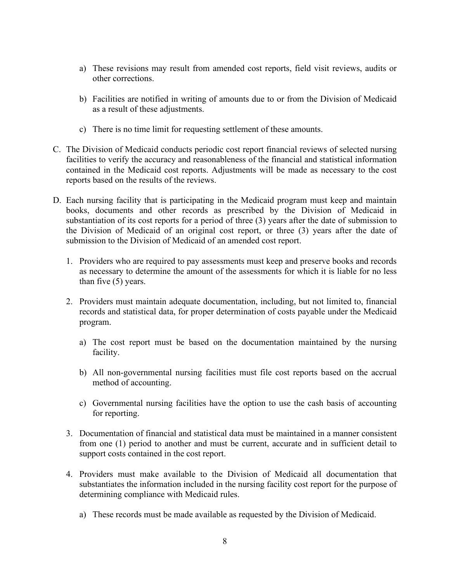- a) These revisions may result from amended cost reports, field visit reviews, audits or other corrections.
- b) Facilities are notified in writing of amounts due to or from the Division of Medicaid as a result of these adjustments.
- c) There is no time limit for requesting settlement of these amounts.
- C. The Division of Medicaid conducts periodic cost report financial reviews of selected nursing facilities to verify the accuracy and reasonableness of the financial and statistical information contained in the Medicaid cost reports. Adjustments will be made as necessary to the cost reports based on the results of the reviews.
- D. Each nursing facility that is participating in the Medicaid program must keep and maintain books, documents and other records as prescribed by the Division of Medicaid in substantiation of its cost reports for a period of three (3) years after the date of submission to the Division of Medicaid of an original cost report, or three (3) years after the date of submission to the Division of Medicaid of an amended cost report.
	- 1. Providers who are required to pay assessments must keep and preserve books and records as necessary to determine the amount of the assessments for which it is liable for no less than five (5) years.
	- 2. Providers must maintain adequate documentation, including, but not limited to, financial records and statistical data, for proper determination of costs payable under the Medicaid program.
		- a) The cost report must be based on the documentation maintained by the nursing facility.
		- b) All non-governmental nursing facilities must file cost reports based on the accrual method of accounting.
		- c) Governmental nursing facilities have the option to use the cash basis of accounting for reporting.
	- 3. Documentation of financial and statistical data must be maintained in a manner consistent from one (1) period to another and must be current, accurate and in sufficient detail to support costs contained in the cost report.
	- 4. Providers must make available to the Division of Medicaid all documentation that substantiates the information included in the nursing facility cost report for the purpose of determining compliance with Medicaid rules.
		- a) These records must be made available as requested by the Division of Medicaid.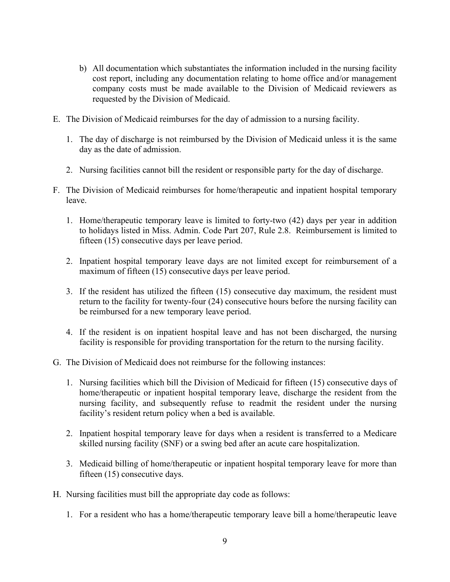- b) All documentation which substantiates the information included in the nursing facility cost report, including any documentation relating to home office and/or management company costs must be made available to the Division of Medicaid reviewers as requested by the Division of Medicaid.
- E. The Division of Medicaid reimburses for the day of admission to a nursing facility.
	- 1. The day of discharge is not reimbursed by the Division of Medicaid unless it is the same day as the date of admission.
	- 2. Nursing facilities cannot bill the resident or responsible party for the day of discharge.
- F. The Division of Medicaid reimburses for home/therapeutic and inpatient hospital temporary leave.
	- 1. Home/therapeutic temporary leave is limited to forty-two (42) days per year in addition to holidays listed in Miss. Admin. Code Part 207, Rule 2.8. Reimbursement is limited to fifteen (15) consecutive days per leave period.
	- 2. Inpatient hospital temporary leave days are not limited except for reimbursement of a maximum of fifteen (15) consecutive days per leave period.
	- 3. If the resident has utilized the fifteen (15) consecutive day maximum, the resident must return to the facility for twenty-four (24) consecutive hours before the nursing facility can be reimbursed for a new temporary leave period.
	- 4. If the resident is on inpatient hospital leave and has not been discharged, the nursing facility is responsible for providing transportation for the return to the nursing facility.
- G. The Division of Medicaid does not reimburse for the following instances:
	- 1. Nursing facilities which bill the Division of Medicaid for fifteen (15) consecutive days of home/therapeutic or inpatient hospital temporary leave, discharge the resident from the nursing facility, and subsequently refuse to readmit the resident under the nursing facility's resident return policy when a bed is available.
	- 2. Inpatient hospital temporary leave for days when a resident is transferred to a Medicare skilled nursing facility (SNF) or a swing bed after an acute care hospitalization.
	- 3. Medicaid billing of home/therapeutic or inpatient hospital temporary leave for more than fifteen (15) consecutive days.
- H. Nursing facilities must bill the appropriate day code as follows:
	- 1. For a resident who has a home/therapeutic temporary leave bill a home/therapeutic leave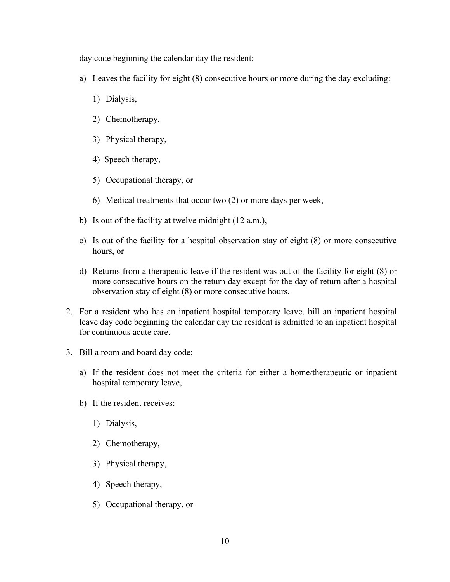day code beginning the calendar day the resident:

- a) Leaves the facility for eight (8) consecutive hours or more during the day excluding:
	- 1) Dialysis,
	- 2) Chemotherapy,
	- 3) Physical therapy,
	- 4) Speech therapy,
	- 5) Occupational therapy, or
	- 6) Medical treatments that occur two (2) or more days per week,
- b) Is out of the facility at twelve midnight (12 a.m.),
- c) Is out of the facility for a hospital observation stay of eight (8) or more consecutive hours, or
- d) Returns from a therapeutic leave if the resident was out of the facility for eight (8) or more consecutive hours on the return day except for the day of return after a hospital observation stay of eight (8) or more consecutive hours.
- 2. For a resident who has an inpatient hospital temporary leave, bill an inpatient hospital leave day code beginning the calendar day the resident is admitted to an inpatient hospital for continuous acute care.
- 3. Bill a room and board day code:
	- a) If the resident does not meet the criteria for either a home/therapeutic or inpatient hospital temporary leave,
	- b) If the resident receives:
		- 1) Dialysis,
		- 2) Chemotherapy,
		- 3) Physical therapy,
		- 4) Speech therapy,
		- 5) Occupational therapy, or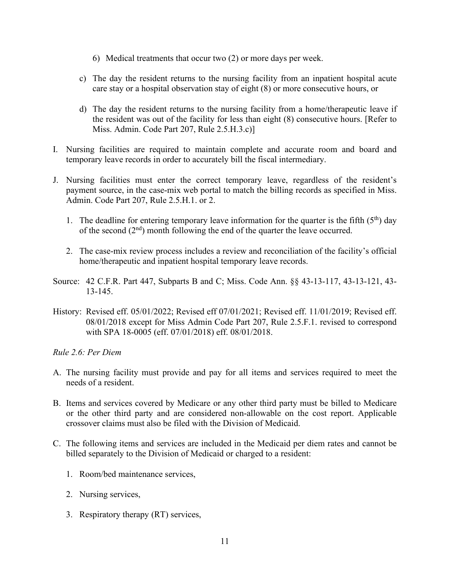- 6) Medical treatments that occur two (2) or more days per week.
- c) The day the resident returns to the nursing facility from an inpatient hospital acute care stay or a hospital observation stay of eight (8) or more consecutive hours, or
- d) The day the resident returns to the nursing facility from a home/therapeutic leave if the resident was out of the facility for less than eight (8) consecutive hours. [Refer to Miss. Admin. Code Part 207, Rule 2.5.H.3.c)]
- I. Nursing facilities are required to maintain complete and accurate room and board and temporary leave records in order to accurately bill the fiscal intermediary.
- J. Nursing facilities must enter the correct temporary leave, regardless of the resident's payment source, in the case-mix web portal to match the billing records as specified in Miss. Admin. Code Part 207, Rule 2.5.H.1. or 2.
	- 1. The deadline for entering temporary leave information for the quarter is the fifth  $(5<sup>th</sup>)$  day of the second  $(2<sup>nd</sup>)$  month following the end of the quarter the leave occurred.
	- 2. The case-mix review process includes a review and reconciliation of the facility's official home/therapeutic and inpatient hospital temporary leave records.
- Source: 42 C.F.R. Part 447, Subparts B and C; Miss. Code Ann. §§ 43-13-117, 43-13-121, 43- 13-145.
- History: Revised eff. 05/01/2022; Revised eff 07/01/2021; Revised eff. 11/01/2019; Revised eff. 08/01/2018 except for Miss Admin Code Part 207, Rule 2.5.F.1. revised to correspond with SPA 18-0005 (eff. 07/01/2018) eff. 08/01/2018.

<span id="page-14-0"></span>*Rule 2.6: Per Diem*

- A. The nursing facility must provide and pay for all items and services required to meet the needs of a resident.
- B. Items and services covered by Medicare or any other third party must be billed to Medicare or the other third party and are considered non-allowable on the cost report. Applicable crossover claims must also be filed with the Division of Medicaid.
- C. The following items and services are included in the Medicaid per diem rates and cannot be billed separately to the Division of Medicaid or charged to a resident:
	- 1. Room/bed maintenance services,
	- 2. Nursing services,
	- 3. Respiratory therapy (RT) services,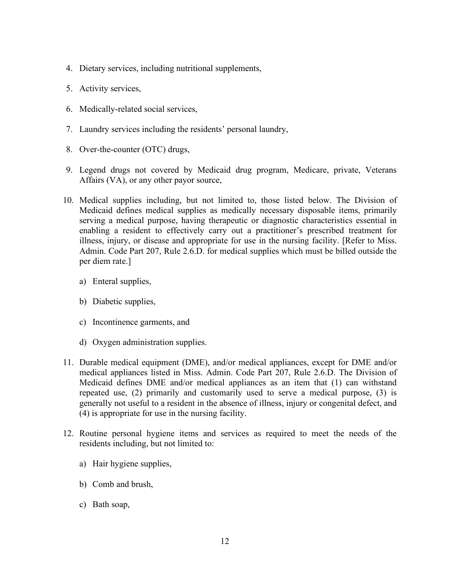- 4. Dietary services, including nutritional supplements,
- 5. Activity services,
- 6. Medically-related social services,
- 7. Laundry services including the residents' personal laundry,
- 8. Over-the-counter (OTC) drugs,
- 9. Legend drugs not covered by Medicaid drug program, Medicare, private, Veterans Affairs (VA), or any other payor source,
- 10. Medical supplies including, but not limited to, those listed below. The Division of Medicaid defines medical supplies as medically necessary disposable items, primarily serving a medical purpose, having therapeutic or diagnostic characteristics essential in enabling a resident to effectively carry out a practitioner's prescribed treatment for illness, injury, or disease and appropriate for use in the nursing facility. [Refer to Miss. Admin. Code Part 207, Rule 2.6.D. for medical supplies which must be billed outside the per diem rate.]
	- a) Enteral supplies,
	- b) Diabetic supplies,
	- c) Incontinence garments, and
	- d) Oxygen administration supplies.
- 11. Durable medical equipment (DME), and/or medical appliances, except for DME and/or medical appliances listed in Miss. Admin. Code Part 207, Rule 2.6.D. The Division of Medicaid defines DME and/or medical appliances as an item that (1) can withstand repeated use, (2) primarily and customarily used to serve a medical purpose, (3) is generally not useful to a resident in the absence of illness, injury or congenital defect, and (4) is appropriate for use in the nursing facility.
- 12. Routine personal hygiene items and services as required to meet the needs of the residents including, but not limited to:
	- a) Hair hygiene supplies,
	- b) Comb and brush,
	- c) Bath soap,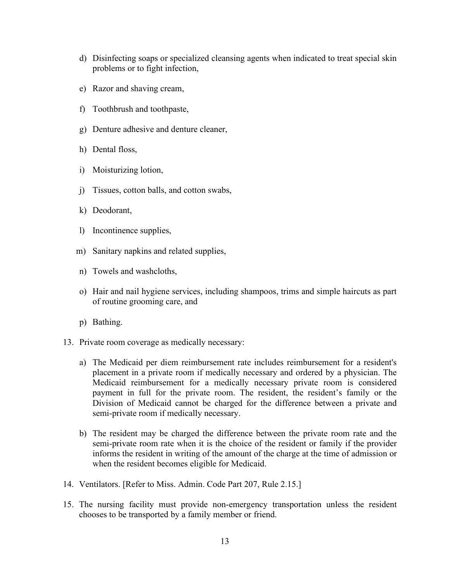- d) Disinfecting soaps or specialized cleansing agents when indicated to treat special skin problems or to fight infection,
- e) Razor and shaving cream,
- f) Toothbrush and toothpaste,
- g) Denture adhesive and denture cleaner,
- h) Dental floss,
- i) Moisturizing lotion,
- j) Tissues, cotton balls, and cotton swabs,
- k) Deodorant,
- l) Incontinence supplies,
- m) Sanitary napkins and related supplies,
- n) Towels and washcloths,
- o) Hair and nail hygiene services, including shampoos, trims and simple haircuts as part of routine grooming care, and
- p) Bathing.
- 13. Private room coverage as medically necessary:
	- a) The Medicaid per diem reimbursement rate includes reimbursement for a resident's placement in a private room if medically necessary and ordered by a physician. The Medicaid reimbursement for a medically necessary private room is considered payment in full for the private room. The resident, the resident's family or the Division of Medicaid cannot be charged for the difference between a private and semi-private room if medically necessary.
	- b) The resident may be charged the difference between the private room rate and the semi-private room rate when it is the choice of the resident or family if the provider informs the resident in writing of the amount of the charge at the time of admission or when the resident becomes eligible for Medicaid.
- 14. Ventilators. [Refer to Miss. Admin. Code Part 207, Rule 2.15.]
- 15. The nursing facility must provide non-emergency transportation unless the resident chooses to be transported by a family member or friend.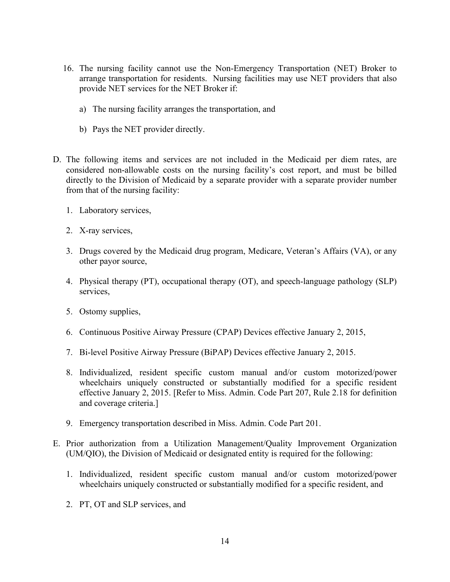- 16. The nursing facility cannot use the Non-Emergency Transportation (NET) Broker to arrange transportation for residents. Nursing facilities may use NET providers that also provide NET services for the NET Broker if:
	- a) The nursing facility arranges the transportation, and
	- b) Pays the NET provider directly.
- D. The following items and services are not included in the Medicaid per diem rates, are considered non-allowable costs on the nursing facility's cost report, and must be billed directly to the Division of Medicaid by a separate provider with a separate provider number from that of the nursing facility:
	- 1. Laboratory services,
	- 2. X-ray services,
	- 3. Drugs covered by the Medicaid drug program, Medicare, Veteran's Affairs (VA), or any other payor source,
	- 4. Physical therapy (PT), occupational therapy (OT), and speech-language pathology (SLP) services,
	- 5. Ostomy supplies,
	- 6. Continuous Positive Airway Pressure (CPAP) Devices effective January 2, 2015,
	- 7. Bi-level Positive Airway Pressure (BiPAP) Devices effective January 2, 2015.
	- 8. Individualized, resident specific custom manual and/or custom motorized/power wheelchairs uniquely constructed or substantially modified for a specific resident effective January 2, 2015. [Refer to Miss. Admin. Code Part 207, Rule 2.18 for definition and coverage criteria.]
	- 9. Emergency transportation described in Miss. Admin. Code Part 201.
- E. Prior authorization from a Utilization Management/Quality Improvement Organization (UM/QIO), the Division of Medicaid or designated entity is required for the following:
	- 1. Individualized, resident specific custom manual and/or custom motorized/power wheelchairs uniquely constructed or substantially modified for a specific resident, and
	- 2. PT, OT and SLP services, and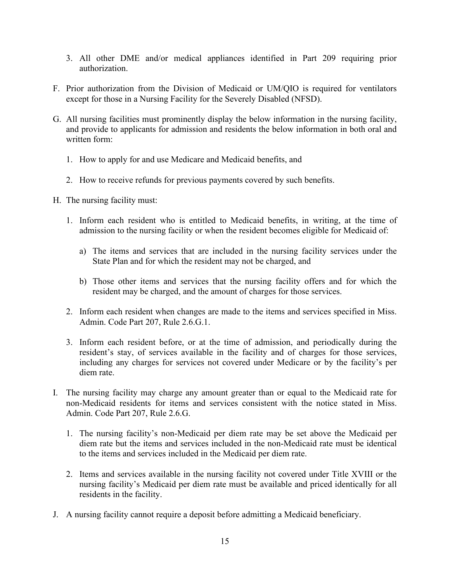- 3. All other DME and/or medical appliances identified in Part 209 requiring prior authorization.
- F. Prior authorization from the Division of Medicaid or UM/QIO is required for ventilators except for those in a Nursing Facility for the Severely Disabled (NFSD).
- G. All nursing facilities must prominently display the below information in the nursing facility, and provide to applicants for admission and residents the below information in both oral and written form:
	- 1. How to apply for and use Medicare and Medicaid benefits, and
	- 2. How to receive refunds for previous payments covered by such benefits.
- H. The nursing facility must:
	- 1. Inform each resident who is entitled to Medicaid benefits, in writing, at the time of admission to the nursing facility or when the resident becomes eligible for Medicaid of:
		- a) The items and services that are included in the nursing facility services under the State Plan and for which the resident may not be charged, and
		- b) Those other items and services that the nursing facility offers and for which the resident may be charged, and the amount of charges for those services.
	- 2. Inform each resident when changes are made to the items and services specified in Miss. Admin. Code Part 207, Rule 2.6.G.1.
	- 3. Inform each resident before, or at the time of admission, and periodically during the resident's stay, of services available in the facility and of charges for those services, including any charges for services not covered under Medicare or by the facility's per diem rate.
- I. The nursing facility may charge any amount greater than or equal to the Medicaid rate for non-Medicaid residents for items and services consistent with the notice stated in Miss. Admin. Code Part 207, Rule 2.6.G.
	- 1. The nursing facility's non-Medicaid per diem rate may be set above the Medicaid per diem rate but the items and services included in the non-Medicaid rate must be identical to the items and services included in the Medicaid per diem rate.
	- 2. Items and services available in the nursing facility not covered under Title XVIII or the nursing facility's Medicaid per diem rate must be available and priced identically for all residents in the facility.
- J. A nursing facility cannot require a deposit before admitting a Medicaid beneficiary.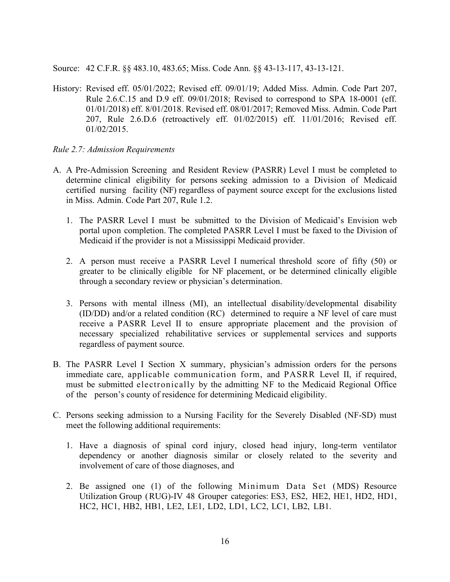Source: 42 C.F.R. §§ 483.10, 483.65; Miss. Code Ann. §§ 43-13-117, 43-13-121.

History: Revised eff. 05/01/2022; Revised eff. 09/01/19; Added Miss. Admin. Code Part 207, Rule 2.6.C.15 and D.9 eff. 09/01/2018; Revised to correspond to SPA 18-0001 (eff. 01/01/2018) eff. 8/01/2018. Revised eff. 08/01/2017; Removed Miss. Admin. Code Part 207, Rule 2.6.D.6 (retroactively eff. 01/02/2015) eff. 11/01/2016; Revised eff. 01/02/2015.

#### <span id="page-19-0"></span>*Rule 2.7: Admission Requirements*

- A. A Pre-Admission Screening and Resident Review (PASRR) Level I must be completed to determine clinical eligibility for persons seeking admission to a Division of Medicaid certified nursing facility (NF) regardless of payment source except for the exclusions listed in Miss. Admin. Code Part 207, Rule 1.2.
	- 1. The PASRR Level I must be submitted to the Division of Medicaid's Envision web portal upon completion. The completed PASRR Level I must be faxed to the Division of Medicaid if the provider is not a Mississippi Medicaid provider.
	- 2. A person must receive a PASRR Level I numerical threshold score of fifty (50) or greater to be clinically eligible for NF placement, or be determined clinically eligible through a secondary review or physician's determination.
	- 3. Persons with mental illness (MI), an intellectual disability/developmental disability (ID/DD) and/or a related condition (RC) determined to require a NF level of care must receive a PASRR Level II to ensure appropriate placement and the provision of necessary specialized rehabilitative services or supplemental services and supports regardless of payment source.
- B. The PASRR Level I Section X summary, physician's admission orders for the persons immediate care, applicable communication form, and PASRR Level II, if required, must be submitted electronically by the admitting NF to the Medicaid Regional Office of the person's county of residence for determining Medicaid eligibility.
- C. Persons seeking admission to a Nursing Facility for the Severely Disabled (NF-SD) must meet the following additional requirements:
	- 1. Have a diagnosis of spinal cord injury, closed head injury, long-term ventilator dependency or another diagnosis similar or closely related to the severity and involvement of care of those diagnoses, and
	- 2. Be assigned one (1) of the following Minimum Data Set (MDS) Resource Utilization Group (RUG)-IV 48 Grouper categories: ES3, ES2, HE2, HE1, HD2, HD1, HC2, HC1, HB2, HB1, LE2, LE1, LD2, LD1, LC2, LC1, LB2, LB1.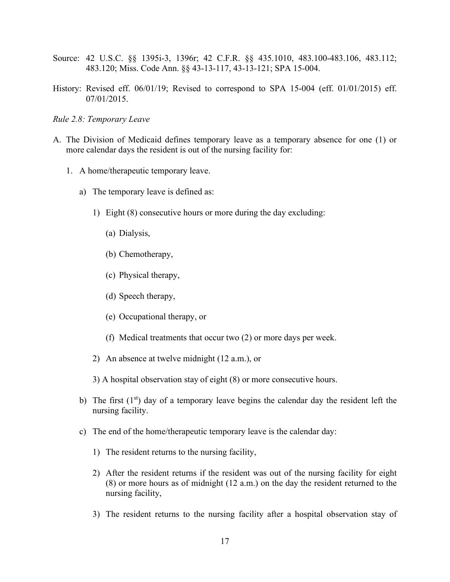- Source: 42 U.S.C. §§ 1395i-3, 1396r; 42 C.F.R. §§ 435.1010, 483.100-483.106, 483.112; 483.120; Miss. Code Ann. §§ 43-13-117, 43-13-121; SPA 15-004.
- History: Revised eff. 06/01/19; Revised to correspond to SPA 15-004 (eff. 01/01/2015) eff. 07/01/2015.

#### <span id="page-20-0"></span>*Rule 2.8: Temporary Leave*

- A. The Division of Medicaid defines temporary leave as a temporary absence for one (1) or more calendar days the resident is out of the nursing facility for:
	- 1. A home/therapeutic temporary leave.
		- a) The temporary leave is defined as:
			- 1) Eight (8) consecutive hours or more during the day excluding:
				- (a) Dialysis,
				- (b) Chemotherapy,
				- (c) Physical therapy,
				- (d) Speech therapy,
				- (e) Occupational therapy, or
				- (f) Medical treatments that occur two (2) or more days per week.
			- 2) An absence at twelve midnight (12 a.m.), or
			- 3) A hospital observation stay of eight (8) or more consecutive hours.
		- b) The first  $(1<sup>st</sup>)$  day of a temporary leave begins the calendar day the resident left the nursing facility.
		- c) The end of the home/therapeutic temporary leave is the calendar day:
			- 1) The resident returns to the nursing facility,
			- 2) After the resident returns if the resident was out of the nursing facility for eight (8) or more hours as of midnight (12 a.m.) on the day the resident returned to the nursing facility,
			- 3) The resident returns to the nursing facility after a hospital observation stay of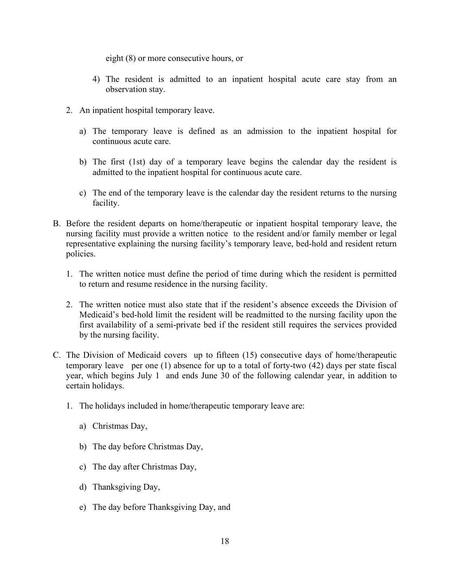eight (8) or more consecutive hours, or

- 4) The resident is admitted to an inpatient hospital acute care stay from an observation stay.
- 2. An inpatient hospital temporary leave.
	- a) The temporary leave is defined as an admission to the inpatient hospital for continuous acute care.
	- b) The first (1st) day of a temporary leave begins the calendar day the resident is admitted to the inpatient hospital for continuous acute care.
	- c) The end of the temporary leave is the calendar day the resident returns to the nursing facility.
- B. Before the resident departs on home/therapeutic or inpatient hospital temporary leave, the nursing facility must provide a written notice to the resident and/or family member or legal representative explaining the nursing facility's temporary leave, bed-hold and resident return policies.
	- 1. The written notice must define the period of time during which the resident is permitted to return and resume residence in the nursing facility.
	- 2. The written notice must also state that if the resident's absence exceeds the Division of Medicaid's bed-hold limit the resident will be readmitted to the nursing facility upon the first availability of a semi-private bed if the resident still requires the services provided by the nursing facility.
- C. The Division of Medicaid covers up to fifteen (15) consecutive days of home/therapeutic temporary leave per one (1) absence for up to a total of forty-two (42) days per state fiscal year, which begins July 1 and ends June 30 of the following calendar year, in addition to certain holidays.
	- 1. The holidays included in home/therapeutic temporary leave are:
		- a) Christmas Day,
		- b) The day before Christmas Day,
		- c) The day after Christmas Day,
		- d) Thanksgiving Day,
		- e) The day before Thanksgiving Day, and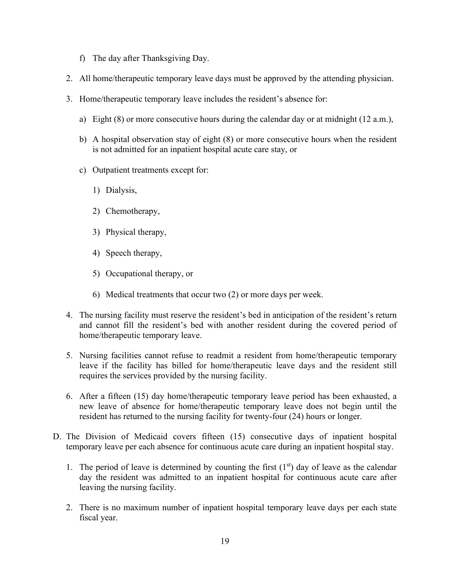- f) The day after Thanksgiving Day.
- 2. All home/therapeutic temporary leave days must be approved by the attending physician.
- 3. Home/therapeutic temporary leave includes the resident's absence for:
	- a) Eight  $(8)$  or more consecutive hours during the calendar day or at midnight  $(12 a.m.).$
	- b) A hospital observation stay of eight (8) or more consecutive hours when the resident is not admitted for an inpatient hospital acute care stay, or
	- c) Outpatient treatments except for:
		- 1) Dialysis,
		- 2) Chemotherapy,
		- 3) Physical therapy,
		- 4) Speech therapy,
		- 5) Occupational therapy, or
		- 6) Medical treatments that occur two (2) or more days per week.
- 4. The nursing facility must reserve the resident's bed in anticipation of the resident's return and cannot fill the resident's bed with another resident during the covered period of home/therapeutic temporary leave.
- 5. Nursing facilities cannot refuse to readmit a resident from home/therapeutic temporary leave if the facility has billed for home/therapeutic leave days and the resident still requires the services provided by the nursing facility.
- 6. After a fifteen (15) day home/therapeutic temporary leave period has been exhausted, a new leave of absence for home/therapeutic temporary leave does not begin until the resident has returned to the nursing facility for twenty-four (24) hours or longer.
- D. The Division of Medicaid covers fifteen (15) consecutive days of inpatient hospital temporary leave per each absence for continuous acute care during an inpatient hospital stay.
	- 1. The period of leave is determined by counting the first  $(1<sup>st</sup>)$  day of leave as the calendar day the resident was admitted to an inpatient hospital for continuous acute care after leaving the nursing facility.
	- 2. There is no maximum number of inpatient hospital temporary leave days per each state fiscal year.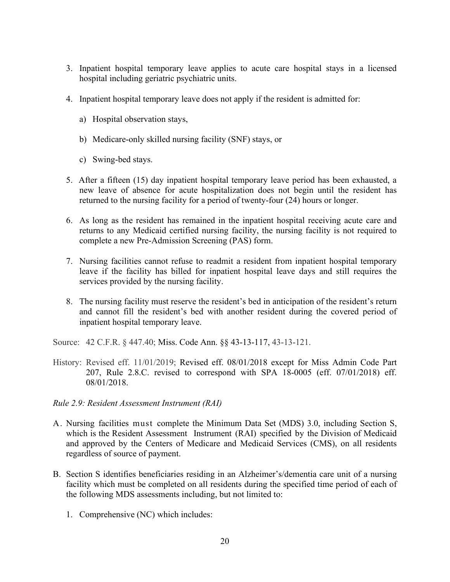- 3. Inpatient hospital temporary leave applies to acute care hospital stays in a licensed hospital including geriatric psychiatric units.
- 4. Inpatient hospital temporary leave does not apply if the resident is admitted for:
	- a) Hospital observation stays,
	- b) Medicare-only skilled nursing facility (SNF) stays, or
	- c) Swing-bed stays.
- 5. After a fifteen (15) day inpatient hospital temporary leave period has been exhausted, a new leave of absence for acute hospitalization does not begin until the resident has returned to the nursing facility for a period of twenty-four (24) hours or longer.
- 6. As long as the resident has remained in the inpatient hospital receiving acute care and returns to any Medicaid certified nursing facility, the nursing facility is not required to complete a new Pre-Admission Screening (PAS) form.
- 7. Nursing facilities cannot refuse to readmit a resident from inpatient hospital temporary leave if the facility has billed for inpatient hospital leave days and still requires the services provided by the nursing facility.
- 8. The nursing facility must reserve the resident's bed in anticipation of the resident's return and cannot fill the resident's bed with another resident during the covered period of inpatient hospital temporary leave.

Source: 42 C.F.R. § 447.40; Miss. Code Ann. §§ 43-13-117, 43-13-121.

- History: Revised eff. 11/01/2019; Revised eff. 08/01/2018 except for Miss Admin Code Part 207, Rule 2.8.C. revised to correspond with SPA 18-0005 (eff. 07/01/2018) eff. 08/01/2018.
- <span id="page-23-0"></span>*Rule 2.9: Resident Assessment Instrument (RAI)*
- A. Nursing facilities must complete the Minimum Data Set (MDS) 3.0, including Section S, which is the Resident Assessment Instrument (RAI) specified by the Division of Medicaid and approved by the Centers of Medicare and Medicaid Services (CMS), on all residents regardless of source of payment.
- B. Section S identifies beneficiaries residing in an Alzheimer's/dementia care unit of a nursing facility which must be completed on all residents during the specified time period of each of the following MDS assessments including, but not limited to:
	- 1. Comprehensive (NC) which includes: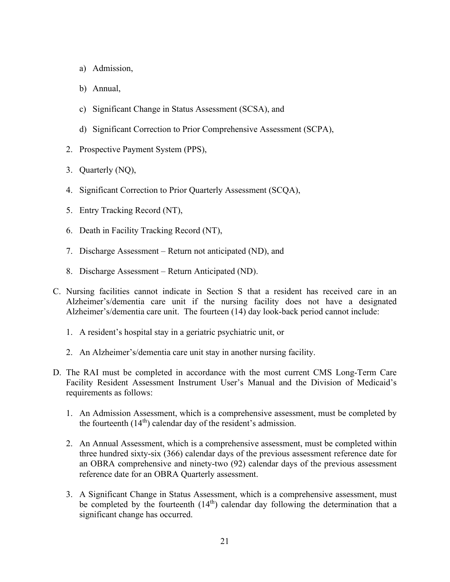- a) Admission,
- b) Annual,
- c) Significant Change in Status Assessment (SCSA), and
- d) Significant Correction to Prior Comprehensive Assessment (SCPA),
- 2. Prospective Payment System (PPS),
- 3. Quarterly (NQ),
- 4. Significant Correction to Prior Quarterly Assessment (SCQA),
- 5. Entry Tracking Record (NT),
- 6. Death in Facility Tracking Record (NT),
- 7. Discharge Assessment Return not anticipated (ND), and
- 8. Discharge Assessment Return Anticipated (ND).
- C. Nursing facilities cannot indicate in Section S that a resident has received care in an Alzheimer's/dementia care unit if the nursing facility does not have a designated Alzheimer's/dementia care unit. The fourteen (14) day look-back period cannot include:
	- 1. A resident's hospital stay in a geriatric psychiatric unit, or
	- 2. An Alzheimer's/dementia care unit stay in another nursing facility.
- D. The RAI must be completed in accordance with the most current CMS Long-Term Care Facility Resident Assessment Instrument User's Manual and the Division of Medicaid's requirements as follows:
	- 1. An Admission Assessment, which is a comprehensive assessment, must be completed by the fourteenth  $(14<sup>th</sup>)$  calendar day of the resident's admission.
	- 2. An Annual Assessment, which is a comprehensive assessment, must be completed within three hundred sixty-six (366) calendar days of the previous assessment reference date for an OBRA comprehensive and ninety-two (92) calendar days of the previous assessment reference date for an OBRA Quarterly assessment.
	- 3. A Significant Change in Status Assessment, which is a comprehensive assessment, must be completed by the fourteenth  $(14<sup>th</sup>)$  calendar day following the determination that a significant change has occurred.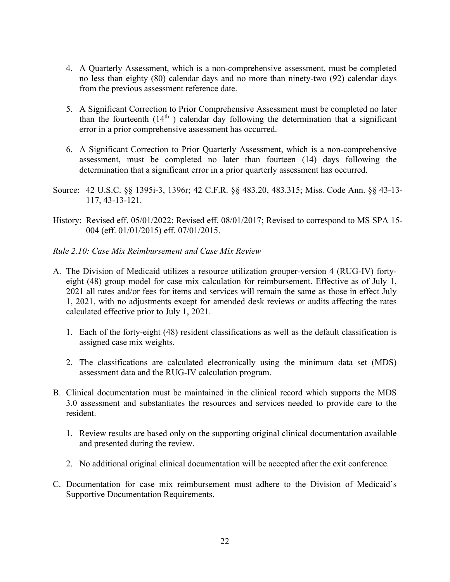- 4. A Quarterly Assessment, which is a non-comprehensive assessment, must be completed no less than eighty (80) calendar days and no more than ninety-two (92) calendar days from the previous assessment reference date.
- 5. A Significant Correction to Prior Comprehensive Assessment must be completed no later than the fourteenth  $(14<sup>th</sup>)$  calendar day following the determination that a significant error in a prior comprehensive assessment has occurred.
- 6. A Significant Correction to Prior Quarterly Assessment, which is a non-comprehensive assessment, must be completed no later than fourteen (14) days following the determination that a significant error in a prior quarterly assessment has occurred.
- Source: [42 U.S.C. §§ 1395i-3,](https://a.next.westlaw.com/Link/Document/FullText?findType=L&pubNum=1000546&cite=42USCAS1395I-3&originatingDoc=ND6B5A4C0513111DFAE16D36C58685461&refType=LQ&originationContext=document&transitionType=DocumentItem&contextData=(sc.Search)) 1396r; 42 C.F.R. §§ 483.20, 483.315; Miss. Code Ann. §§ 43-13- 117, 43-13-121.
- History: Revised eff. 05/01/2022; Revised eff. 08/01/2017; Revised to correspond to MS SPA 15- 004 (eff. 01/01/2015) eff. 07/01/2015.
- <span id="page-25-0"></span>*Rule 2.10: Case Mix Reimbursement and Case Mix Review*
- A. The Division of Medicaid utilizes a resource utilization grouper-version 4 (RUG-IV) fortyeight (48) group model for case mix calculation for reimbursement. Effective as of July 1, 2021 all rates and/or fees for items and services will remain the same as those in effect July 1, 2021, with no adjustments except for amended desk reviews or audits affecting the rates calculated effective prior to July 1, 2021.
	- 1. Each of the forty-eight (48) resident classifications as well as the default classification is assigned case mix weights.
	- 2. The classifications are calculated electronically using the minimum data set (MDS) assessment data and the RUG-IV calculation program.
- B. Clinical documentation must be maintained in the clinical record which supports the MDS 3.0 assessment and substantiates the resources and services needed to provide care to the resident.
	- 1. Review results are based only on the supporting original clinical documentation available and presented during the review.
	- 2. No additional original clinical documentation will be accepted after the exit conference.
- C. Documentation for case mix reimbursement must adhere to the Division of Medicaid's Supportive Documentation Requirements.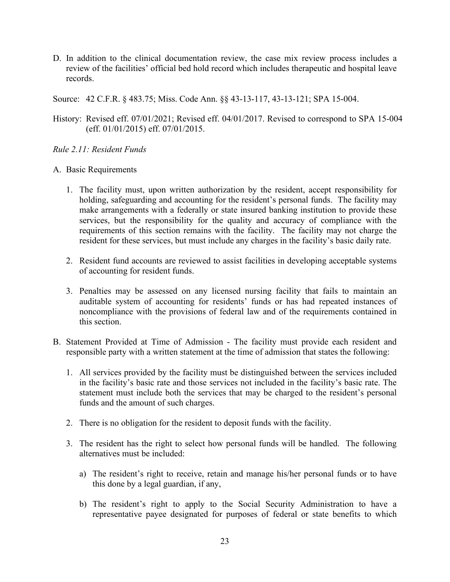D. In addition to the clinical documentation review, the case mix review process includes a review of the facilities' official bed hold record which includes therapeutic and hospital leave records.

Source: 42 C.F.R. § 483.75; Miss. Code Ann. §§ 43-13-117, 43-13-121; SPA 15-004.

History: Revised eff. 07/01/2021; Revised eff. 04/01/2017. Revised to correspond to SPA 15-004 (eff. 01/01/2015) eff. 07/01/2015.

#### <span id="page-26-0"></span>*Rule 2.11: Resident Funds*

#### A. Basic Requirements

- 1. The facility must, upon written authorization by the resident, accept responsibility for holding, safeguarding and accounting for the resident's personal funds. The facility may make arrangements with a federally or state insured banking institution to provide these services, but the responsibility for the quality and accuracy of compliance with the requirements of this section remains with the facility. The facility may not charge the resident for these services, but must include any charges in the facility's basic daily rate.
- 2. Resident fund accounts are reviewed to assist facilities in developing acceptable systems of accounting for resident funds.
- 3. Penalties may be assessed on any licensed nursing facility that fails to maintain an auditable system of accounting for residents' funds or has had repeated instances of noncompliance with the provisions of federal law and of the requirements contained in this section.
- B. Statement Provided at Time of Admission The facility must provide each resident and responsible party with a written statement at the time of admission that states the following:
	- 1. All services provided by the facility must be distinguished between the services included in the facility's basic rate and those services not included in the facility's basic rate. The statement must include both the services that may be charged to the resident's personal funds and the amount of such charges.
	- 2. There is no obligation for the resident to deposit funds with the facility.
	- 3. The resident has the right to select how personal funds will be handled. The following alternatives must be included:
		- a) The resident's right to receive, retain and manage his/her personal funds or to have this done by a legal guardian, if any,
		- b) The resident's right to apply to the Social Security Administration to have a representative payee designated for purposes of federal or state benefits to which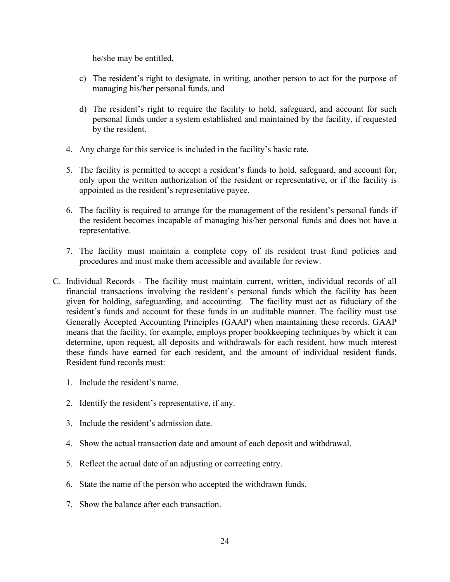he/she may be entitled,

- c) The resident's right to designate, in writing, another person to act for the purpose of managing his/her personal funds, and
- d) The resident's right to require the facility to hold, safeguard, and account for such personal funds under a system established and maintained by the facility, if requested by the resident.
- 4. Any charge for this service is included in the facility's basic rate.
- 5. The facility is permitted to accept a resident's funds to hold, safeguard, and account for, only upon the written authorization of the resident or representative, or if the facility is appointed as the resident's representative payee.
- 6. The facility is required to arrange for the management of the resident's personal funds if the resident becomes incapable of managing his/her personal funds and does not have a representative.
- 7. The facility must maintain a complete copy of its resident trust fund policies and procedures and must make them accessible and available for review.
- C. Individual Records The facility must maintain current, written, individual records of all financial transactions involving the resident's personal funds which the facility has been given for holding, safeguarding, and accounting. The facility must act as fiduciary of the resident's funds and account for these funds in an auditable manner. The facility must use Generally Accepted Accounting Principles (GAAP) when maintaining these records. GAAP means that the facility, for example, employs proper bookkeeping techniques by which it can determine, upon request, all deposits and withdrawals for each resident, how much interest these funds have earned for each resident, and the amount of individual resident funds. Resident fund records must:
	- 1. Include the resident's name.
	- 2. Identify the resident's representative, if any.
	- 3. Include the resident's admission date.
	- 4. Show the actual transaction date and amount of each deposit and withdrawal.
	- 5. Reflect the actual date of an adjusting or correcting entry.
	- 6. State the name of the person who accepted the withdrawn funds.
	- 7. Show the balance after each transaction.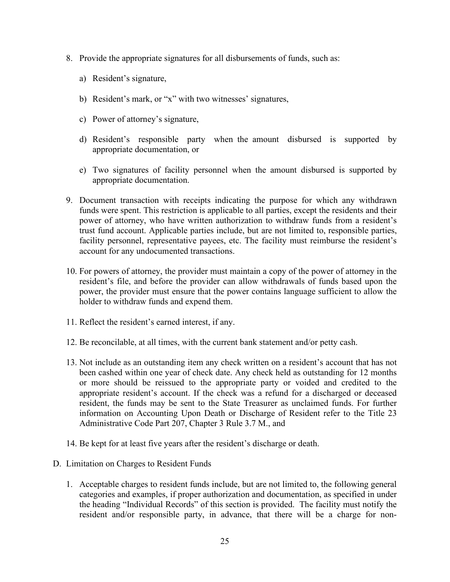- 8. Provide the appropriate signatures for all disbursements of funds, such as:
	- a) Resident's signature,
	- b) Resident's mark, or "x" with two witnesses' signatures,
	- c) Power of attorney's signature,
	- d) Resident's responsible party when the amount disbursed is supported by appropriate documentation, or
	- e) Two signatures of facility personnel when the amount disbursed is supported by appropriate documentation.
- 9. Document transaction with receipts indicating the purpose for which any withdrawn funds were spent. This restriction is applicable to all parties, except the residents and their power of attorney, who have written authorization to withdraw funds from a resident's trust fund account. Applicable parties include, but are not limited to, responsible parties, facility personnel, representative payees, etc. The facility must reimburse the resident's account for any undocumented transactions.
- 10. For powers of attorney, the provider must maintain a copy of the power of attorney in the resident's file, and before the provider can allow withdrawals of funds based upon the power, the provider must ensure that the power contains language sufficient to allow the holder to withdraw funds and expend them.
- 11. Reflect the resident's earned interest, if any.
- 12. Be reconcilable, at all times, with the current bank statement and/or petty cash.
- 13. Not include as an outstanding item any check written on a resident's account that has not been cashed within one year of check date. Any check held as outstanding for 12 months or more should be reissued to the appropriate party or voided and credited to the appropriate resident's account. If the check was a refund for a discharged or deceased resident, the funds may be sent to the State Treasurer as unclaimed funds. For further information on Accounting Upon Death or Discharge of Resident refer to the Title 23 Administrative Code Part 207, Chapter 3 Rule 3.7 M., and
- 14. Be kept for at least five years after the resident's discharge or death.
- D. Limitation on Charges to Resident Funds
	- 1. Acceptable charges to resident funds include, but are not limited to, the following general categories and examples, if proper authorization and documentation, as specified in under the heading "Individual Records" of this section is provided. The facility must notify the resident and/or responsible party, in advance, that there will be a charge for non-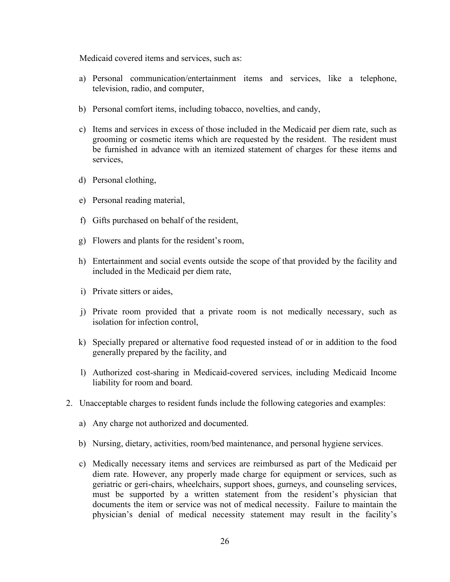Medicaid covered items and services, such as:

- a) Personal communication/entertainment items and services, like a telephone, television, radio, and computer,
- b) Personal comfort items, including tobacco, novelties, and candy,
- c) Items and services in excess of those included in the Medicaid per diem rate, such as grooming or cosmetic items which are requested by the resident. The resident must be furnished in advance with an itemized statement of charges for these items and services,
- d) Personal clothing,
- e) Personal reading material,
- f) Gifts purchased on behalf of the resident,
- g) Flowers and plants for the resident's room,
- h) Entertainment and social events outside the scope of that provided by the facility and included in the Medicaid per diem rate,
- i) Private sitters or aides,
- j) Private room provided that a private room is not medically necessary, such as isolation for infection control,
- k) Specially prepared or alternative food requested instead of or in addition to the food generally prepared by the facility, and
- l) Authorized cost-sharing in Medicaid-covered services, including Medicaid Income liability for room and board.
- 2. Unacceptable charges to resident funds include the following categories and examples:
	- a) Any charge not authorized and documented.
	- b) Nursing, dietary, activities, room/bed maintenance, and personal hygiene services.
	- c) Medically necessary items and services are reimbursed as part of the Medicaid per diem rate. However, any properly made charge for equipment or services, such as geriatric or geri-chairs, wheelchairs, support shoes, gurneys, and counseling services, must be supported by a written statement from the resident's physician that documents the item or service was not of medical necessity. Failure to maintain the physician's denial of medical necessity statement may result in the facility's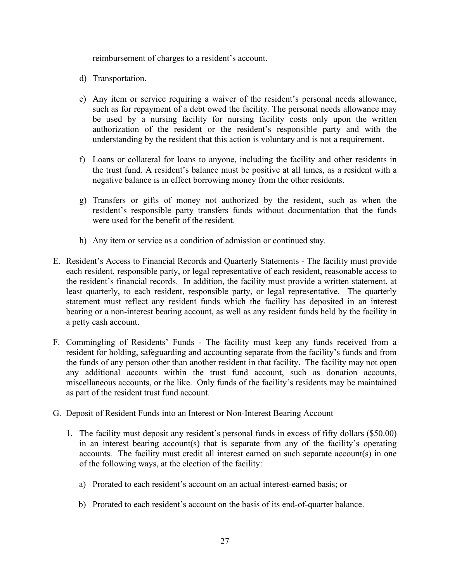reimbursement of charges to a resident's account.

- d) Transportation.
- e) Any item or service requiring a waiver of the resident's personal needs allowance, such as for repayment of a debt owed the facility*.* The personal needs allowance may be used by a nursing facility for nursing facility costs only upon the written authorization of the resident or the resident's responsible party and with the understanding by the resident that this action is voluntary and is not a requirement.
- f) Loans or collateral for loans to anyone, including the facility and other residents in the trust fund. A resident's balance must be positive at all times, as a resident with a negative balance is in effect borrowing money from the other residents.
- g) Transfers or gifts of money not authorized by the resident, such as when the resident's responsible party transfers funds without documentation that the funds were used for the benefit of the resident.
- h) Any item or service as a condition of admission or continued stay*.*
- E. Resident's Access to Financial Records and Quarterly Statements The facility must provide each resident, responsible party, or legal representative of each resident, reasonable access to the resident's financial records. In addition, the facility must provide a written statement, at least quarterly, to each resident, responsible party, or legal representative. The quarterly statement must reflect any resident funds which the facility has deposited in an interest bearing or a non-interest bearing account, as well as any resident funds held by the facility in a petty cash account.
- F. Commingling of Residents' Funds The facility must keep any funds received from a resident for holding, safeguarding and accounting separate from the facility's funds and from the funds of any person other than another resident in that facility. The facility may not open any additional accounts within the trust fund account, such as donation accounts, miscellaneous accounts, or the like. Only funds of the facility's residents may be maintained as part of the resident trust fund account.
- G. Deposit of Resident Funds into an Interest or Non-Interest Bearing Account
	- 1. The facility must deposit any resident's personal funds in excess of fifty dollars (\$50.00) in an interest bearing account(s) that is separate from any of the facility's operating accounts. The facility must credit all interest earned on such separate account(s) in one of the following ways, at the election of the facility:
		- a) Prorated to each resident's account on an actual interest-earned basis; or
		- b) Prorated to each resident's account on the basis of its end-of-quarter balance.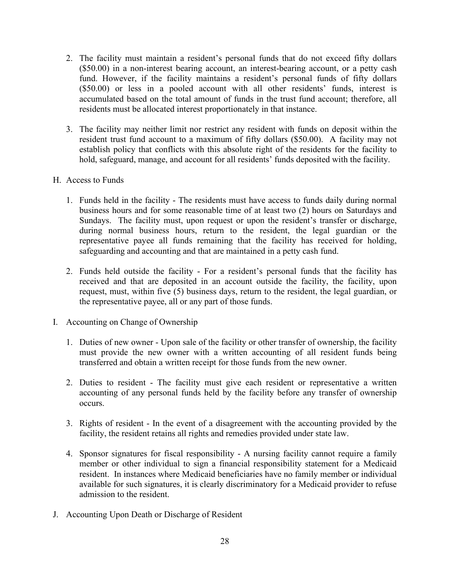- 2. The facility must maintain a resident's personal funds that do not exceed fifty dollars (\$50.00) in a non-interest bearing account, an interest-bearing account, or a petty cash fund. However, if the facility maintains a resident's personal funds of fifty dollars (\$50.00) or less in a pooled account with all other residents' funds, interest is accumulated based on the total amount of funds in the trust fund account; therefore, all residents must be allocated interest proportionately in that instance.
- 3. The facility may neither limit nor restrict any resident with funds on deposit within the resident trust fund account to a maximum of fifty dollars (\$50.00). A facility may not establish policy that conflicts with this absolute right of the residents for the facility to hold, safeguard, manage, and account for all residents' funds deposited with the facility.
- H. Access to Funds
	- 1. Funds held in the facility The residents must have access to funds daily during normal business hours and for some reasonable time of at least two (2) hours on Saturdays and Sundays. The facility must, upon request or upon the resident's transfer or discharge, during normal business hours, return to the resident, the legal guardian or the representative payee all funds remaining that the facility has received for holding, safeguarding and accounting and that are maintained in a petty cash fund.
	- 2. Funds held outside the facility For a resident's personal funds that the facility has received and that are deposited in an account outside the facility, the facility, upon request, must, within five (5) business days, return to the resident, the legal guardian, or the representative payee, all or any part of those funds.
- I. Accounting on Change of Ownership
	- 1. Duties of new owner Upon sale of the facility or other transfer of ownership, the facility must provide the new owner with a written accounting of all resident funds being transferred and obtain a written receipt for those funds from the new owner.
	- 2. Duties to resident The facility must give each resident or representative a written accounting of any personal funds held by the facility before any transfer of ownership occurs.
	- 3. Rights of resident In the event of a disagreement with the accounting provided by the facility, the resident retains all rights and remedies provided under state law.
	- 4. Sponsor signatures for fiscal responsibility A nursing facility cannot require a family member or other individual to sign a financial responsibility statement for a Medicaid resident. In instances where Medicaid beneficiaries have no family member or individual available for such signatures, it is clearly discriminatory for a Medicaid provider to refuse admission to the resident.
- J. Accounting Upon Death or Discharge of Resident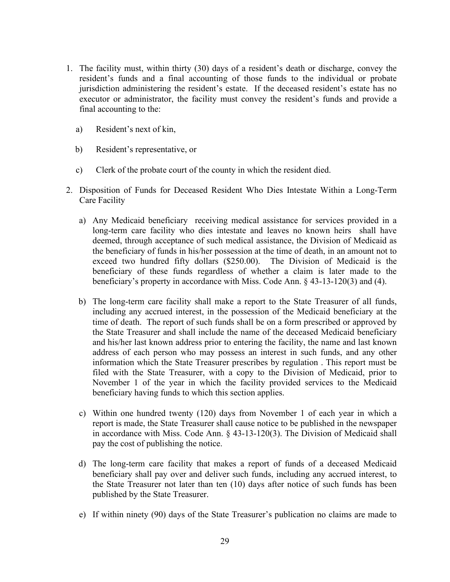- 1. The facility must, within thirty (30) days of a resident's death or discharge, convey the resident's funds and a final accounting of those funds to the individual or probate jurisdiction administering the resident's estate. If the deceased resident's estate has no executor or administrator, the facility must convey the resident's funds and provide a final accounting to the:
	- a) Resident's next of kin,
	- b) Resident's representative, or
	- c) Clerk of the probate court of the county in which the resident died.
- 2. Disposition of Funds for Deceased Resident Who Dies Intestate Within a Long-Term Care Facility
	- a) Any Medicaid beneficiary receiving medical assistance for services provided in a long-term care facility who dies intestate and leaves no known heirs shall have deemed, through acceptance of such medical assistance, the Division of Medicaid as the beneficiary of funds in his/her possession at the time of death, in an amount not to exceed two hundred fifty dollars (\$250.00). The Division of Medicaid is the beneficiary of these funds regardless of whether a claim is later made to the beneficiary's property in accordance with Miss. Code Ann. § 43-13-120(3) and (4).
	- b) The long-term care facility shall make a report to the State Treasurer of all funds, including any accrued interest, in the possession of the Medicaid beneficiary at the time of death. The report of such funds shall be on a form prescribed or approved by the State Treasurer and shall include the name of the deceased Medicaid beneficiary and his/her last known address prior to entering the facility, the name and last known address of each person who may possess an interest in such funds, and any other information which the State Treasurer prescribes by regulation . This report must be filed with the State Treasurer, with a copy to the Division of Medicaid, prior to November 1 of the year in which the facility provided services to the Medicaid beneficiary having funds to which this section applies.
	- c) Within one hundred twenty (120) days from November 1 of each year in which a report is made, the State Treasurer shall cause notice to be published in the newspaper in accordance with Miss. Code Ann. § 43-13-120(3). The Division of Medicaid shall pay the cost of publishing the notice.
	- d) The long-term care facility that makes a report of funds of a deceased Medicaid beneficiary shall pay over and deliver such funds, including any accrued interest, to the State Treasurer not later than ten (10) days after notice of such funds has been published by the State Treasurer.
	- e) If within ninety (90) days of the State Treasurer's publication no claims are made to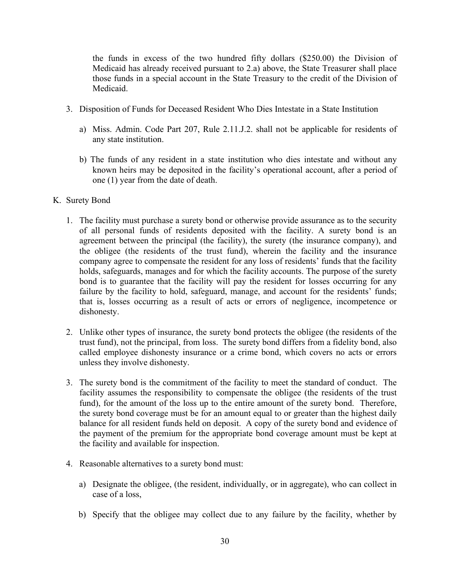the funds in excess of the two hundred fifty dollars (\$250.00) the Division of Medicaid has already received pursuant to 2.a) above, the State Treasurer shall place those funds in a special account in the State Treasury to the credit of the Division of Medicaid.

- 3. Disposition of Funds for Deceased Resident Who Dies Intestate in a State Institution
	- a) Miss. Admin. Code Part 207, Rule 2.11.J.2. shall not be applicable for residents of any state institution.
	- b) The funds of any resident in a state institution who dies intestate and without any known heirs may be deposited in the facility's operational account, after a period of one (1) year from the date of death.
- K. Surety Bond
	- 1. The facility must purchase a surety bond or otherwise provide assurance as to the security of all personal funds of residents deposited with the facility. A surety bond is an agreement between the principal (the facility), the surety (the insurance company), and the obligee (the residents of the trust fund), wherein the facility and the insurance company agree to compensate the resident for any loss of residents' funds that the facility holds, safeguards, manages and for which the facility accounts. The purpose of the surety bond is to guarantee that the facility will pay the resident for losses occurring for any failure by the facility to hold, safeguard, manage, and account for the residents' funds; that is, losses occurring as a result of acts or errors of negligence, incompetence or dishonesty.
	- 2. Unlike other types of insurance, the surety bond protects the obligee (the residents of the trust fund), not the principal, from loss. The surety bond differs from a fidelity bond, also called employee dishonesty insurance or a crime bond, which covers no acts or errors unless they involve dishonesty.
	- 3. The surety bond is the commitment of the facility to meet the standard of conduct. The facility assumes the responsibility to compensate the obligee (the residents of the trust fund), for the amount of the loss up to the entire amount of the surety bond. Therefore, the surety bond coverage must be for an amount equal to or greater than the highest daily balance for all resident funds held on deposit. A copy of the surety bond and evidence of the payment of the premium for the appropriate bond coverage amount must be kept at the facility and available for inspection.
	- 4. Reasonable alternatives to a surety bond must:
		- a) Designate the obligee, (the resident, individually, or in aggregate), who can collect in case of a loss,
		- b) Specify that the obligee may collect due to any failure by the facility, whether by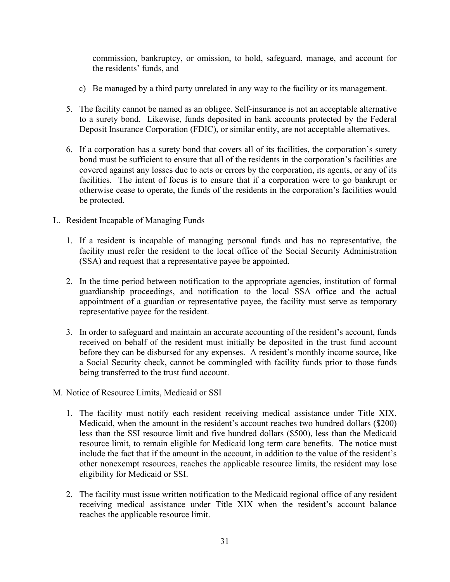commission, bankruptcy, or omission, to hold, safeguard, manage, and account for the residents' funds, and

- c) Be managed by a third party unrelated in any way to the facility or its management.
- 5. The facility cannot be named as an obligee. Self-insurance is not an acceptable alternative to a surety bond. Likewise, funds deposited in bank accounts protected by the Federal Deposit Insurance Corporation (FDIC), or similar entity, are not acceptable alternatives.
- 6. If a corporation has a surety bond that covers all of its facilities, the corporation's surety bond must be sufficient to ensure that all of the residents in the corporation's facilities are covered against any losses due to acts or errors by the corporation, its agents, or any of its facilities. The intent of focus is to ensure that if a corporation were to go bankrupt or otherwise cease to operate, the funds of the residents in the corporation's facilities would be protected.
- L. Resident Incapable of Managing Funds
	- 1. If a resident is incapable of managing personal funds and has no representative, the facility must refer the resident to the local office of the Social Security Administration (SSA) and request that a representative payee be appointed.
	- 2. In the time period between notification to the appropriate agencies, institution of formal guardianship proceedings, and notification to the local SSA office and the actual appointment of a guardian or representative payee, the facility must serve as temporary representative payee for the resident.
	- 3. In order to safeguard and maintain an accurate accounting of the resident's account, funds received on behalf of the resident must initially be deposited in the trust fund account before they can be disbursed for any expenses. A resident's monthly income source, like a Social Security check, cannot be commingled with facility funds prior to those funds being transferred to the trust fund account.
- M. Notice of Resource Limits, Medicaid or SSI
	- 1. The facility must notify each resident receiving medical assistance under Title XIX, Medicaid, when the amount in the resident's account reaches two hundred dollars (\$200) less than the SSI resource limit and five hundred dollars (\$500), less than the Medicaid resource limit, to remain eligible for Medicaid long term care benefits. The notice must include the fact that if the amount in the account, in addition to the value of the resident's other nonexempt resources, reaches the applicable resource limits, the resident may lose eligibility for Medicaid or SSI.
	- 2. The facility must issue written notification to the Medicaid regional office of any resident receiving medical assistance under Title XIX when the resident's account balance reaches the applicable resource limit.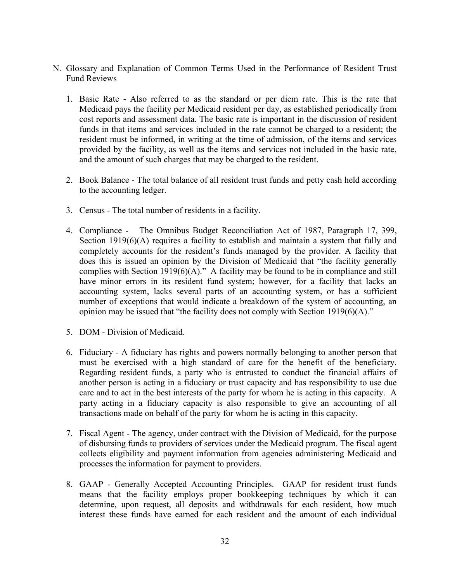- N. Glossary and Explanation of Common Terms Used in the Performance of Resident Trust Fund Reviews
	- 1. Basic Rate Also referred to as the standard or per diem rate. This is the rate that Medicaid pays the facility per Medicaid resident per day, as established periodically from cost reports and assessment data. The basic rate is important in the discussion of resident funds in that items and services included in the rate cannot be charged to a resident; the resident must be informed, in writing at the time of admission, of the items and services provided by the facility, as well as the items and services not included in the basic rate, and the amount of such charges that may be charged to the resident.
	- 2. Book Balance The total balance of all resident trust funds and petty cash held according to the accounting ledger.
	- 3. Census The total number of residents in a facility.
	- 4. Compliance The Omnibus Budget Reconciliation Act of 1987, Paragraph 17, 399, Section 1919(6)(A) requires a facility to establish and maintain a system that fully and completely accounts for the resident's funds managed by the provider. A facility that does this is issued an opinion by the Division of Medicaid that "the facility generally complies with Section 1919(6)(A)." A facility may be found to be in compliance and still have minor errors in its resident fund system; however, for a facility that lacks an accounting system, lacks several parts of an accounting system, or has a sufficient number of exceptions that would indicate a breakdown of the system of accounting, an opinion may be issued that "the facility does not comply with Section 1919(6)(A)."
	- 5. DOM Division of Medicaid.
	- 6. Fiduciary A fiduciary has rights and powers normally belonging to another person that must be exercised with a high standard of care for the benefit of the beneficiary. Regarding resident funds, a party who is entrusted to conduct the financial affairs of another person is acting in a fiduciary or trust capacity and has responsibility to use due care and to act in the best interests of the party for whom he is acting in this capacity. A party acting in a fiduciary capacity is also responsible to give an accounting of all transactions made on behalf of the party for whom he is acting in this capacity.
	- 7. Fiscal Agent The agency, under contract with the Division of Medicaid, for the purpose of disbursing funds to providers of services under the Medicaid program. The fiscal agent collects eligibility and payment information from agencies administering Medicaid and processes the information for payment to providers.
	- 8. GAAP Generally Accepted Accounting Principles. GAAP for resident trust funds means that the facility employs proper bookkeeping techniques by which it can determine, upon request, all deposits and withdrawals for each resident, how much interest these funds have earned for each resident and the amount of each individual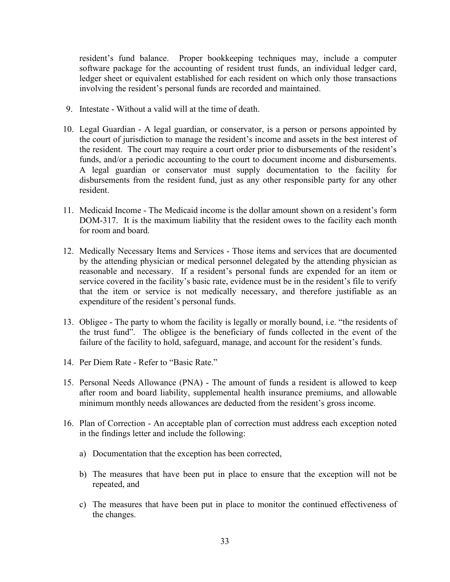resident's fund balance. Proper bookkeeping techniques may, include a computer software package for the accounting of resident trust funds, an individual ledger card, ledger sheet or equivalent established for each resident on which only those transactions involving the resident's personal funds are recorded and maintained.

- 9. Intestate Without a valid will at the time of death.
- 10. Legal Guardian A legal guardian, or conservator, is a person or persons appointed by the court of jurisdiction to manage the resident's income and assets in the best interest of the resident. The court may require a court order prior to disbursements of the resident's funds, and/or a periodic accounting to the court to document income and disbursements. A legal guardian or conservator must supply documentation to the facility for disbursements from the resident fund, just as any other responsible party for any other resident.
- 11. Medicaid Income The Medicaid income is the dollar amount shown on a resident's form DOM-317. It is the maximum liability that the resident owes to the facility each month for room and board.
- 12. Medically Necessary Items and Services Those items and services that are documented by the attending physician or medical personnel delegated by the attending physician as reasonable and necessary. If a resident's personal funds are expended for an item or service covered in the facility's basic rate, evidence must be in the resident's file to verify that the item or service is not medically necessary, and therefore justifiable as an expenditure of the resident's personal funds.
- 13. Obligee The party to whom the facility is legally or morally bound, i.e. "the residents of the trust fund". The obligee is the beneficiary of funds collected in the event of the failure of the facility to hold, safeguard, manage, and account for the resident's funds.
- 14. Per Diem Rate Refer to "Basic Rate."
- 15. Personal Needs Allowance (PNA) The amount of funds a resident is allowed to keep after room and board liability, supplemental health insurance premiums, and allowable minimum monthly needs allowances are deducted from the resident's gross income.
- 16. Plan of Correction An acceptable plan of correction must address each exception noted in the findings letter and include the following:
	- a) Documentation that the exception has been corrected,
	- b) The measures that have been put in place to ensure that the exception will not be repeated, and
	- c) The measures that have been put in place to monitor the continued effectiveness of the changes.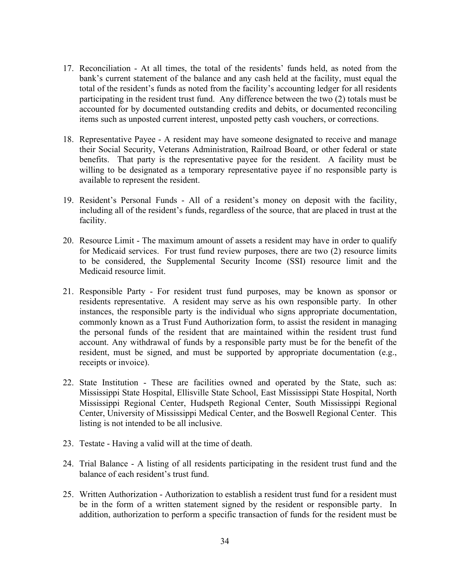- 17. Reconciliation At all times, the total of the residents' funds held, as noted from the bank's current statement of the balance and any cash held at the facility, must equal the total of the resident's funds as noted from the facility's accounting ledger for all residents participating in the resident trust fund. Any difference between the two (2) totals must be accounted for by documented outstanding credits and debits, or documented reconciling items such as unposted current interest, unposted petty cash vouchers, or corrections.
- 18. Representative Payee A resident may have someone designated to receive and manage their Social Security, Veterans Administration, Railroad Board, or other federal or state benefits. That party is the representative payee for the resident. A facility must be willing to be designated as a temporary representative payee if no responsible party is available to represent the resident.
- 19. Resident's Personal Funds All of a resident's money on deposit with the facility, including all of the resident's funds, regardless of the source, that are placed in trust at the facility.
- 20. Resource Limit The maximum amount of assets a resident may have in order to qualify for Medicaid services. For trust fund review purposes, there are two (2) resource limits to be considered, the Supplemental Security Income (SSI) resource limit and the Medicaid resource limit.
- 21. Responsible Party For resident trust fund purposes, may be known as sponsor or residents representative. A resident may serve as his own responsible party. In other instances, the responsible party is the individual who signs appropriate documentation, commonly known as a Trust Fund Authorization form, to assist the resident in managing the personal funds of the resident that are maintained within the resident trust fund account. Any withdrawal of funds by a responsible party must be for the benefit of the resident, must be signed, and must be supported by appropriate documentation (e.g., receipts or invoice).
- 22. State Institution These are facilities owned and operated by the State, such as: Mississippi State Hospital, Ellisville State School, East Mississippi State Hospital, North Mississippi Regional Center, Hudspeth Regional Center, South Mississippi Regional Center, University of Mississippi Medical Center, and the Boswell Regional Center. This listing is not intended to be all inclusive.
- 23. Testate Having a valid will at the time of death.
- 24. Trial Balance A listing of all residents participating in the resident trust fund and the balance of each resident's trust fund.
- 25. Written Authorization Authorization to establish a resident trust fund for a resident must be in the form of a written statement signed by the resident or responsible party. In addition, authorization to perform a specific transaction of funds for the resident must be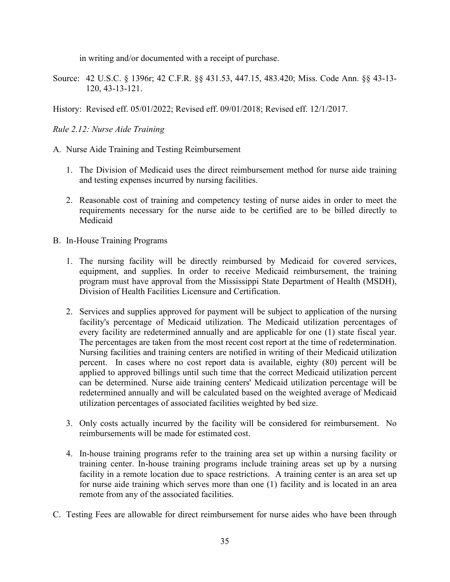in writing and/or documented with a receipt of purchase.

Source: 42 U.S.C. § 1396r; 42 C.F.R. §§ 431.53, 447.15, 483.420; Miss. Code Ann. §§ 43-13- 120, 43-13-121.

History: Revised eff. 05/01/2022; Revised eff. 09/01/2018; Revised eff. 12/1/2017.

# *Rule 2.12: Nurse Aide Training*

- A. Nurse Aide Training and Testing Reimbursement
	- 1. The Division of Medicaid uses the direct reimbursement method for nurse aide training and testing expenses incurred by nursing facilities.
	- 2. Reasonable cost of training and competency testing of nurse aides in order to meet the requirements necessary for the nurse aide to be certified are to be billed directly to Medicaid
- B. In-House Training Programs
	- 1. The nursing facility will be directly reimbursed by Medicaid for covered services, equipment, and supplies. In order to receive Medicaid reimbursement, the training program must have approval from the Mississippi State Department of Health (MSDH), Division of Health Facilities Licensure and Certification.
	- 2. Services and supplies approved for payment will be subject to application of the nursing facility's percentage of Medicaid utilization. The Medicaid utilization percentages of every facility are redetermined annually and are applicable for one (1) state fiscal year. The percentages are taken from the most recent cost report at the time of redetermination. Nursing facilities and training centers are notified in writing of their Medicaid utilization percent. In cases where no cost report data is available, eighty (80) percent will be applied to approved billings until such time that the correct Medicaid utilization percent can be determined. Nurse aide training centers' Medicaid utilization percentage will be redetermined annually and will be calculated based on the weighted average of Medicaid utilization percentages of associated facilities weighted by bed size.
	- 3. Only costs actually incurred by the facility will be considered for reimbursement. No reimbursements will be made for estimated cost.
	- 4. In-house training programs refer to the training area set up within a nursing facility or training center. In-house training programs include training areas set up by a nursing facility in a remote location due to space restrictions. A training center is an area set up for nurse aide training which serves more than one (1) facility and is located in an area remote from any of the associated facilities.
- C. Testing Fees are allowable for direct reimbursement for nurse aides who have been through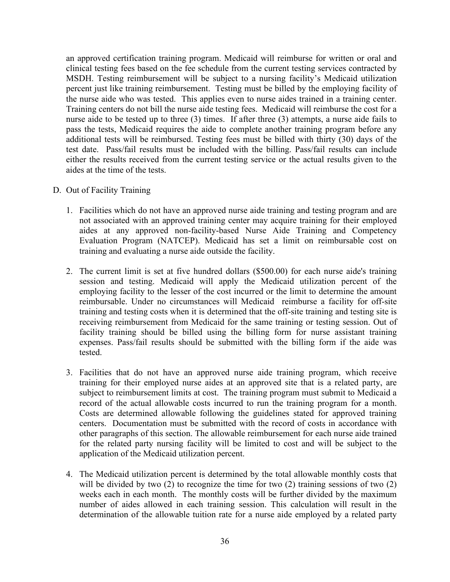an approved certification training program. Medicaid will reimburse for written or oral and clinical testing fees based on the fee schedule from the current testing services contracted by MSDH. Testing reimbursement will be subject to a nursing facility's Medicaid utilization percent just like training reimbursement. Testing must be billed by the employing facility of the nurse aide who was tested. This applies even to nurse aides trained in a training center. Training centers do not bill the nurse aide testing fees. Medicaid will reimburse the cost for a nurse aide to be tested up to three (3) times. If after three (3) attempts, a nurse aide fails to pass the tests, Medicaid requires the aide to complete another training program before any additional tests will be reimbursed. Testing fees must be billed with thirty (30) days of the test date. Pass/fail results must be included with the billing. Pass/fail results can include either the results received from the current testing service or the actual results given to the aides at the time of the tests.

- D. Out of Facility Training
	- 1. Facilities which do not have an approved nurse aide training and testing program and are not associated with an approved training center may acquire training for their employed aides at any approved non-facility-based Nurse Aide Training and Competency Evaluation Program (NATCEP). Medicaid has set a limit on reimbursable cost on training and evaluating a nurse aide outside the facility.
	- 2. The current limit is set at five hundred dollars (\$500.00) for each nurse aide's training session and testing. Medicaid will apply the Medicaid utilization percent of the employing facility to the lesser of the cost incurred or the limit to determine the amount reimbursable. Under no circumstances will Medicaid reimburse a facility for off-site training and testing costs when it is determined that the off-site training and testing site is receiving reimbursement from Medicaid for the same training or testing session. Out of facility training should be billed using the billing form for nurse assistant training expenses. Pass/fail results should be submitted with the billing form if the aide was tested.
	- 3. Facilities that do not have an approved nurse aide training program, which receive training for their employed nurse aides at an approved site that is a related party, are subject to reimbursement limits at cost. The training program must submit to Medicaid a record of the actual allowable costs incurred to run the training program for a month. Costs are determined allowable following the guidelines stated for approved training centers. Documentation must be submitted with the record of costs in accordance with other paragraphs of this section. The allowable reimbursement for each nurse aide trained for the related party nursing facility will be limited to cost and will be subject to the application of the Medicaid utilization percent.
	- 4. The Medicaid utilization percent is determined by the total allowable monthly costs that will be divided by two (2) to recognize the time for two (2) training sessions of two (2) weeks each in each month. The monthly costs will be further divided by the maximum number of aides allowed in each training session. This calculation will result in the determination of the allowable tuition rate for a nurse aide employed by a related party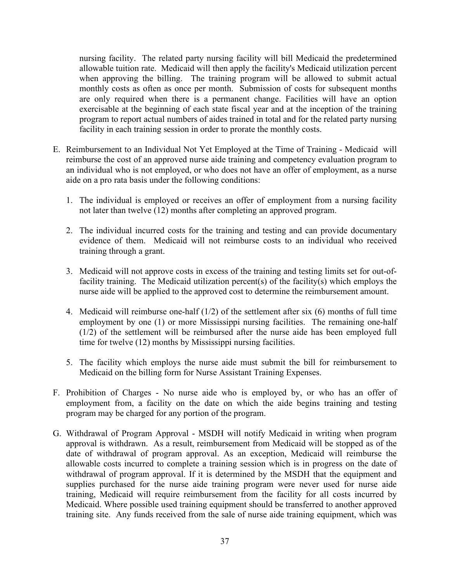nursing facility. The related party nursing facility will bill Medicaid the predetermined allowable tuition rate. Medicaid will then apply the facility's Medicaid utilization percent when approving the billing. The training program will be allowed to submit actual monthly costs as often as once per month. Submission of costs for subsequent months are only required when there is a permanent change. Facilities will have an option exercisable at the beginning of each state fiscal year and at the inception of the training program to report actual numbers of aides trained in total and for the related party nursing facility in each training session in order to prorate the monthly costs.

- E. Reimbursement to an Individual Not Yet Employed at the Time of Training Medicaid will reimburse the cost of an approved nurse aide training and competency evaluation program to an individual who is not employed, or who does not have an offer of employment, as a nurse aide on a pro rata basis under the following conditions:
	- 1. The individual is employed or receives an offer of employment from a nursing facility not later than twelve (12) months after completing an approved program.
	- 2. The individual incurred costs for the training and testing and can provide documentary evidence of them. Medicaid will not reimburse costs to an individual who received training through a grant.
	- 3. Medicaid will not approve costs in excess of the training and testing limits set for out-offacility training. The Medicaid utilization percent(s) of the facility(s) which employs the nurse aide will be applied to the approved cost to determine the reimbursement amount.
	- 4. Medicaid will reimburse one-half (1/2) of the settlement after six (6) months of full time employment by one (1) or more Mississippi nursing facilities. The remaining one-half (1/2) of the settlement will be reimbursed after the nurse aide has been employed full time for twelve (12) months by Mississippi nursing facilities.
	- 5. The facility which employs the nurse aide must submit the bill for reimbursement to Medicaid on the billing form for Nurse Assistant Training Expenses.
- F. Prohibition of Charges No nurse aide who is employed by, or who has an offer of employment from, a facility on the date on which the aide begins training and testing program may be charged for any portion of the program.
- G. Withdrawal of Program Approval MSDH will notify Medicaid in writing when program approval is withdrawn. As a result, reimbursement from Medicaid will be stopped as of the date of withdrawal of program approval. As an exception, Medicaid will reimburse the allowable costs incurred to complete a training session which is in progress on the date of withdrawal of program approval. If it is determined by the MSDH that the equipment and supplies purchased for the nurse aide training program were never used for nurse aide training, Medicaid will require reimbursement from the facility for all costs incurred by Medicaid. Where possible used training equipment should be transferred to another approved training site. Any funds received from the sale of nurse aide training equipment, which was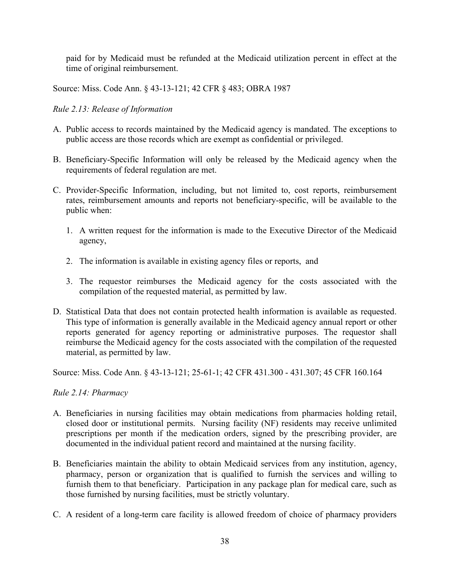paid for by Medicaid must be refunded at the Medicaid utilization percent in effect at the time of original reimbursement.

Source: Miss. Code Ann. § 43-13-121; 42 CFR § 483; OBRA 1987

## *Rule 2.13: Release of Information*

- A. Public access to records maintained by the Medicaid agency is mandated. The exceptions to public access are those records which are exempt as confidential or privileged.
- B. Beneficiary-Specific Information will only be released by the Medicaid agency when the requirements of federal regulation are met.
- C. Provider-Specific Information, including, but not limited to, cost reports, reimbursement rates, reimbursement amounts and reports not beneficiary-specific, will be available to the public when:
	- 1. A written request for the information is made to the Executive Director of the Medicaid agency,
	- 2. The information is available in existing agency files or reports, and
	- 3. The requestor reimburses the Medicaid agency for the costs associated with the compilation of the requested material, as permitted by law.
- D. Statistical Data that does not contain protected health information is available as requested. This type of information is generally available in the Medicaid agency annual report or other reports generated for agency reporting or administrative purposes. The requestor shall reimburse the Medicaid agency for the costs associated with the compilation of the requested material, as permitted by law.

Source: Miss. Code Ann. § 43-13-121; 25-61-1; 42 CFR 431.300 - 431.307; 45 CFR 160.164

#### *Rule 2.14: Pharmacy*

- A. Beneficiaries in nursing facilities may obtain medications from pharmacies holding retail, closed door or institutional permits. Nursing facility (NF) residents may receive unlimited prescriptions per month if the medication orders, signed by the prescribing provider, are documented in the individual patient record and maintained at the nursing facility.
- B. Beneficiaries maintain the ability to obtain Medicaid services from any institution, agency, pharmacy, person or organization that is qualified to furnish the services and willing to furnish them to that beneficiary. Participation in any package plan for medical care, such as those furnished by nursing facilities, must be strictly voluntary.
- C. A resident of a long-term care facility is allowed freedom of choice of pharmacy providers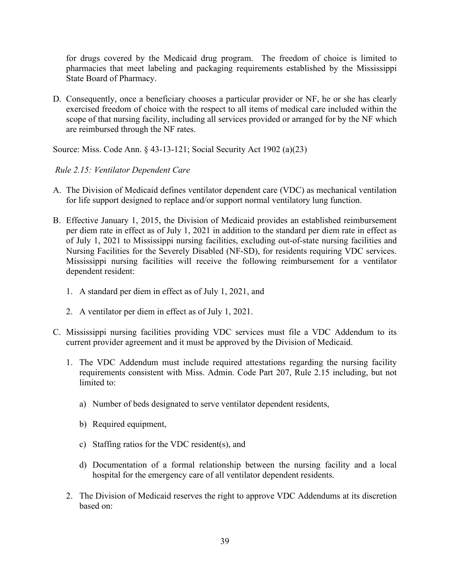for drugs covered by the Medicaid drug program. The freedom of choice is limited to pharmacies that meet labeling and packaging requirements established by the Mississippi State Board of Pharmacy.

D. Consequently, once a beneficiary chooses a particular provider or NF, he or she has clearly exercised freedom of choice with the respect to all items of medical care included within the scope of that nursing facility, including all services provided or arranged for by the NF which are reimbursed through the NF rates.

Source: Miss. Code Ann. § 43-13-121; Social Security Act 1902 (a)(23)

# *Rule 2.15: Ventilator Dependent Care*

- A. The Division of Medicaid defines ventilator dependent care (VDC) as mechanical ventilation for life support designed to replace and/or support normal ventilatory lung function.
- B. Effective January 1, 2015, the Division of Medicaid provides an established reimbursement per diem rate in effect as of July 1, 2021 in addition to the standard per diem rate in effect as of July 1, 2021 to Mississippi nursing facilities, excluding out-of-state nursing facilities and Nursing Facilities for the Severely Disabled (NF-SD), for residents requiring VDC services. Mississippi nursing facilities will receive the following reimbursement for a ventilator dependent resident:
	- 1. A standard per diem in effect as of July 1, 2021, and
	- 2. A ventilator per diem in effect as of July 1, 2021.
- C. Mississippi nursing facilities providing VDC services must file a VDC Addendum to its current provider agreement and it must be approved by the Division of Medicaid.
	- 1. The VDC Addendum must include required attestations regarding the nursing facility requirements consistent with Miss. Admin. Code Part 207, Rule 2.15 including, but not limited to:
		- a) Number of beds designated to serve ventilator dependent residents,
		- b) Required equipment,
		- c) Staffing ratios for the VDC resident(s), and
		- d) Documentation of a formal relationship between the nursing facility and a local hospital for the emergency care of all ventilator dependent residents.
	- 2. The Division of Medicaid reserves the right to approve VDC Addendums at its discretion based on: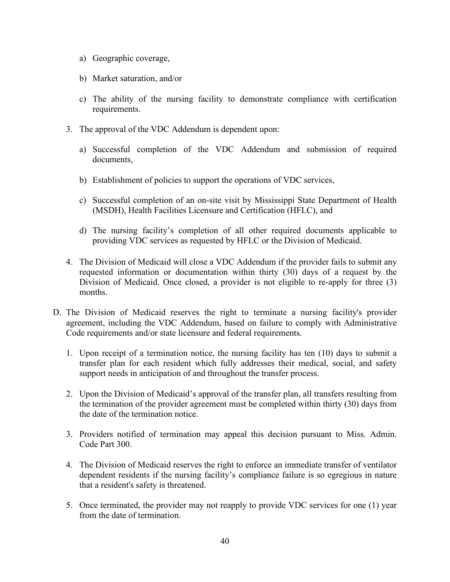- a) Geographic coverage,
- b) Market saturation, and/or
- c) The ability of the nursing facility to demonstrate compliance with certification requirements.
- 3. The approval of the VDC Addendum is dependent upon:
	- a) Successful completion of the VDC Addendum and submission of required documents,
	- b) Establishment of policies to support the operations of VDC services,
	- c) Successful completion of an on-site visit by Mississippi State Department of Health (MSDH), Health Facilities Licensure and Certification (HFLC), and
	- d) The nursing facility's completion of all other required documents applicable to providing VDC services as requested by HFLC or the Division of Medicaid.
- 4. The Division of Medicaid will close a VDC Addendum if the provider fails to submit any requested information or documentation within thirty (30) days of a request by the Division of Medicaid. Once closed, a provider is not eligible to re-apply for three (3) months.
- D. The Division of Medicaid reserves the right to terminate a nursing facility's provider agreement, including the VDC Addendum, based on failure to comply with Administrative Code requirements and/or state licensure and federal requirements.
	- 1. Upon receipt of a termination notice, the nursing facility has ten (10) days to submit a transfer plan for each resident which fully addresses their medical, social, and safety support needs in anticipation of and throughout the transfer process.
	- 2. Upon the Division of Medicaid's approval of the transfer plan, all transfers resulting from the termination of the provider agreement must be completed within thirty (30) days from the date of the termination notice.
	- 3. Providers notified of termination may appeal this decision pursuant to Miss. Admin. Code Part 300.
	- 4. The Division of Medicaid reserves the right to enforce an immediate transfer of ventilator dependent residents if the nursing facility's compliance failure is so egregious in nature that a resident's safety is threatened.
	- 5. Once terminated, the provider may not reapply to provide VDC services for one (1) year from the date of termination.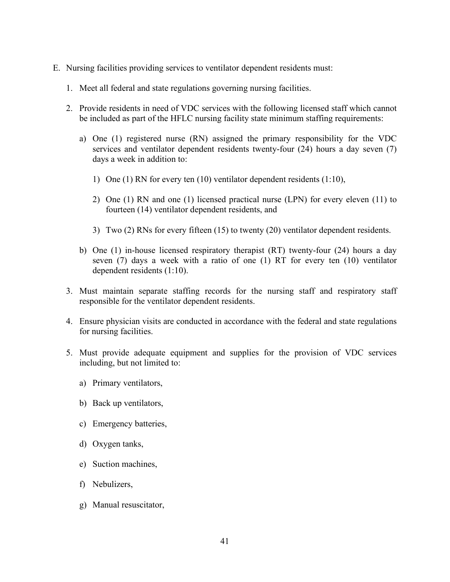- E. Nursing facilities providing services to ventilator dependent residents must:
	- 1. Meet all federal and state regulations governing nursing facilities.
	- 2. Provide residents in need of VDC services with the following licensed staff which cannot be included as part of the HFLC nursing facility state minimum staffing requirements:
		- a) One (1) registered nurse (RN) assigned the primary responsibility for the VDC services and ventilator dependent residents twenty-four (24) hours a day seven (7) days a week in addition to:
			- 1) One (1) RN for every ten (10) ventilator dependent residents (1:10),
			- 2) One (1) RN and one (1) licensed practical nurse (LPN) for every eleven (11) to fourteen (14) ventilator dependent residents, and
			- 3) Two (2) RNs for every fifteen (15) to twenty (20) ventilator dependent residents.
		- b) One (1) in-house licensed respiratory therapist (RT) twenty-four (24) hours a day seven (7) days a week with a ratio of one (1) RT for every ten (10) ventilator dependent residents (1:10).
	- 3. Must maintain separate staffing records for the nursing staff and respiratory staff responsible for the ventilator dependent residents.
	- 4. Ensure physician visits are conducted in accordance with the federal and state regulations for nursing facilities.
	- 5. Must provide adequate equipment and supplies for the provision of VDC services including, but not limited to:
		- a) Primary ventilators,
		- b) Back up ventilators,
		- c) Emergency batteries,
		- d) Oxygen tanks,
		- e) Suction machines,
		- f) Nebulizers,
		- g) Manual resuscitator,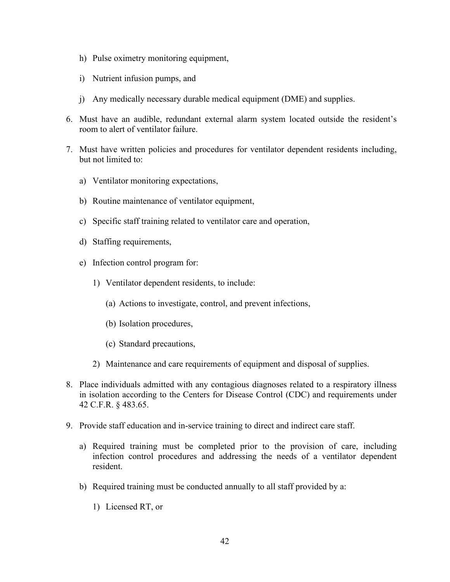- h) Pulse oximetry monitoring equipment,
- i) Nutrient infusion pumps, and
- j) Any medically necessary durable medical equipment (DME) and supplies.
- 6. Must have an audible, redundant external alarm system located outside the resident's room to alert of ventilator failure.
- 7. Must have written policies and procedures for ventilator dependent residents including, but not limited to:
	- a) Ventilator monitoring expectations,
	- b) Routine maintenance of ventilator equipment,
	- c) Specific staff training related to ventilator care and operation,
	- d) Staffing requirements,
	- e) Infection control program for:
		- 1) Ventilator dependent residents, to include:
			- (a) Actions to investigate, control, and prevent infections,
			- (b) Isolation procedures,
			- (c) Standard precautions,
		- 2) Maintenance and care requirements of equipment and disposal of supplies.
- 8. Place individuals admitted with any contagious diagnoses related to a respiratory illness in isolation according to the Centers for Disease Control (CDC) and requirements under 42 C.F.R. § 483.65.
- 9. Provide staff education and in-service training to direct and indirect care staff.
	- a) Required training must be completed prior to the provision of care, including infection control procedures and addressing the needs of a ventilator dependent resident.
	- b) Required training must be conducted annually to all staff provided by a:
		- 1) Licensed RT, or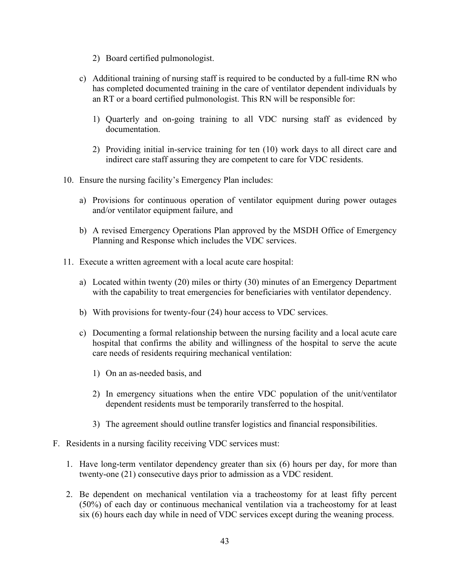- 2) Board certified pulmonologist.
- c) Additional training of nursing staff is required to be conducted by a full-time RN who has completed documented training in the care of ventilator dependent individuals by an RT or a board certified pulmonologist. This RN will be responsible for:
	- 1) Quarterly and on-going training to all VDC nursing staff as evidenced by documentation.
	- 2) Providing initial in-service training for ten (10) work days to all direct care and indirect care staff assuring they are competent to care for VDC residents.
- 10. Ensure the nursing facility's Emergency Plan includes:
	- a) Provisions for continuous operation of ventilator equipment during power outages and/or ventilator equipment failure, and
	- b) A revised Emergency Operations Plan approved by the MSDH Office of Emergency Planning and Response which includes the VDC services.
- 11. Execute a written agreement with a local acute care hospital:
	- a) Located within twenty (20) miles or thirty (30) minutes of an Emergency Department with the capability to treat emergencies for beneficiaries with ventilator dependency.
	- b) With provisions for twenty-four (24) hour access to VDC services.
	- c) Documenting a formal relationship between the nursing facility and a local acute care hospital that confirms the ability and willingness of the hospital to serve the acute care needs of residents requiring mechanical ventilation:
		- 1) On an as-needed basis, and
		- 2) In emergency situations when the entire VDC population of the unit/ventilator dependent residents must be temporarily transferred to the hospital.
		- 3) The agreement should outline transfer logistics and financial responsibilities.
- F. Residents in a nursing facility receiving VDC services must:
	- 1. Have long-term ventilator dependency greater than six (6) hours per day, for more than twenty-one (21) consecutive days prior to admission as a VDC resident.
	- 2. Be dependent on mechanical ventilation via a tracheostomy for at least fifty percent (50%) of each day or continuous mechanical ventilation via a tracheostomy for at least six (6) hours each day while in need of VDC services except during the weaning process.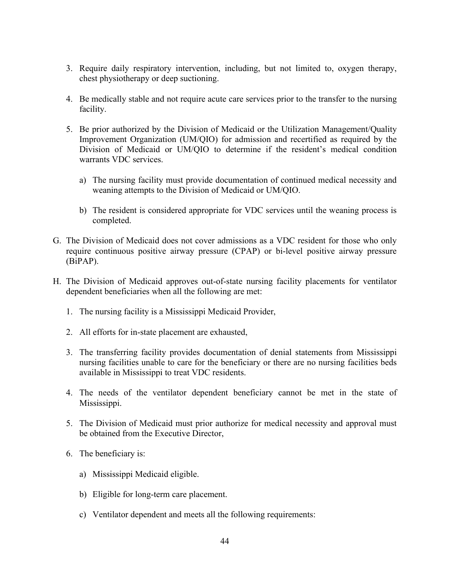- 3. Require daily respiratory intervention, including, but not limited to, oxygen therapy, chest physiotherapy or deep suctioning.
- 4. Be medically stable and not require acute care services prior to the transfer to the nursing facility.
- 5. Be prior authorized by the Division of Medicaid or the Utilization Management/Quality Improvement Organization (UM/QIO) for admission and recertified as required by the Division of Medicaid or UM/QIO to determine if the resident's medical condition warrants VDC services.
	- a) The nursing facility must provide documentation of continued medical necessity and weaning attempts to the Division of Medicaid or UM/QIO.
	- b) The resident is considered appropriate for VDC services until the weaning process is completed.
- G. The Division of Medicaid does not cover admissions as a VDC resident for those who only require continuous positive airway pressure (CPAP) or bi-level positive airway pressure (BiPAP).
- H. The Division of Medicaid approves out-of-state nursing facility placements for ventilator dependent beneficiaries when all the following are met:
	- 1. The nursing facility is a Mississippi Medicaid Provider,
	- 2. All efforts for in-state placement are exhausted,
	- 3. The transferring facility provides documentation of denial statements from Mississippi nursing facilities unable to care for the beneficiary or there are no nursing facilities beds available in Mississippi to treat VDC residents.
	- 4. The needs of the ventilator dependent beneficiary cannot be met in the state of Mississippi.
	- 5. The Division of Medicaid must prior authorize for medical necessity and approval must be obtained from the Executive Director,
	- 6. The beneficiary is:
		- a) Mississippi Medicaid eligible.
		- b) Eligible for long-term care placement.
		- c) Ventilator dependent and meets all the following requirements: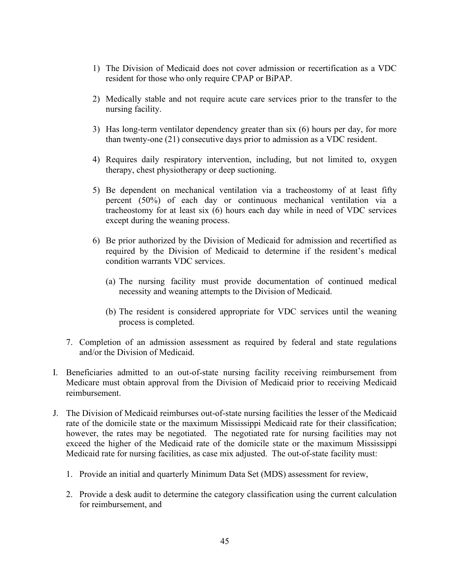- 1) The Division of Medicaid does not cover admission or recertification as a VDC resident for those who only require CPAP or BiPAP.
- 2) Medically stable and not require acute care services prior to the transfer to the nursing facility.
- 3) Has long-term ventilator dependency greater than six (6) hours per day, for more than twenty-one (21) consecutive days prior to admission as a VDC resident.
- 4) Requires daily respiratory intervention, including, but not limited to, oxygen therapy, chest physiotherapy or deep suctioning.
- 5) Be dependent on mechanical ventilation via a tracheostomy of at least fifty percent (50%) of each day or continuous mechanical ventilation via a tracheostomy for at least six (6) hours each day while in need of VDC services except during the weaning process.
- 6) Be prior authorized by the Division of Medicaid for admission and recertified as required by the Division of Medicaid to determine if the resident's medical condition warrants VDC services.
	- (a) The nursing facility must provide documentation of continued medical necessity and weaning attempts to the Division of Medicaid.
	- (b) The resident is considered appropriate for VDC services until the weaning process is completed.
- 7. Completion of an admission assessment as required by federal and state regulations and/or the Division of Medicaid.
- I. Beneficiaries admitted to an out-of-state nursing facility receiving reimbursement from Medicare must obtain approval from the Division of Medicaid prior to receiving Medicaid reimbursement.
- J. The Division of Medicaid reimburses out-of-state nursing facilities the lesser of the Medicaid rate of the domicile state or the maximum Mississippi Medicaid rate for their classification; however, the rates may be negotiated. The negotiated rate for nursing facilities may not exceed the higher of the Medicaid rate of the domicile state or the maximum Mississippi Medicaid rate for nursing facilities, as case mix adjusted. The out-of-state facility must:
	- 1. Provide an initial and quarterly Minimum Data Set (MDS) assessment for review,
	- 2. Provide a desk audit to determine the category classification using the current calculation for reimbursement, and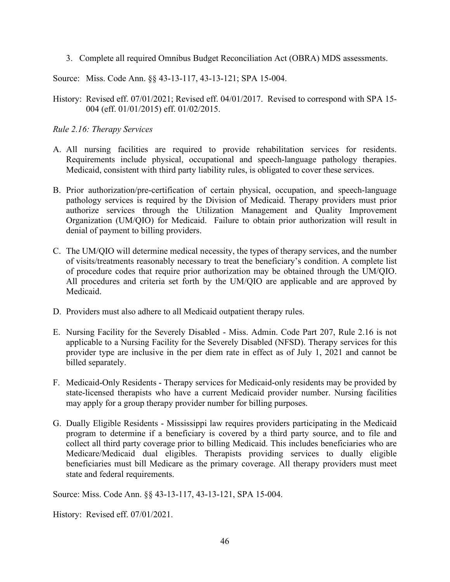3. Complete all required Omnibus Budget Reconciliation Act (OBRA) MDS assessments.

Source: Miss. Code Ann. §§ 43-13-117, 43-13-121; SPA 15-004.

History: Revised eff. 07/01/2021; Revised eff. 04/01/2017. Revised to correspond with SPA 15- 004 (eff. 01/01/2015) eff. 01/02/2015.

### *Rule 2.16: Therapy Services*

- A. All nursing facilities are required to provide rehabilitation services for residents. Requirements include physical, occupational and speech-language pathology therapies. Medicaid, consistent with third party liability rules, is obligated to cover these services.
- B. Prior authorization/pre-certification of certain physical, occupation, and speech-language pathology services is required by the Division of Medicaid. Therapy providers must prior authorize services through the Utilization Management and Quality Improvement Organization (UM/QIO) for Medicaid. Failure to obtain prior authorization will result in denial of payment to billing providers.
- C. The UM/QIO will determine medical necessity, the types of therapy services, and the number of visits/treatments reasonably necessary to treat the beneficiary's condition. A complete list of procedure codes that require prior authorization may be obtained through the UM/QIO. All procedures and criteria set forth by the UM/QIO are applicable and are approved by Medicaid.
- D. Providers must also adhere to all Medicaid outpatient therapy rules.
- E. Nursing Facility for the Severely Disabled Miss. Admin. Code Part 207, Rule 2.16 is not applicable to a Nursing Facility for the Severely Disabled (NFSD). Therapy services for this provider type are inclusive in the per diem rate in effect as of July 1, 2021 and cannot be billed separately.
- F. Medicaid-Only Residents Therapy services for Medicaid-only residents may be provided by state-licensed therapists who have a current Medicaid provider number. Nursing facilities may apply for a group therapy provider number for billing purposes.
- G. Dually Eligible Residents Mississippi law requires providers participating in the Medicaid program to determine if a beneficiary is covered by a third party source, and to file and collect all third party coverage prior to billing Medicaid. This includes beneficiaries who are Medicare/Medicaid dual eligibles. Therapists providing services to dually eligible beneficiaries must bill Medicare as the primary coverage. All therapy providers must meet state and federal requirements.

Source: Miss. Code Ann. §§ 43-13-117, 43-13-121, SPA 15-004.

History: Revised eff. 07/01/2021.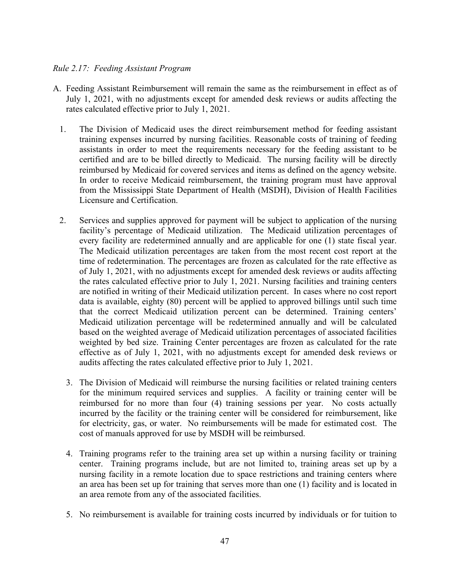### *Rule 2.17: Feeding Assistant Program*

- A. Feeding Assistant Reimbursement will remain the same as the reimbursement in effect as of July 1, 2021, with no adjustments except for amended desk reviews or audits affecting the rates calculated effective prior to July 1, 2021.
	- 1. The Division of Medicaid uses the direct reimbursement method for feeding assistant training expenses incurred by nursing facilities. Reasonable costs of training of feeding assistants in order to meet the requirements necessary for the feeding assistant to be certified and are to be billed directly to Medicaid. The nursing facility will be directly reimbursed by Medicaid for covered services and items as defined on the agency website. In order to receive Medicaid reimbursement, the training program must have approval from the Mississippi State Department of Health (MSDH), Division of Health Facilities Licensure and Certification.
	- 2. Services and supplies approved for payment will be subject to application of the nursing facility's percentage of Medicaid utilization. The Medicaid utilization percentages of every facility are redetermined annually and are applicable for one (1) state fiscal year. The Medicaid utilization percentages are taken from the most recent cost report at the time of redetermination. The percentages are frozen as calculated for the rate effective as of July 1, 2021, with no adjustments except for amended desk reviews or audits affecting the rates calculated effective prior to July 1, 2021. Nursing facilities and training centers are notified in writing of their Medicaid utilization percent. In cases where no cost report data is available, eighty (80) percent will be applied to approved billings until such time that the correct Medicaid utilization percent can be determined. Training centers' Medicaid utilization percentage will be redetermined annually and will be calculated based on the weighted average of Medicaid utilization percentages of associated facilities weighted by bed size. Training Center percentages are frozen as calculated for the rate effective as of July 1, 2021, with no adjustments except for amended desk reviews or audits affecting the rates calculated effective prior to July 1, 2021.
		- 3. The Division of Medicaid will reimburse the nursing facilities or related training centers for the minimum required services and supplies. A facility or training center will be reimbursed for no more than four (4) training sessions per year. No costs actually incurred by the facility or the training center will be considered for reimbursement, like for electricity, gas, or water. No reimbursements will be made for estimated cost. The cost of manuals approved for use by MSDH will be reimbursed.
		- 4. Training programs refer to the training area set up within a nursing facility or training center. Training programs include, but are not limited to, training areas set up by a nursing facility in a remote location due to space restrictions and training centers where an area has been set up for training that serves more than one (1) facility and is located in an area remote from any of the associated facilities.
		- 5. No reimbursement is available for training costs incurred by individuals or for tuition to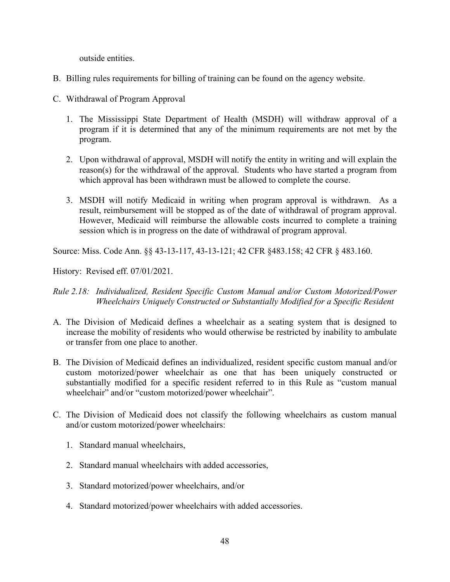outside entities.

- B. Billing rules requirements for billing of training can be found on the agency website.
- C. Withdrawal of Program Approval
	- 1. The Mississippi State Department of Health (MSDH) will withdraw approval of a program if it is determined that any of the minimum requirements are not met by the program.
	- 2. Upon withdrawal of approval, MSDH will notify the entity in writing and will explain the reason(s) for the withdrawal of the approval. Students who have started a program from which approval has been withdrawn must be allowed to complete the course.
	- 3. MSDH will notify Medicaid in writing when program approval is withdrawn. As a result, reimbursement will be stopped as of the date of withdrawal of program approval. However, Medicaid will reimburse the allowable costs incurred to complete a training session which is in progress on the date of withdrawal of program approval.

Source: Miss. Code Ann. §§ 43-13-117, 43-13-121; 42 CFR §483.158; 42 CFR § 483.160.

History: Revised eff. 07/01/2021.

- *Rule 2.18: Individualized, Resident Specific Custom Manual and/or Custom Motorized/Power Wheelchairs Uniquely Constructed or Substantially Modified for a Specific Resident*
- A. The Division of Medicaid defines a wheelchair as a seating system that is designed to increase the mobility of residents who would otherwise be restricted by inability to ambulate or transfer from one place to another.
- B. The Division of Medicaid defines an individualized, resident specific custom manual and/or custom motorized/power wheelchair as one that has been uniquely constructed or substantially modified for a specific resident referred to in this Rule as "custom manual wheelchair" and/or "custom motorized/power wheelchair".
- C. The Division of Medicaid does not classify the following wheelchairs as custom manual and/or custom motorized/power wheelchairs:
	- 1. Standard manual wheelchairs,
	- 2. Standard manual wheelchairs with added accessories,
	- 3. Standard motorized/power wheelchairs, and/or
	- 4. Standard motorized/power wheelchairs with added accessories.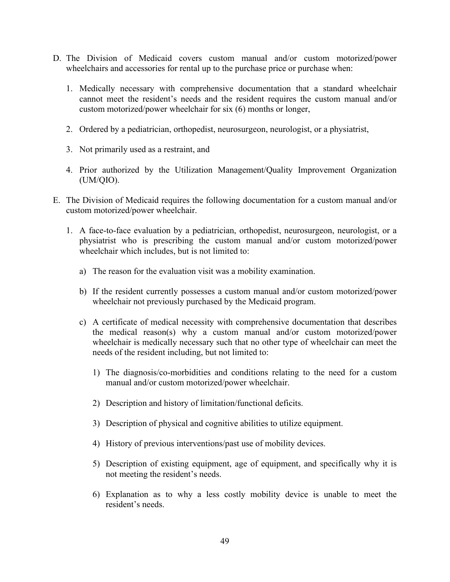- D. The Division of Medicaid covers custom manual and/or custom motorized/power wheelchairs and accessories for rental up to the purchase price or purchase when:
	- 1. Medically necessary with comprehensive documentation that a standard wheelchair cannot meet the resident's needs and the resident requires the custom manual and/or custom motorized/power wheelchair for six (6) months or longer,
	- 2. Ordered by a pediatrician, orthopedist, neurosurgeon, neurologist, or a physiatrist,
	- 3. Not primarily used as a restraint, and
	- 4. Prior authorized by the Utilization Management/Quality Improvement Organization (UM/QIO).
- E. The Division of Medicaid requires the following documentation for a custom manual and/or custom motorized/power wheelchair.
	- 1. A face-to-face evaluation by a pediatrician, orthopedist, neurosurgeon, neurologist, or a physiatrist who is prescribing the custom manual and/or custom motorized/power wheelchair which includes, but is not limited to:
		- a) The reason for the evaluation visit was a mobility examination.
		- b) If the resident currently possesses a custom manual and/or custom motorized/power wheelchair not previously purchased by the Medicaid program.
		- c) A certificate of medical necessity with comprehensive documentation that describes the medical reason(s) why a custom manual and/or custom motorized/power wheelchair is medically necessary such that no other type of wheelchair can meet the needs of the resident including, but not limited to:
			- 1) The diagnosis/co-morbidities and conditions relating to the need for a custom manual and/or custom motorized/power wheelchair.
			- 2) Description and history of limitation/functional deficits.
			- 3) Description of physical and cognitive abilities to utilize equipment.
			- 4) History of previous interventions/past use of mobility devices.
			- 5) Description of existing equipment, age of equipment, and specifically why it is not meeting the resident's needs.
			- 6) Explanation as to why a less costly mobility device is unable to meet the resident's needs.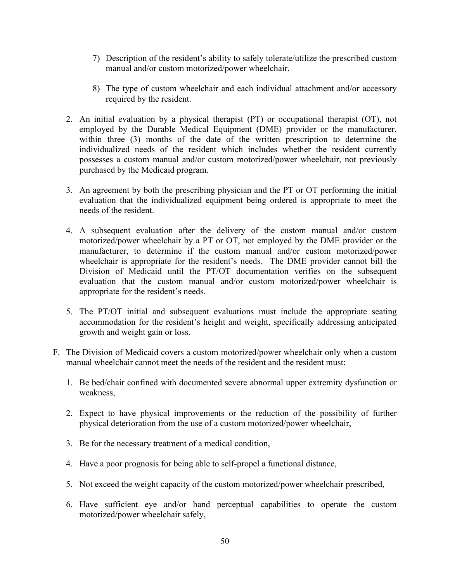- 7) Description of the resident's ability to safely tolerate/utilize the prescribed custom manual and/or custom motorized/power wheelchair.
- 8) The type of custom wheelchair and each individual attachment and/or accessory required by the resident.
- 2. An initial evaluation by a physical therapist (PT) or occupational therapist (OT), not employed by the Durable Medical Equipment (DME) provider or the manufacturer, within three (3) months of the date of the written prescription to determine the individualized needs of the resident which includes whether the resident currently possesses a custom manual and/or custom motorized/power wheelchair, not previously purchased by the Medicaid program.
- 3. An agreement by both the prescribing physician and the PT or OT performing the initial evaluation that the individualized equipment being ordered is appropriate to meet the needs of the resident.
- 4. A subsequent evaluation after the delivery of the custom manual and/or custom motorized/power wheelchair by a PT or OT, not employed by the DME provider or the manufacturer, to determine if the custom manual and/or custom motorized/power wheelchair is appropriate for the resident's needs. The DME provider cannot bill the Division of Medicaid until the PT/OT documentation verifies on the subsequent evaluation that the custom manual and/or custom motorized/power wheelchair is appropriate for the resident's needs.
- 5. The PT/OT initial and subsequent evaluations must include the appropriate seating accommodation for the resident's height and weight, specifically addressing anticipated growth and weight gain or loss.
- F. The Division of Medicaid covers a custom motorized/power wheelchair only when a custom manual wheelchair cannot meet the needs of the resident and the resident must:
	- 1. Be bed/chair confined with documented severe abnormal upper extremity dysfunction or weakness,
	- 2. Expect to have physical improvements or the reduction of the possibility of further physical deterioration from the use of a custom motorized/power wheelchair,
	- 3. Be for the necessary treatment of a medical condition,
	- 4. Have a poor prognosis for being able to self-propel a functional distance,
	- 5. Not exceed the weight capacity of the custom motorized/power wheelchair prescribed,
	- 6. Have sufficient eye and/or hand perceptual capabilities to operate the custom motorized/power wheelchair safely,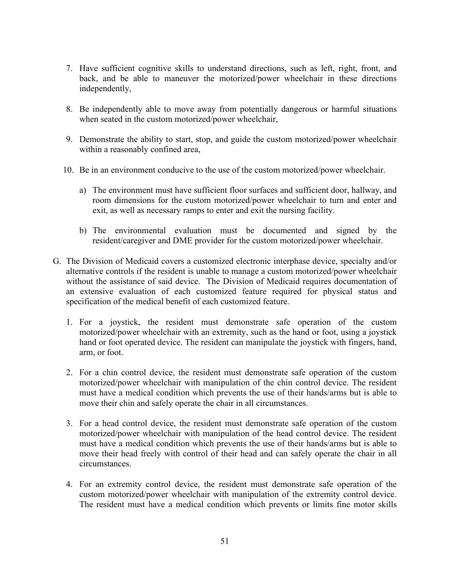- 7. Have sufficient cognitive skills to understand directions, such as left, right, front, and back, and be able to maneuver the motorized/power wheelchair in these directions independently,
- 8. Be independently able to move away from potentially dangerous or harmful situations when seated in the custom motorized/power wheelchair,
- 9. Demonstrate the ability to start, stop, and guide the custom motorized/power wheelchair within a reasonably confined area,
- 10. Be in an environment conducive to the use of the custom motorized/power wheelchair.
	- a) The environment must have sufficient floor surfaces and sufficient door, hallway, and room dimensions for the custom motorized/power wheelchair to turn and enter and exit, as well as necessary ramps to enter and exit the nursing facility.
	- b) The environmental evaluation must be documented and signed by the resident/caregiver and DME provider for the custom motorized/power wheelchair.
- G. The Division of Medicaid covers a customized electronic interphase device, specialty and/or alternative controls if the resident is unable to manage a custom motorized/power wheelchair without the assistance of said device. The Division of Medicaid requires documentation of an extensive evaluation of each customized feature required for physical status and specification of the medical benefit of each customized feature.
	- 1. For a joystick, the resident must demonstrate safe operation of the custom motorized/power wheelchair with an extremity, such as the hand or foot, using a joystick hand or foot operated device. The resident can manipulate the joystick with fingers, hand, arm, or foot.
	- 2. For a chin control device, the resident must demonstrate safe operation of the custom motorized/power wheelchair with manipulation of the chin control device. The resident must have a medical condition which prevents the use of their hands/arms but is able to move their chin and safely operate the chair in all circumstances.
	- 3. For a head control device, the resident must demonstrate safe operation of the custom motorized/power wheelchair with manipulation of the head control device. The resident must have a medical condition which prevents the use of their hands/arms but is able to move their head freely with control of their head and can safely operate the chair in all circumstances.
	- 4. For an extremity control device, the resident must demonstrate safe operation of the custom motorized/power wheelchair with manipulation of the extremity control device. The resident must have a medical condition which prevents or limits fine motor skills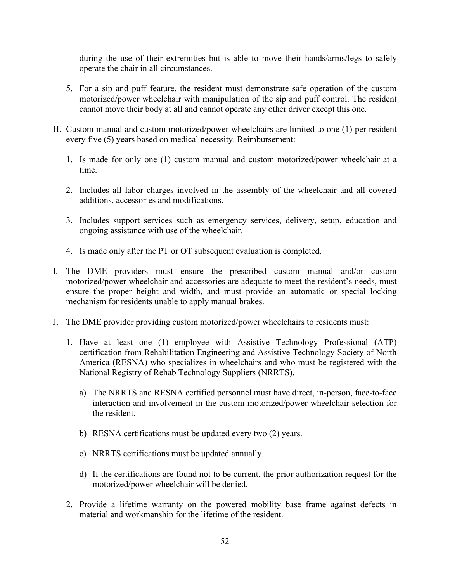during the use of their extremities but is able to move their hands/arms/legs to safely operate the chair in all circumstances.

- 5. For a sip and puff feature, the resident must demonstrate safe operation of the custom motorized/power wheelchair with manipulation of the sip and puff control. The resident cannot move their body at all and cannot operate any other driver except this one.
- H. Custom manual and custom motorized/power wheelchairs are limited to one (1) per resident every five (5) years based on medical necessity. Reimbursement:
	- 1. Is made for only one (1) custom manual and custom motorized/power wheelchair at a time.
	- 2. Includes all labor charges involved in the assembly of the wheelchair and all covered additions, accessories and modifications.
	- 3. Includes support services such as emergency services, delivery, setup, education and ongoing assistance with use of the wheelchair.
	- 4. Is made only after the PT or OT subsequent evaluation is completed.
- I. The DME providers must ensure the prescribed custom manual and/or custom motorized/power wheelchair and accessories are adequate to meet the resident's needs, must ensure the proper height and width, and must provide an automatic or special locking mechanism for residents unable to apply manual brakes.
- J. The DME provider providing custom motorized/power wheelchairs to residents must:
	- 1. Have at least one (1) employee with Assistive Technology Professional (ATP) certification from Rehabilitation Engineering and Assistive Technology Society of North America (RESNA) who specializes in wheelchairs and who must be registered with the National Registry of Rehab Technology Suppliers (NRRTS).
		- a) The NRRTS and RESNA certified personnel must have direct, in-person, face-to-face interaction and involvement in the custom motorized/power wheelchair selection for the resident.
		- b) RESNA certifications must be updated every two (2) years.
		- c) NRRTS certifications must be updated annually.
		- d) If the certifications are found not to be current, the prior authorization request for the motorized/power wheelchair will be denied.
	- 2. Provide a lifetime warranty on the powered mobility base frame against defects in material and workmanship for the lifetime of the resident.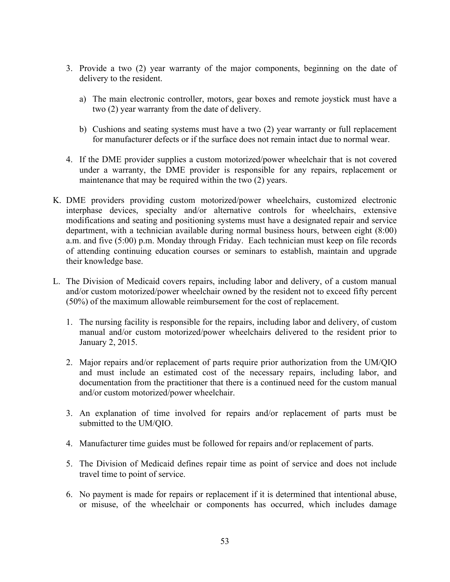- 3. Provide a two (2) year warranty of the major components, beginning on the date of delivery to the resident.
	- a) The main electronic controller, motors, gear boxes and remote joystick must have a two (2) year warranty from the date of delivery.
	- b) Cushions and seating systems must have a two (2) year warranty or full replacement for manufacturer defects or if the surface does not remain intact due to normal wear.
- 4. If the DME provider supplies a custom motorized/power wheelchair that is not covered under a warranty, the DME provider is responsible for any repairs, replacement or maintenance that may be required within the two (2) years.
- K. DME providers providing custom motorized/power wheelchairs, customized electronic interphase devices, specialty and/or alternative controls for wheelchairs, extensive modifications and seating and positioning systems must have a designated repair and service department, with a technician available during normal business hours, between eight (8:00) a.m. and five (5:00) p.m. Monday through Friday. Each technician must keep on file records of attending continuing education courses or seminars to establish, maintain and upgrade their knowledge base.
- L. The Division of Medicaid covers repairs, including labor and delivery, of a custom manual and/or custom motorized/power wheelchair owned by the resident not to exceed fifty percent (50%) of the maximum allowable reimbursement for the cost of replacement.
	- 1. The nursing facility is responsible for the repairs, including labor and delivery, of custom manual and/or custom motorized/power wheelchairs delivered to the resident prior to January 2, 2015.
	- 2. Major repairs and/or replacement of parts require prior authorization from the UM/QIO and must include an estimated cost of the necessary repairs, including labor, and documentation from the practitioner that there is a continued need for the custom manual and/or custom motorized/power wheelchair.
	- 3. An explanation of time involved for repairs and/or replacement of parts must be submitted to the UM/QIO.
	- 4. Manufacturer time guides must be followed for repairs and/or replacement of parts.
	- 5. The Division of Medicaid defines repair time as point of service and does not include travel time to point of service.
	- 6. No payment is made for repairs or replacement if it is determined that intentional abuse, or misuse, of the wheelchair or components has occurred, which includes damage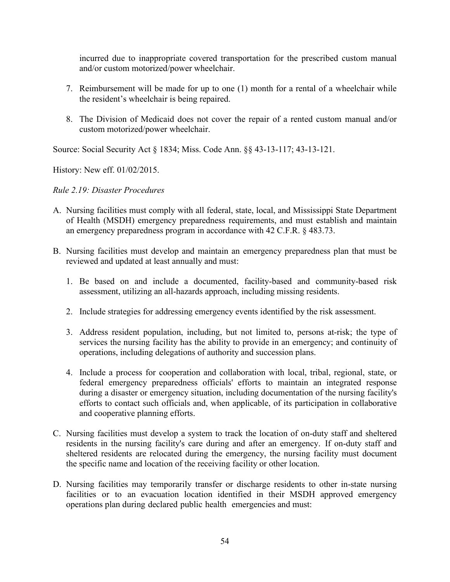incurred due to inappropriate covered transportation for the prescribed custom manual and/or custom motorized/power wheelchair.

- 7. Reimbursement will be made for up to one (1) month for a rental of a wheelchair while the resident's wheelchair is being repaired.
- 8. The Division of Medicaid does not cover the repair of a rented custom manual and/or custom motorized/power wheelchair.

Source: Social Security Act § 1834; Miss. Code Ann. §§ 43-13-117; 43-13-121.

History: New eff. 01/02/2015.

## *Rule 2.19: Disaster Procedures*

- A. Nursing facilities must comply with all federal, state, local, and Mississippi State Department of Health (MSDH) emergency preparedness requirements, and must establish and maintain an emergency preparedness program in accordance with 42 C.F.R. § 483.73.
- B. Nursing facilities must develop and maintain an emergency preparedness plan that must be reviewed and updated at least annually and must:
	- 1. Be based on and include a documented, facility-based and community-based risk assessment, utilizing an all-hazards approach, including missing residents.
	- 2. Include strategies for addressing emergency events identified by the risk assessment.
	- 3. Address resident population, including, but not limited to, persons at-risk; the type of services the nursing facility has the ability to provide in an emergency; and continuity of operations, including delegations of authority and succession plans.
	- 4. Include a process for cooperation and collaboration with local, tribal, regional, state, or federal emergency preparedness officials' efforts to maintain an integrated response during a disaster or emergency situation, including documentation of the nursing facility's efforts to contact such officials and, when applicable, of its participation in collaborative and cooperative planning efforts.
- C. Nursing facilities must develop a system to track the location of on-duty staff and sheltered residents in the nursing facility's care during and after an emergency. If on-duty staff and sheltered residents are relocated during the emergency, the nursing facility must document the specific name and location of the receiving facility or other location.
- D. Nursing facilities may temporarily transfer or discharge residents to other in-state nursing facilities or to an evacuation location identified in their MSDH approved emergency operations plan during declared public health emergencies and must: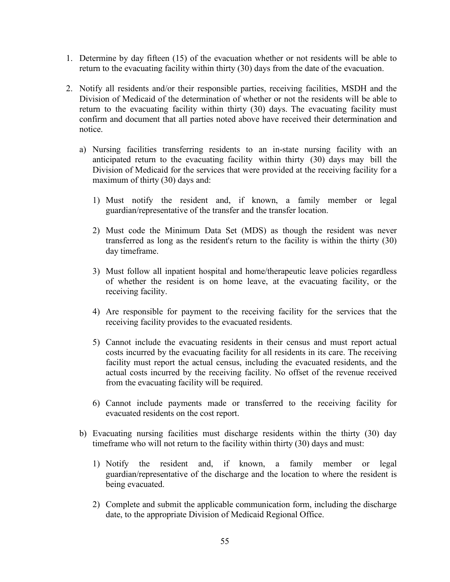- 1. Determine by day fifteen (15) of the evacuation whether or not residents will be able to return to the evacuating facility within thirty (30) days from the date of the evacuation.
- 2. Notify all residents and/or their responsible parties, receiving facilities, MSDH and the Division of Medicaid of the determination of whether or not the residents will be able to return to the evacuating facility within thirty (30) days. The evacuating facility must confirm and document that all parties noted above have received their determination and notice.
	- a) Nursing facilities transferring residents to an in-state nursing facility with an anticipated return to the evacuating facility within thirty (30) days may bill the Division of Medicaid for the services that were provided at the receiving facility for a maximum of thirty (30) days and:
		- 1) Must notify the resident and, if known, a family member or legal guardian/representative of the transfer and the transfer location.
		- 2) Must code the Minimum Data Set (MDS) as though the resident was never transferred as long as the resident's return to the facility is within the thirty (30) day timeframe.
		- 3) Must follow all inpatient hospital and home/therapeutic leave policies regardless of whether the resident is on home leave, at the evacuating facility, or the receiving facility.
		- 4) Are responsible for payment to the receiving facility for the services that the receiving facility provides to the evacuated residents.
		- 5) Cannot include the evacuating residents in their census and must report actual costs incurred by the evacuating facility for all residents in its care. The receiving facility must report the actual census, including the evacuated residents, and the actual costs incurred by the receiving facility. No offset of the revenue received from the evacuating facility will be required.
		- 6) Cannot include payments made or transferred to the receiving facility for evacuated residents on the cost report.
	- b) Evacuating nursing facilities must discharge residents within the thirty (30) day timeframe who will not return to the facility within thirty (30) days and must:
		- 1) Notify the resident and, if known, a family member or legal guardian/representative of the discharge and the location to where the resident is being evacuated.
		- 2) Complete and submit the applicable communication form, including the discharge date, to the appropriate Division of Medicaid Regional Office.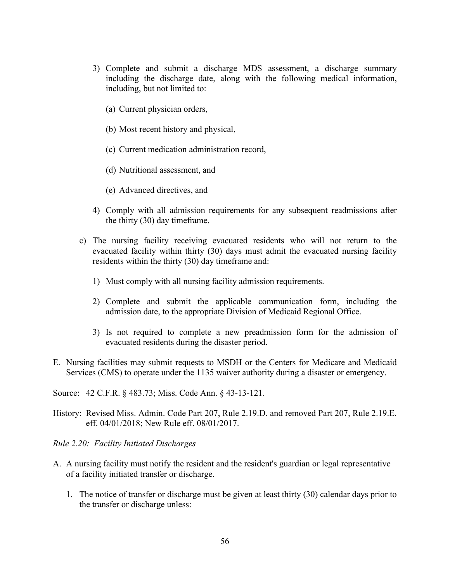- 3) Complete and submit a discharge MDS assessment, a discharge summary including the discharge date, along with the following medical information, including, but not limited to:
	- (a) Current physician orders,
	- (b) Most recent history and physical,
	- (c) Current medication administration record,
	- (d) Nutritional assessment, and
	- (e) Advanced directives, and
- 4) Comply with all admission requirements for any subsequent readmissions after the thirty (30) day timeframe.
- c) The nursing facility receiving evacuated residents who will not return to the evacuated facility within thirty (30) days must admit the evacuated nursing facility residents within the thirty (30) day timeframe and:
	- 1) Must comply with all nursing facility admission requirements.
	- 2) Complete and submit the applicable communication form, including the admission date, to the appropriate Division of Medicaid Regional Office.
	- 3) Is not required to complete a new preadmission form for the admission of evacuated residents during the disaster period.
- E. Nursing facilities may submit requests to MSDH or the Centers for Medicare and Medicaid Services (CMS) to operate under the 1135 waiver authority during a disaster or emergency.

Source: 42 C.F.R. § 483.73; Miss. Code Ann. § 43-13-121.

- History: Revised Miss. Admin. Code Part 207, Rule 2.19.D. and removed Part 207, Rule 2.19.E. eff. 04/01/2018; New Rule eff. 08/01/2017.
- *Rule 2.20: Facility Initiated Discharges*
- A. A nursing facility must notify the resident and the resident's guardian or legal representative of a facility initiated transfer or discharge.
	- 1. The notice of transfer or discharge must be given at least thirty (30) calendar days prior to the transfer or discharge unless: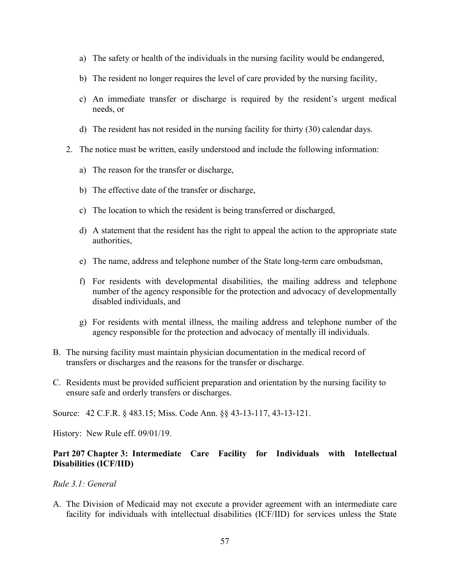- a) The safety or health of the individuals in the nursing facility would be endangered,
- b) The resident no longer requires the level of care provided by the nursing facility,
- c) An immediate transfer or discharge is required by the resident's urgent medical needs, or
- d) The resident has not resided in the nursing facility for thirty (30) calendar days.
- 2. The notice must be written, easily understood and include the following information:
	- a) The reason for the transfer or discharge,
	- b) The effective date of the transfer or discharge,
	- c) The location to which the resident is being transferred or discharged,
	- d) A statement that the resident has the right to appeal the action to the appropriate state authorities,
	- e) The name, address and telephone number of the State long-term care ombudsman,
	- f) For residents with developmental disabilities, the mailing address and telephone number of the agency responsible for the protection and advocacy of developmentally disabled individuals, and
	- g) For residents with mental illness, the mailing address and telephone number of the agency responsible for the protection and advocacy of mentally ill individuals.
- B. The nursing facility must maintain physician documentation in the medical record of transfers or discharges and the reasons for the transfer or discharge.
- C. Residents must be provided sufficient preparation and orientation by the nursing facility to ensure safe and orderly transfers or discharges.

Source: 42 C.F.R. § 483.15; Miss. Code Ann. §§ 43-13-117, 43-13-121.

History: New Rule eff. 09/01/19.

## **Part 207 Chapter 3: Intermediate Care Facility for Individuals with Intellectual Disabilities (ICF/IID)**

#### *Rule 3.1: General*

A. The Division of Medicaid may not execute a provider agreement with an intermediate care facility for individuals with intellectual disabilities (ICF/IID) for services unless the State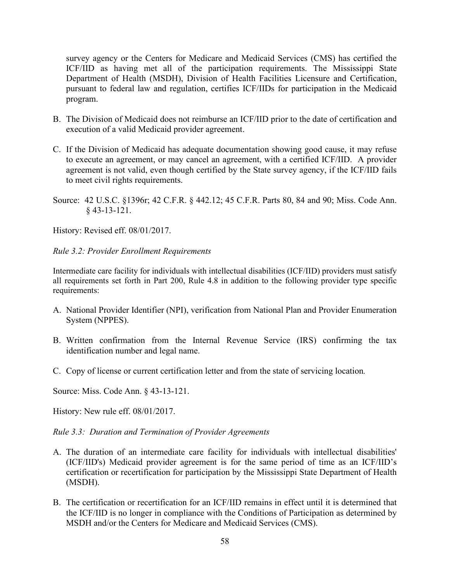survey agency or the Centers for Medicare and Medicaid Services (CMS) has certified the ICF/IID as having met all of the participation requirements. The Mississippi State Department of Health (MSDH), Division of Health Facilities Licensure and Certification, pursuant to federal law and regulation, certifies ICF/IIDs for participation in the Medicaid program.

- B. The Division of Medicaid does not reimburse an ICF/IID prior to the date of certification and execution of a valid Medicaid provider agreement.
- C. If the Division of Medicaid has adequate documentation showing good cause, it may refuse to execute an agreement, or may cancel an agreement, with a certified ICF/IID. A provider agreement is not valid, even though certified by the State survey agency, if the ICF/IID fails to meet civil rights requirements.
- Source: 42 U.S.C. §1396r; 42 C.F.R. § 442.12; 45 C.F.R. Parts 80, 84 and 90; Miss. Code Ann. § 43-13-121.

History: Revised eff. 08/01/2017.

*Rule 3.2: Provider Enrollment Requirements*

Intermediate care facility for individuals with intellectual disabilities (ICF/IID) providers must satisfy all requirements set forth in Part 200, Rule 4.8 in addition to the following provider type specific requirements:

- A. National Provider Identifier (NPI), verification from National Plan and Provider Enumeration System (NPPES).
- B. Written confirmation from the Internal Revenue Service (IRS) confirming the tax identification number and legal name.
- C. Copy of license or current certification letter and from the state of servicing location*.*

Source: Miss. Code Ann. § 43-13-121.

History: New rule eff. 08/01/2017.

#### *Rule 3.3: Duration and Termination of Provider Agreements*

- A. The duration of an intermediate care facility for individuals with intellectual disabilities' (ICF/IID's) Medicaid provider agreement is for the same period of time as an ICF/IID's certification or recertification for participation by the Mississippi State Department of Health (MSDH).
- B. The certification or recertification for an ICF/IID remains in effect until it is determined that the ICF/IID is no longer in compliance with the Conditions of Participation as determined by MSDH and/or the Centers for Medicare and Medicaid Services (CMS).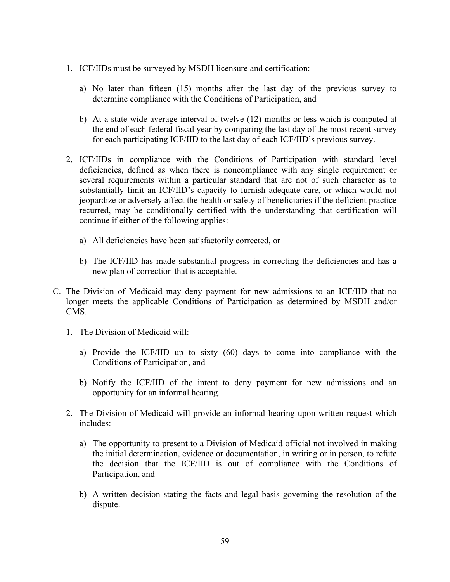- 1. ICF/IIDs must be surveyed by MSDH licensure and certification:
	- a) No later than fifteen (15) months after the last day of the previous survey to determine compliance with the Conditions of Participation, and
	- b) At a state-wide average interval of twelve (12) months or less which is computed at the end of each federal fiscal year by comparing the last day of the most recent survey for each participating ICF/IID to the last day of each ICF/IID's previous survey.
- 2. ICF/IIDs in compliance with the Conditions of Participation with standard level deficiencies, defined as when there is noncompliance with any single requirement or several requirements within a particular standard that are not of such character as to substantially limit an ICF/IID's capacity to furnish adequate care, or which would not jeopardize or adversely affect the health or safety of beneficiaries if the deficient practice recurred, may be conditionally certified with the understanding that certification will continue if either of the following applies:
	- a) All deficiencies have been satisfactorily corrected, or
	- b) The ICF/IID has made substantial progress in correcting the deficiencies and has a new plan of correction that is acceptable.
- C. The Division of Medicaid may deny payment for new admissions to an ICF/IID that no longer meets the applicable Conditions of Participation as determined by MSDH and/or CMS.
	- 1. The Division of Medicaid will:
		- a) Provide the ICF/IID up to sixty (60) days to come into compliance with the Conditions of Participation, and
		- b) Notify the ICF/IID of the intent to deny payment for new admissions and an opportunity for an informal hearing.
	- 2. The Division of Medicaid will provide an informal hearing upon written request which includes:
		- a) The opportunity to present to a Division of Medicaid official not involved in making the initial determination, evidence or documentation, in writing or in person, to refute the decision that the ICF/IID is out of compliance with the Conditions of Participation, and
		- b) A written decision stating the facts and legal basis governing the resolution of the dispute.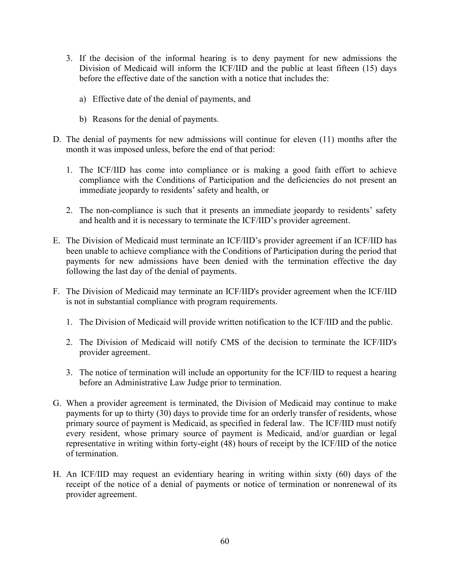- 3. If the decision of the informal hearing is to deny payment for new admissions the Division of Medicaid will inform the ICF/IID and the public at least fifteen (15) days before the effective date of the sanction with a notice that includes the:
	- a) Effective date of the denial of payments, and
	- b) Reasons for the denial of payments.
- D. The denial of payments for new admissions will continue for eleven (11) months after the month it was imposed unless, before the end of that period:
	- 1. The ICF/IID has come into compliance or is making a good faith effort to achieve compliance with the Conditions of Participation and the deficiencies do not present an immediate jeopardy to residents' safety and health, or
	- 2. The non-compliance is such that it presents an immediate jeopardy to residents' safety and health and it is necessary to terminate the ICF/IID's provider agreement.
- E. The Division of Medicaid must terminate an ICF/IID's provider agreement if an ICF/IID has been unable to achieve compliance with the Conditions of Participation during the period that payments for new admissions have been denied with the termination effective the day following the last day of the denial of payments.
- F. The Division of Medicaid may terminate an ICF/IID's provider agreement when the ICF/IID is not in substantial compliance with program requirements.
	- 1. The Division of Medicaid will provide written notification to the ICF/IID and the public.
	- 2. The Division of Medicaid will notify CMS of the decision to terminate the ICF/IID's provider agreement.
	- 3. The notice of termination will include an opportunity for the ICF/IID to request a hearing before an Administrative Law Judge prior to termination.
- G. When a provider agreement is terminated, the Division of Medicaid may continue to make payments for up to thirty (30) days to provide time for an orderly transfer of residents, whose primary source of payment is Medicaid, as specified in federal law. The ICF/IID must notify every resident, whose primary source of payment is Medicaid, and/or guardian or legal representative in writing within forty-eight (48) hours of receipt by the ICF/IID of the notice of termination.
- H. An ICF/IID may request an evidentiary hearing in writing within sixty (60) days of the receipt of the notice of a denial of payments or notice of termination or nonrenewal of its provider agreement.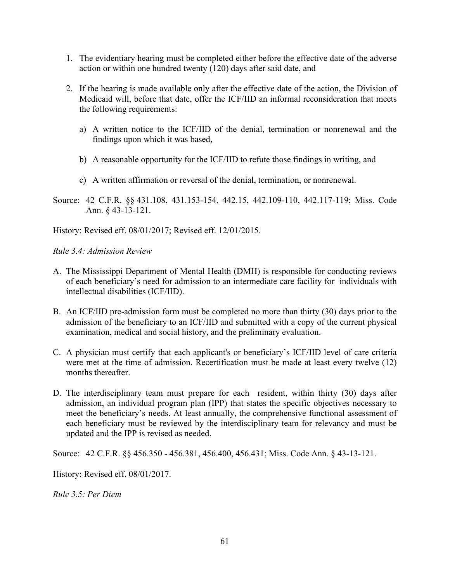- 1. The evidentiary hearing must be completed either before the effective date of the adverse action or within one hundred twenty (120) days after said date, and
- 2. If the hearing is made available only after the effective date of the action, the Division of Medicaid will, before that date, offer the ICF/IID an informal reconsideration that meets the following requirements:
	- a) A written notice to the ICF/IID of the denial, termination or nonrenewal and the findings upon which it was based,
	- b) A reasonable opportunity for the ICF/IID to refute those findings in writing, and
	- c) A written affirmation or reversal of the denial, termination, or nonrenewal.
- Source: 42 C.F.R. §§ 431.108, 431.153-154, 442.15, 442.109-110, 442.117-119; Miss. Code Ann. § 43-13-121.

History: Revised eff. 08/01/2017; Revised eff. 12/01/2015.

*Rule 3.4: Admission Review*

- A. The Mississippi Department of Mental Health (DMH) is responsible for conducting reviews of each beneficiary's need for admission to an intermediate care facility for individuals with intellectual disabilities (ICF/IID).
- B. An ICF/IID pre-admission form must be completed no more than thirty (30) days prior to the admission of the beneficiary to an ICF/IID and submitted with a copy of the current physical examination, medical and social history, and the preliminary evaluation.
- C. A physician must certify that each applicant's or beneficiary's ICF/IID level of care criteria were met at the time of admission. Recertification must be made at least every twelve (12) months thereafter.
- D. The interdisciplinary team must prepare for each resident, within thirty (30) days after admission, an individual program plan (IPP) that states the specific objectives necessary to meet the beneficiary's needs. At least annually, the comprehensive functional assessment of each beneficiary must be reviewed by the interdisciplinary team for relevancy and must be updated and the IPP is revised as needed.

Source: 42 C.F.R. §§ 456.350 - 456.381, 456.400, 456.431; Miss. Code Ann. § 43-13-121.

History: Revised eff. 08/01/2017.

*Rule 3.5: Per Diem*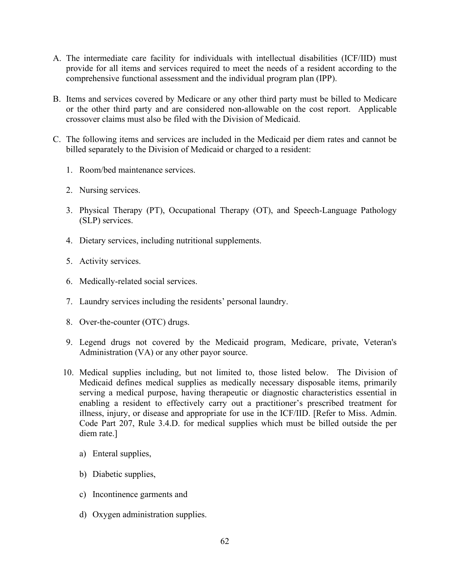- A. The intermediate care facility for individuals with intellectual disabilities (ICF/IID) must provide for all items and services required to meet the needs of a resident according to the comprehensive functional assessment and the individual program plan (IPP).
- B. Items and services covered by Medicare or any other third party must be billed to Medicare or the other third party and are considered non-allowable on the cost report. Applicable crossover claims must also be filed with the Division of Medicaid.
- C. The following items and services are included in the Medicaid per diem rates and cannot be billed separately to the Division of Medicaid or charged to a resident:
	- 1. Room/bed maintenance services.
	- 2. Nursing services.
	- 3. Physical Therapy (PT), Occupational Therapy (OT), and Speech-Language Pathology (SLP) services.
	- 4. Dietary services, including nutritional supplements.
	- 5. Activity services.
	- 6. Medically-related social services.
	- 7. Laundry services including the residents' personal laundry.
	- 8. Over-the-counter (OTC) drugs.
	- 9. Legend drugs not covered by the Medicaid program, Medicare, private, Veteran's Administration (VA) or any other payor source.
	- 10. Medical supplies including, but not limited to, those listed below. The Division of Medicaid defines medical supplies as medically necessary disposable items, primarily serving a medical purpose, having therapeutic or diagnostic characteristics essential in enabling a resident to effectively carry out a practitioner's prescribed treatment for illness, injury, or disease and appropriate for use in the ICF/IID. [Refer to Miss. Admin. Code Part 207, Rule 3.4.D. for medical supplies which must be billed outside the per diem rate.]
		- a) Enteral supplies,
		- b) Diabetic supplies,
		- c) Incontinence garments and
		- d) Oxygen administration supplies.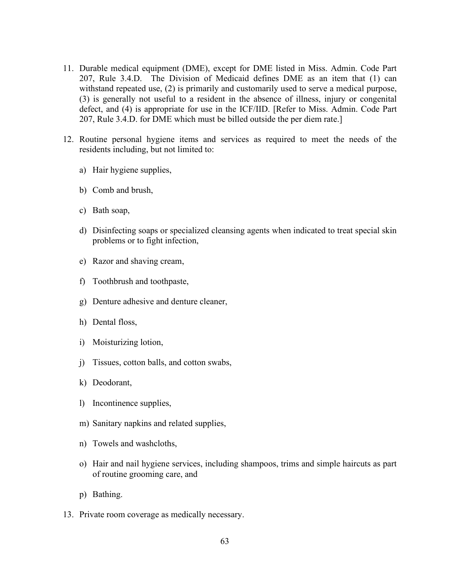- 11. Durable medical equipment (DME), except for DME listed in Miss. Admin. Code Part 207, Rule 3.4.D. The Division of Medicaid defines DME as an item that (1) can withstand repeated use, (2) is primarily and customarily used to serve a medical purpose, (3) is generally not useful to a resident in the absence of illness, injury or congenital defect, and (4) is appropriate for use in the ICF/IID. [Refer to Miss. Admin. Code Part 207, Rule 3.4.D. for DME which must be billed outside the per diem rate.]
- 12. Routine personal hygiene items and services as required to meet the needs of the residents including, but not limited to:
	- a) Hair hygiene supplies,
	- b) Comb and brush,
	- c) Bath soap,
	- d) Disinfecting soaps or specialized cleansing agents when indicated to treat special skin problems or to fight infection,
	- e) Razor and shaving cream,
	- f) Toothbrush and toothpaste,
	- g) Denture adhesive and denture cleaner,
	- h) Dental floss,
	- i) Moisturizing lotion,
	- j) Tissues, cotton balls, and cotton swabs,
	- k) Deodorant,
	- l) Incontinence supplies,
	- m) Sanitary napkins and related supplies,
	- n) Towels and washcloths,
	- o) Hair and nail hygiene services, including shampoos, trims and simple haircuts as part of routine grooming care, and
	- p) Bathing.
- 13. Private room coverage as medically necessary.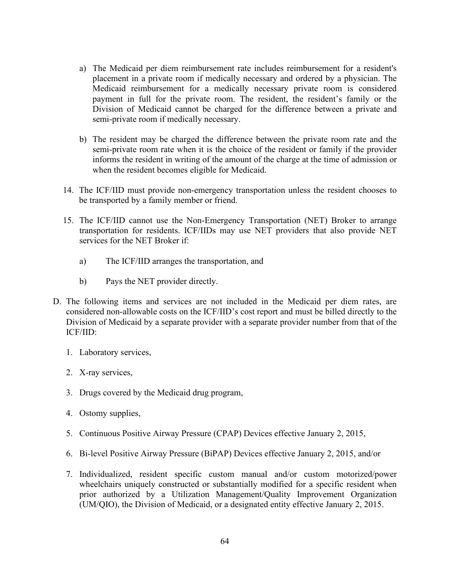- a) The Medicaid per diem reimbursement rate includes reimbursement for a resident's placement in a private room if medically necessary and ordered by a physician. The Medicaid reimbursement for a medically necessary private room is considered payment in full for the private room. The resident, the resident's family or the Division of Medicaid cannot be charged for the difference between a private and semi-private room if medically necessary.
- b) The resident may be charged the difference between the private room rate and the semi-private room rate when it is the choice of the resident or family if the provider informs the resident in writing of the amount of the charge at the time of admission or when the resident becomes eligible for Medicaid.
- 14. The ICF/IID must provide non-emergency transportation unless the resident chooses to be transported by a family member or friend.
- 15. The ICF/IID cannot use the Non-Emergency Transportation (NET) Broker to arrange transportation for residents. ICF/IIDs may use NET providers that also provide NET services for the NET Broker if:
	- a) The ICF/IID arranges the transportation, and
	- b) Pays the NET provider directly.
- D. The following items and services are not included in the Medicaid per diem rates, are considered non-allowable costs on the ICF/IID's cost report and must be billed directly to the Division of Medicaid by a separate provider with a separate provider number from that of the ICF/IID:
	- 1. Laboratory services,
	- 2. X-ray services,
	- 3. Drugs covered by the Medicaid drug program,
	- 4. Ostomy supplies,
	- 5. Continuous Positive Airway Pressure (CPAP) Devices effective January 2, 2015,
	- 6. Bi-level Positive Airway Pressure (BiPAP) Devices effective January 2, 2015, and/or
	- 7. Individualized, resident specific custom manual and/or custom motorized/power wheelchairs uniquely constructed or substantially modified for a specific resident when prior authorized by a Utilization Management/Quality Improvement Organization (UM/QIO), the Division of Medicaid, or a designated entity effective January 2, 2015.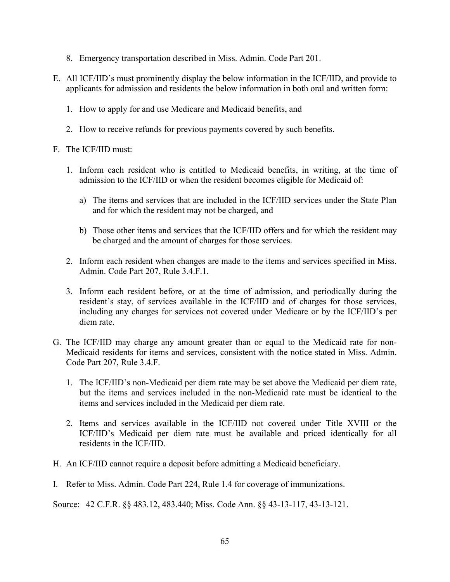- 8. Emergency transportation described in Miss. Admin. Code Part 201.
- E. All ICF/IID's must prominently display the below information in the ICF/IID, and provide to applicants for admission and residents the below information in both oral and written form:
	- 1. How to apply for and use Medicare and Medicaid benefits, and
	- 2. How to receive refunds for previous payments covered by such benefits.
- F. The ICF/IID must:
	- 1. Inform each resident who is entitled to Medicaid benefits, in writing, at the time of admission to the ICF/IID or when the resident becomes eligible for Medicaid of:
		- a) The items and services that are included in the ICF/IID services under the State Plan and for which the resident may not be charged, and
		- b) Those other items and services that the ICF/IID offers and for which the resident may be charged and the amount of charges for those services.
	- 2. Inform each resident when changes are made to the items and services specified in Miss. Admin. Code Part 207, Rule 3.4.F.1.
	- 3. Inform each resident before, or at the time of admission, and periodically during the resident's stay, of services available in the ICF/IID and of charges for those services, including any charges for services not covered under Medicare or by the ICF/IID's per diem rate.
- G. The ICF/IID may charge any amount greater than or equal to the Medicaid rate for non-Medicaid residents for items and services, consistent with the notice stated in Miss. Admin. Code Part 207, Rule 3.4.F.
	- 1. The ICF/IID's non-Medicaid per diem rate may be set above the Medicaid per diem rate, but the items and services included in the non-Medicaid rate must be identical to the items and services included in the Medicaid per diem rate.
	- 2. Items and services available in the ICF/IID not covered under Title XVIII or the ICF/IID's Medicaid per diem rate must be available and priced identically for all residents in the ICF/IID.
- H. An ICF/IID cannot require a deposit before admitting a Medicaid beneficiary.
- I. Refer to Miss. Admin. Code Part 224, Rule 1.4 for coverage of immunizations.

Source: 42 C.F.R. §§ 483.12, 483.440; Miss. Code Ann. §§ 43-13-117, 43-13-121.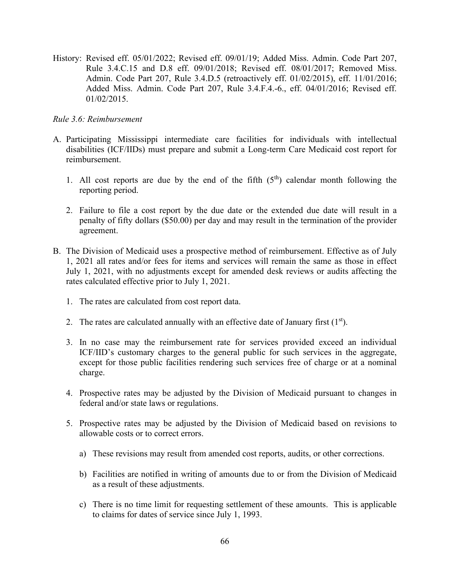History: Revised eff. 05/01/2022; Revised eff. 09/01/19; Added Miss. Admin. Code Part 207, Rule 3.4.C.15 and D.8 eff. 09/01/2018; Revised eff. 08/01/2017; Removed Miss. Admin. Code Part 207, Rule 3.4.D.5 (retroactively eff. 01/02/2015), eff. 11/01/2016; Added Miss. Admin. Code Part 207, Rule 3.4.F.4.-6., eff. 04/01/2016; Revised eff. 01/02/2015.

#### *Rule 3.6: Reimbursement*

- A. Participating Mississippi intermediate care facilities for individuals with intellectual disabilities (ICF/IIDs) must prepare and submit a Long-term Care Medicaid cost report for reimbursement.
	- 1. All cost reports are due by the end of the fifth  $(5<sup>th</sup>)$  calendar month following the reporting period.
	- 2. Failure to file a cost report by the due date or the extended due date will result in a penalty of fifty dollars (\$50.00) per day and may result in the termination of the provider agreement.
- B. The Division of Medicaid uses a prospective method of reimbursement. Effective as of July 1, 2021 all rates and/or fees for items and services will remain the same as those in effect July 1, 2021, with no adjustments except for amended desk reviews or audits affecting the rates calculated effective prior to July 1, 2021.
	- 1. The rates are calculated from cost report data.
	- 2. The rates are calculated annually with an effective date of January first  $(1<sup>st</sup>)$ .
	- 3. In no case may the reimbursement rate for services provided exceed an individual ICF/IID's customary charges to the general public for such services in the aggregate, except for those public facilities rendering such services free of charge or at a nominal charge.
	- 4. Prospective rates may be adjusted by the Division of Medicaid pursuant to changes in federal and/or state laws or regulations.
	- 5. Prospective rates may be adjusted by the Division of Medicaid based on revisions to allowable costs or to correct errors.
		- a) These revisions may result from amended cost reports, audits, or other corrections.
		- b) Facilities are notified in writing of amounts due to or from the Division of Medicaid as a result of these adjustments.
		- c) There is no time limit for requesting settlement of these amounts. This is applicable to claims for dates of service since July 1, 1993.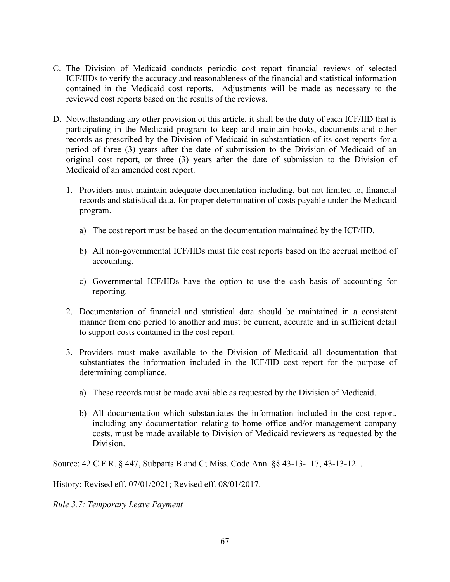- C. The Division of Medicaid conducts periodic cost report financial reviews of selected ICF/IIDs to verify the accuracy and reasonableness of the financial and statistical information contained in the Medicaid cost reports. Adjustments will be made as necessary to the reviewed cost reports based on the results of the reviews.
- D. Notwithstanding any other provision of this article, it shall be the duty of each ICF/IID that is participating in the Medicaid program to keep and maintain books, documents and other records as prescribed by the Division of Medicaid in substantiation of its cost reports for a period of three (3) years after the date of submission to the Division of Medicaid of an original cost report, or three (3) years after the date of submission to the Division of Medicaid of an amended cost report.
	- 1. Providers must maintain adequate documentation including, but not limited to, financial records and statistical data, for proper determination of costs payable under the Medicaid program.
		- a) The cost report must be based on the documentation maintained by the ICF/IID.
		- b) All non-governmental ICF/IIDs must file cost reports based on the accrual method of accounting.
		- c) Governmental ICF/IIDs have the option to use the cash basis of accounting for reporting.
	- 2. Documentation of financial and statistical data should be maintained in a consistent manner from one period to another and must be current, accurate and in sufficient detail to support costs contained in the cost report.
	- 3. Providers must make available to the Division of Medicaid all documentation that substantiates the information included in the ICF/IID cost report for the purpose of determining compliance.
		- a) These records must be made available as requested by the Division of Medicaid.
		- b) All documentation which substantiates the information included in the cost report, including any documentation relating to home office and/or management company costs, must be made available to Division of Medicaid reviewers as requested by the Division.

Source: 42 C.F.R. § 447, Subparts B and C; Miss. Code Ann. §§ 43-13-117, 43-13-121.

History: Revised eff. 07/01/2021; Revised eff. 08/01/2017.

*Rule 3.7: Temporary Leave Payment*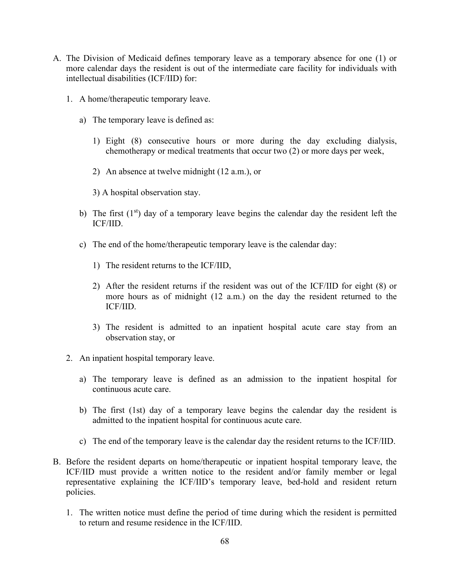- A. The Division of Medicaid defines temporary leave as a temporary absence for one (1) or more calendar days the resident is out of the intermediate care facility for individuals with intellectual disabilities (ICF/IID) for:
	- 1. A home/therapeutic temporary leave.
		- a) The temporary leave is defined as:
			- 1) Eight (8) consecutive hours or more during the day excluding dialysis, chemotherapy or medical treatments that occur two (2) or more days per week,
			- 2) An absence at twelve midnight (12 a.m.), or
			- 3) A hospital observation stay.
		- b) The first  $(1<sup>st</sup>)$  day of a temporary leave begins the calendar day the resident left the ICF/IID.
		- c) The end of the home/therapeutic temporary leave is the calendar day:
			- 1) The resident returns to the ICF/IID,
			- 2) After the resident returns if the resident was out of the ICF/IID for eight (8) or more hours as of midnight (12 a.m.) on the day the resident returned to the ICF/IID.
			- 3) The resident is admitted to an inpatient hospital acute care stay from an observation stay, or
	- 2. An inpatient hospital temporary leave.
		- a) The temporary leave is defined as an admission to the inpatient hospital for continuous acute care.
		- b) The first (1st) day of a temporary leave begins the calendar day the resident is admitted to the inpatient hospital for continuous acute care.
		- c) The end of the temporary leave is the calendar day the resident returns to the ICF/IID.
- B. Before the resident departs on home/therapeutic or inpatient hospital temporary leave, the ICF/IID must provide a written notice to the resident and/or family member or legal representative explaining the ICF/IID's temporary leave, bed-hold and resident return policies.
	- 1. The written notice must define the period of time during which the resident is permitted to return and resume residence in the ICF/IID.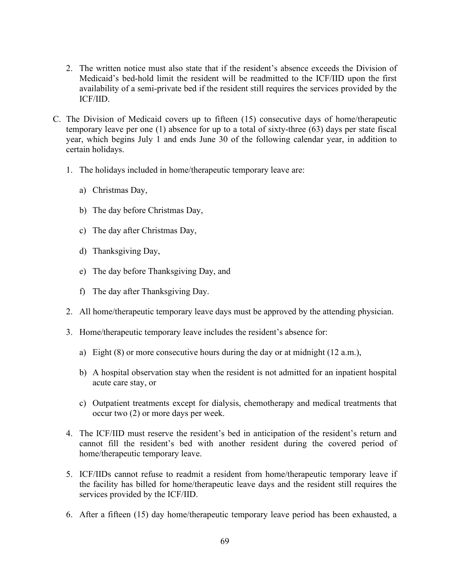- 2. The written notice must also state that if the resident's absence exceeds the Division of Medicaid's bed-hold limit the resident will be readmitted to the ICF/IID upon the first availability of a semi-private bed if the resident still requires the services provided by the ICF/IID.
- C. The Division of Medicaid covers up to fifteen (15) consecutive days of home/therapeutic temporary leave per one (1) absence for up to a total of sixty-three (63) days per state fiscal year, which begins July 1 and ends June 30 of the following calendar year, in addition to certain holidays.
	- 1. The holidays included in home/therapeutic temporary leave are:
		- a) Christmas Day,
		- b) The day before Christmas Day,
		- c) The day after Christmas Day,
		- d) Thanksgiving Day,
		- e) The day before Thanksgiving Day, and
		- f) The day after Thanksgiving Day.
	- 2. All home/therapeutic temporary leave days must be approved by the attending physician.
	- 3. Home/therapeutic temporary leave includes the resident's absence for:
		- a) Eight  $(8)$  or more consecutive hours during the day or at midnight  $(12 a.m.).$
		- b) A hospital observation stay when the resident is not admitted for an inpatient hospital acute care stay, or
		- c) Outpatient treatments except for dialysis, chemotherapy and medical treatments that occur two (2) or more days per week.
	- 4. The ICF/IID must reserve the resident's bed in anticipation of the resident's return and cannot fill the resident's bed with another resident during the covered period of home/therapeutic temporary leave.
	- 5. ICF/IIDs cannot refuse to readmit a resident from home/therapeutic temporary leave if the facility has billed for home/therapeutic leave days and the resident still requires the services provided by the ICF/IID.
	- 6. After a fifteen (15) day home/therapeutic temporary leave period has been exhausted, a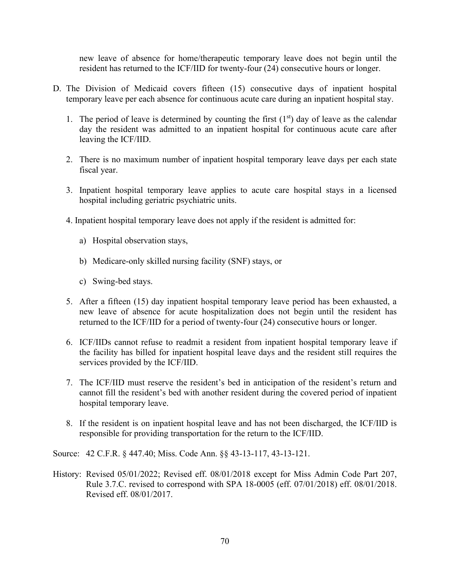new leave of absence for home/therapeutic temporary leave does not begin until the resident has returned to the ICF/IID for twenty-four (24) consecutive hours or longer.

- D. The Division of Medicaid covers fifteen (15) consecutive days of inpatient hospital temporary leave per each absence for continuous acute care during an inpatient hospital stay.
	- 1. The period of leave is determined by counting the first  $(1<sup>st</sup>)$  day of leave as the calendar day the resident was admitted to an inpatient hospital for continuous acute care after leaving the ICF/IID.
	- 2. There is no maximum number of inpatient hospital temporary leave days per each state fiscal year.
	- 3. Inpatient hospital temporary leave applies to acute care hospital stays in a licensed hospital including geriatric psychiatric units.
	- 4. Inpatient hospital temporary leave does not apply if the resident is admitted for:
		- a) Hospital observation stays,
		- b) Medicare-only skilled nursing facility (SNF) stays, or
		- c) Swing-bed stays.
	- 5. After a fifteen (15) day inpatient hospital temporary leave period has been exhausted, a new leave of absence for acute hospitalization does not begin until the resident has returned to the ICF/IID for a period of twenty-four (24) consecutive hours or longer.
	- 6. ICF/IIDs cannot refuse to readmit a resident from inpatient hospital temporary leave if the facility has billed for inpatient hospital leave days and the resident still requires the services provided by the ICF/IID.
	- 7. The ICF/IID must reserve the resident's bed in anticipation of the resident's return and cannot fill the resident's bed with another resident during the covered period of inpatient hospital temporary leave.
	- 8. If the resident is on inpatient hospital leave and has not been discharged, the ICF/IID is responsible for providing transportation for the return to the ICF/IID.

Source: 42 C.F.R. § 447.40; Miss. Code Ann. §§ 43-13-117, 43-13-121.

History: Revised 05/01/2022; Revised eff. 08/01/2018 except for Miss Admin Code Part 207, Rule 3.7.C. revised to correspond with SPA 18-0005 (eff. 07/01/2018) eff. 08/01/2018. Revised eff. 08/01/2017.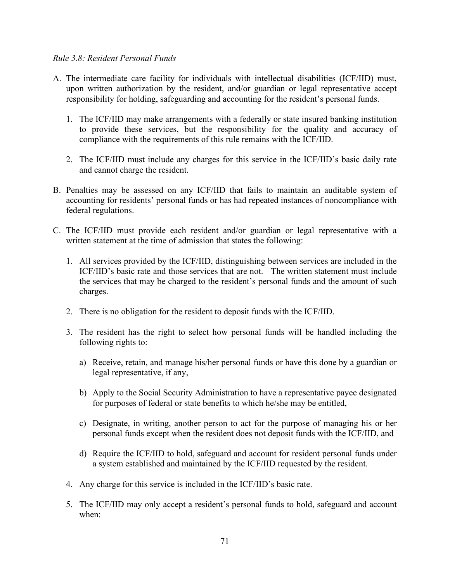#### *Rule 3.8: Resident Personal Funds*

- A. The intermediate care facility for individuals with intellectual disabilities (ICF/IID) must, upon written authorization by the resident, and/or guardian or legal representative accept responsibility for holding, safeguarding and accounting for the resident's personal funds.
	- 1. The ICF/IID may make arrangements with a federally or state insured banking institution to provide these services, but the responsibility for the quality and accuracy of compliance with the requirements of this rule remains with the ICF/IID.
	- 2. The ICF/IID must include any charges for this service in the ICF/IID's basic daily rate and cannot charge the resident.
- B. Penalties may be assessed on any ICF/IID that fails to maintain an auditable system of accounting for residents' personal funds or has had repeated instances of noncompliance with federal regulations.
- C. The ICF/IID must provide each resident and/or guardian or legal representative with a written statement at the time of admission that states the following:
	- 1. All services provided by the ICF/IID, distinguishing between services are included in the ICF/IID's basic rate and those services that are not. The written statement must include the services that may be charged to the resident's personal funds and the amount of such charges.
	- 2. There is no obligation for the resident to deposit funds with the ICF/IID.
	- 3. The resident has the right to select how personal funds will be handled including the following rights to:
		- a) Receive, retain, and manage his/her personal funds or have this done by a guardian or legal representative, if any,
		- b) Apply to the Social Security Administration to have a representative payee designated for purposes of federal or state benefits to which he/she may be entitled,
		- c) Designate, in writing, another person to act for the purpose of managing his or her personal funds except when the resident does not deposit funds with the ICF/IID, and
		- d) Require the ICF/IID to hold, safeguard and account for resident personal funds under a system established and maintained by the ICF/IID requested by the resident.
	- 4. Any charge for this service is included in the ICF/IID's basic rate.
	- 5. The ICF/IID may only accept a resident's personal funds to hold, safeguard and account when: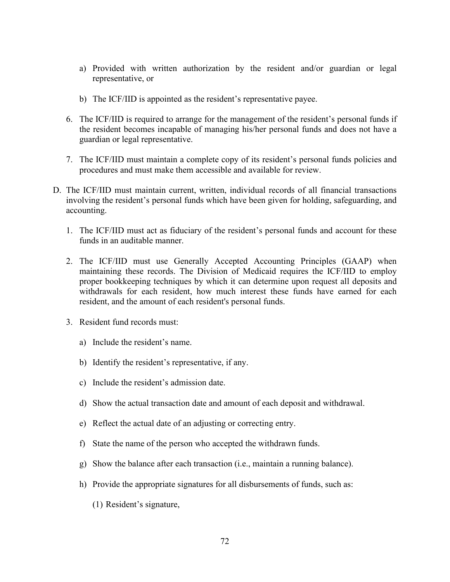- a) Provided with written authorization by the resident and/or guardian or legal representative, or
- b) The ICF/IID is appointed as the resident's representative payee.
- 6. The ICF/IID is required to arrange for the management of the resident's personal funds if the resident becomes incapable of managing his/her personal funds and does not have a guardian or legal representative.
- 7. The ICF/IID must maintain a complete copy of its resident's personal funds policies and procedures and must make them accessible and available for review.
- D. The ICF/IID must maintain current, written, individual records of all financial transactions involving the resident's personal funds which have been given for holding, safeguarding, and accounting.
	- 1. The ICF/IID must act as fiduciary of the resident's personal funds and account for these funds in an auditable manner.
	- 2. The ICF/IID must use Generally Accepted Accounting Principles (GAAP) when maintaining these records. The Division of Medicaid requires the ICF/IID to employ proper bookkeeping techniques by which it can determine upon request all deposits and withdrawals for each resident, how much interest these funds have earned for each resident, and the amount of each resident's personal funds.
	- 3. Resident fund records must:
		- a) Include the resident's name.
		- b) Identify the resident's representative, if any.
		- c) Include the resident's admission date.
		- d) Show the actual transaction date and amount of each deposit and withdrawal.
		- e) Reflect the actual date of an adjusting or correcting entry.
		- f) State the name of the person who accepted the withdrawn funds.
		- g) Show the balance after each transaction (i.e., maintain a running balance).
		- h) Provide the appropriate signatures for all disbursements of funds, such as:
			- (1) Resident's signature,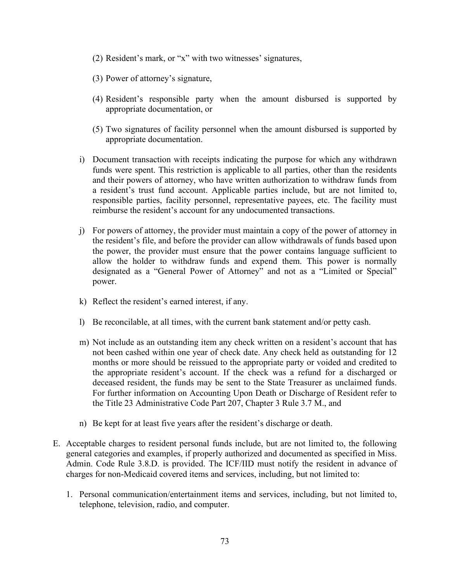- (2) Resident's mark, or "x" with two witnesses' signatures,
- (3) Power of attorney's signature,
- (4) Resident's responsible party when the amount disbursed is supported by appropriate documentation, or
- (5) Two signatures of facility personnel when the amount disbursed is supported by appropriate documentation.
- i) Document transaction with receipts indicating the purpose for which any withdrawn funds were spent. This restriction is applicable to all parties, other than the residents and their powers of attorney, who have written authorization to withdraw funds from a resident's trust fund account. Applicable parties include, but are not limited to, responsible parties, facility personnel, representative payees, etc. The facility must reimburse the resident's account for any undocumented transactions.
- j) For powers of attorney, the provider must maintain a copy of the power of attorney in the resident's file, and before the provider can allow withdrawals of funds based upon the power, the provider must ensure that the power contains language sufficient to allow the holder to withdraw funds and expend them. This power is normally designated as a "General Power of Attorney" and not as a "Limited or Special" power.
- k) Reflect the resident's earned interest, if any.
- l) Be reconcilable, at all times, with the current bank statement and/or petty cash.
- m) Not include as an outstanding item any check written on a resident's account that has not been cashed within one year of check date. Any check held as outstanding for 12 months or more should be reissued to the appropriate party or voided and credited to the appropriate resident's account. If the check was a refund for a discharged or deceased resident, the funds may be sent to the State Treasurer as unclaimed funds. For further information on Accounting Upon Death or Discharge of Resident refer to the Title 23 Administrative Code Part 207, Chapter 3 Rule 3.7 M., and
- n) Be kept for at least five years after the resident's discharge or death.
- E. Acceptable charges to resident personal funds include, but are not limited to, the following general categories and examples, if properly authorized and documented as specified in Miss. Admin. Code Rule 3.8.D. is provided. The ICF/IID must notify the resident in advance of charges for non-Medicaid covered items and services, including, but not limited to:
	- 1. Personal communication/entertainment items and services, including, but not limited to, telephone, television, radio, and computer.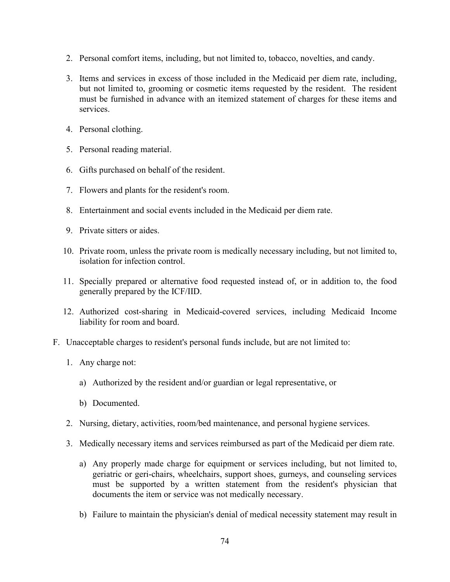- 2. Personal comfort items, including, but not limited to, tobacco, novelties, and candy.
- 3. Items and services in excess of those included in the Medicaid per diem rate, including, but not limited to, grooming or cosmetic items requested by the resident. The resident must be furnished in advance with an itemized statement of charges for these items and services.
- 4. Personal clothing.
- 5. Personal reading material.
- 6. Gifts purchased on behalf of the resident.
- 7. Flowers and plants for the resident's room.
- 8. Entertainment and social events included in the Medicaid per diem rate.
- 9. Private sitters or aides.
- 10. Private room, unless the private room is medically necessary including, but not limited to, isolation for infection control.
- 11. Specially prepared or alternative food requested instead of, or in addition to, the food generally prepared by the ICF/IID.
- 12. Authorized cost-sharing in Medicaid-covered services, including Medicaid Income liability for room and board.
- F. Unacceptable charges to resident's personal funds include, but are not limited to:
	- 1. Any charge not:
		- a) Authorized by the resident and/or guardian or legal representative, or
		- b) Documented.
	- 2. Nursing, dietary, activities, room/bed maintenance, and personal hygiene services.
	- 3. Medically necessary items and services reimbursed as part of the Medicaid per diem rate.
		- a) Any properly made charge for equipment or services including, but not limited to, geriatric or geri-chairs, wheelchairs, support shoes, gurneys, and counseling services must be supported by a written statement from the resident's physician that documents the item or service was not medically necessary.
		- b) Failure to maintain the physician's denial of medical necessity statement may result in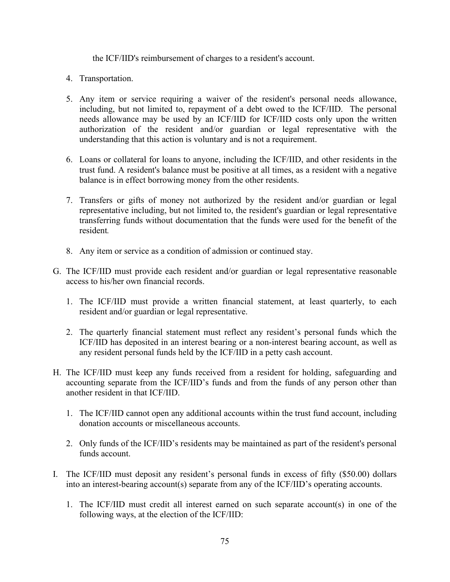the ICF/IID's reimbursement of charges to a resident's account.

- 4. Transportation.
- 5. Any item or service requiring a waiver of the resident's personal needs allowance, including, but not limited to, repayment of a debt owed to the ICF/IID. The personal needs allowance may be used by an ICF/IID for ICF/IID costs only upon the written authorization of the resident and/or guardian or legal representative with the understanding that this action is voluntary and is not a requirement.
- 6. Loans or collateral for loans to anyone, including the ICF/IID, and other residents in the trust fund. A resident's balance must be positive at all times, as a resident with a negative balance is in effect borrowing money from the other residents.
- 7. Transfers or gifts of money not authorized by the resident and/or guardian or legal representative including, but not limited to, the resident's guardian or legal representative transferring funds without documentation that the funds were used for the benefit of the resident*.*
- 8. Any item or service as a condition of admission or continued stay.
- G. The ICF/IID must provide each resident and/or guardian or legal representative reasonable access to his/her own financial records.
	- 1. The ICF/IID must provide a written financial statement, at least quarterly, to each resident and/or guardian or legal representative.
	- 2. The quarterly financial statement must reflect any resident's personal funds which the ICF/IID has deposited in an interest bearing or a non-interest bearing account, as well as any resident personal funds held by the ICF/IID in a petty cash account.
- H. The ICF/IID must keep any funds received from a resident for holding, safeguarding and accounting separate from the ICF/IID's funds and from the funds of any person other than another resident in that ICF/IID.
	- 1. The ICF/IID cannot open any additional accounts within the trust fund account, including donation accounts or miscellaneous accounts.
	- 2. Only funds of the ICF/IID's residents may be maintained as part of the resident's personal funds account.
- I. The ICF/IID must deposit any resident's personal funds in excess of fifty (\$50.00) dollars into an interest-bearing account(s) separate from any of the ICF/IID's operating accounts.
	- 1. The ICF/IID must credit all interest earned on such separate account(s) in one of the following ways, at the election of the ICF/IID: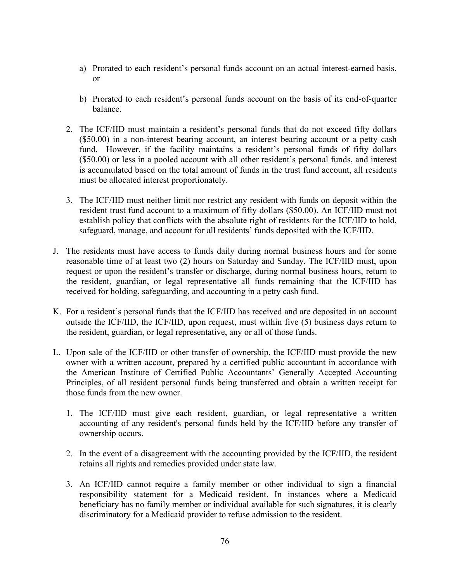- a) Prorated to each resident's personal funds account on an actual interest-earned basis, or
- b) Prorated to each resident's personal funds account on the basis of its end-of-quarter balance.
- 2. The ICF/IID must maintain a resident's personal funds that do not exceed fifty dollars (\$50.00) in a non-interest bearing account, an interest bearing account or a petty cash fund. However, if the facility maintains a resident's personal funds of fifty dollars (\$50.00) or less in a pooled account with all other resident's personal funds, and interest is accumulated based on the total amount of funds in the trust fund account, all residents must be allocated interest proportionately.
- 3. The ICF/IID must neither limit nor restrict any resident with funds on deposit within the resident trust fund account to a maximum of fifty dollars (\$50.00). An ICF/IID must not establish policy that conflicts with the absolute right of residents for the ICF/IID to hold, safeguard, manage, and account for all residents' funds deposited with the ICF/IID.
- J. The residents must have access to funds daily during normal business hours and for some reasonable time of at least two (2) hours on Saturday and Sunday. The ICF/IID must, upon request or upon the resident's transfer or discharge, during normal business hours, return to the resident, guardian, or legal representative all funds remaining that the ICF/IID has received for holding, safeguarding, and accounting in a petty cash fund.
- K. For a resident's personal funds that the ICF/IID has received and are deposited in an account outside the ICF/IID, the ICF/IID, upon request, must within five (5) business days return to the resident, guardian, or legal representative, any or all of those funds.
- L. Upon sale of the ICF/IID or other transfer of ownership, the ICF/IID must provide the new owner with a written account, prepared by a certified public accountant in accordance with the American Institute of Certified Public Accountants' Generally Accepted Accounting Principles, of all resident personal funds being transferred and obtain a written receipt for those funds from the new owner.
	- 1. The ICF/IID must give each resident, guardian, or legal representative a written accounting of any resident's personal funds held by the ICF/IID before any transfer of ownership occurs.
	- 2. In the event of a disagreement with the accounting provided by the ICF/IID, the resident retains all rights and remedies provided under state law.
	- 3. An ICF/IID cannot require a family member or other individual to sign a financial responsibility statement for a Medicaid resident. In instances where a Medicaid beneficiary has no family member or individual available for such signatures, it is clearly discriminatory for a Medicaid provider to refuse admission to the resident.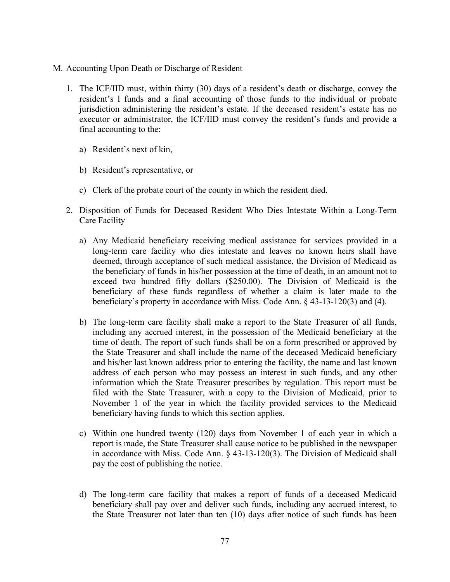- M. Accounting Upon Death or Discharge of Resident
	- 1. The ICF/IID must, within thirty (30) days of a resident's death or discharge, convey the resident's l funds and a final accounting of those funds to the individual or probate jurisdiction administering the resident's estate. If the deceased resident's estate has no executor or administrator, the ICF/IID must convey the resident's funds and provide a final accounting to the:
		- a) Resident's next of kin,
		- b) Resident's representative, or
		- c) Clerk of the probate court of the county in which the resident died.
	- 2. Disposition of Funds for Deceased Resident Who Dies Intestate Within a Long-Term Care Facility
		- a) Any Medicaid beneficiary receiving medical assistance for services provided in a long-term care facility who dies intestate and leaves no known heirs shall have deemed, through acceptance of such medical assistance, the Division of Medicaid as the beneficiary of funds in his/her possession at the time of death, in an amount not to exceed two hundred fifty dollars (\$250.00). The Division of Medicaid is the beneficiary of these funds regardless of whether a claim is later made to the beneficiary's property in accordance with Miss. Code Ann. § 43-13-120(3) and (4).
		- b) The long-term care facility shall make a report to the State Treasurer of all funds, including any accrued interest, in the possession of the Medicaid beneficiary at the time of death. The report of such funds shall be on a form prescribed or approved by the State Treasurer and shall include the name of the deceased Medicaid beneficiary and his/her last known address prior to entering the facility, the name and last known address of each person who may possess an interest in such funds, and any other information which the State Treasurer prescribes by regulation. This report must be filed with the State Treasurer, with a copy to the Division of Medicaid, prior to November 1 of the year in which the facility provided services to the Medicaid beneficiary having funds to which this section applies.
		- c) Within one hundred twenty (120) days from November 1 of each year in which a report is made, the State Treasurer shall cause notice to be published in the newspaper in accordance with Miss. Code Ann. § 43-13-120(3). The Division of Medicaid shall pay the cost of publishing the notice.
		- d) The long-term care facility that makes a report of funds of a deceased Medicaid beneficiary shall pay over and deliver such funds, including any accrued interest, to the State Treasurer not later than ten (10) days after notice of such funds has been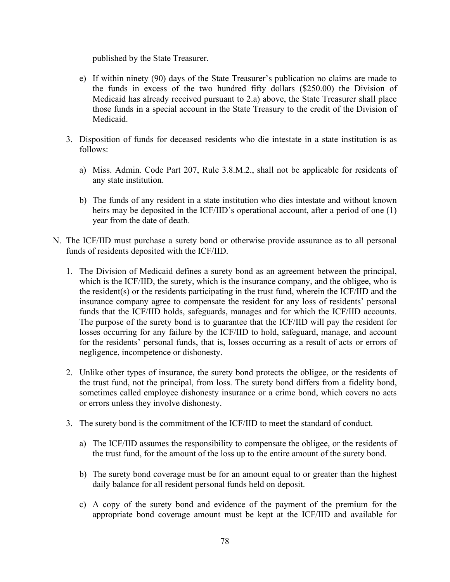published by the State Treasurer.

- e) If within ninety (90) days of the State Treasurer's publication no claims are made to the funds in excess of the two hundred fifty dollars (\$250.00) the Division of Medicaid has already received pursuant to 2.a) above, the State Treasurer shall place those funds in a special account in the State Treasury to the credit of the Division of Medicaid.
- 3. Disposition of funds for deceased residents who die intestate in a state institution is as follows:
	- a) Miss. Admin. Code Part 207, Rule 3.8.M.2., shall not be applicable for residents of any state institution.
	- b) The funds of any resident in a state institution who dies intestate and without known heirs may be deposited in the ICF/IID's operational account, after a period of one (1) year from the date of death.
- N. The ICF/IID must purchase a surety bond or otherwise provide assurance as to all personal funds of residents deposited with the ICF/IID.
	- 1. The Division of Medicaid defines a surety bond as an agreement between the principal, which is the ICF/IID, the surety, which is the insurance company, and the obligee, who is the resident(s) or the residents participating in the trust fund, wherein the ICF/IID and the insurance company agree to compensate the resident for any loss of residents' personal funds that the ICF/IID holds, safeguards, manages and for which the ICF/IID accounts. The purpose of the surety bond is to guarantee that the ICF/IID will pay the resident for losses occurring for any failure by the ICF/IID to hold, safeguard, manage, and account for the residents' personal funds, that is, losses occurring as a result of acts or errors of negligence, incompetence or dishonesty.
	- 2. Unlike other types of insurance, the surety bond protects the obligee, or the residents of the trust fund, not the principal, from loss. The surety bond differs from a fidelity bond, sometimes called employee dishonesty insurance or a crime bond, which covers no acts or errors unless they involve dishonesty.
	- 3. The surety bond is the commitment of the ICF/IID to meet the standard of conduct.
		- a) The ICF/IID assumes the responsibility to compensate the obligee, or the residents of the trust fund, for the amount of the loss up to the entire amount of the surety bond.
		- b) The surety bond coverage must be for an amount equal to or greater than the highest daily balance for all resident personal funds held on deposit.
		- c) A copy of the surety bond and evidence of the payment of the premium for the appropriate bond coverage amount must be kept at the ICF/IID and available for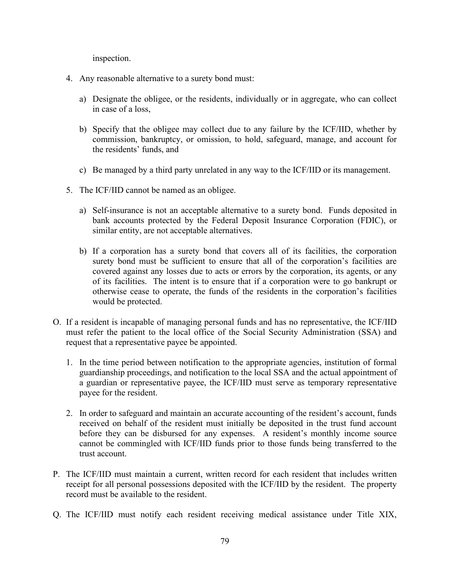inspection.

- 4. Any reasonable alternative to a surety bond must:
	- a) Designate the obligee, or the residents, individually or in aggregate, who can collect in case of a loss,
	- b) Specify that the obligee may collect due to any failure by the ICF/IID, whether by commission, bankruptcy, or omission, to hold, safeguard, manage, and account for the residents' funds, and
	- c) Be managed by a third party unrelated in any way to the ICF/IID or its management.
- 5. The ICF/IID cannot be named as an obligee.
	- a) Self-insurance is not an acceptable alternative to a surety bond. Funds deposited in bank accounts protected by the Federal Deposit Insurance Corporation (FDIC), or similar entity, are not acceptable alternatives.
	- b) If a corporation has a surety bond that covers all of its facilities, the corporation surety bond must be sufficient to ensure that all of the corporation's facilities are covered against any losses due to acts or errors by the corporation, its agents, or any of its facilities. The intent is to ensure that if a corporation were to go bankrupt or otherwise cease to operate, the funds of the residents in the corporation's facilities would be protected.
- O. If a resident is incapable of managing personal funds and has no representative, the ICF/IID must refer the patient to the local office of the Social Security Administration (SSA) and request that a representative payee be appointed.
	- 1. In the time period between notification to the appropriate agencies, institution of formal guardianship proceedings, and notification to the local SSA and the actual appointment of a guardian or representative payee, the ICF/IID must serve as temporary representative payee for the resident.
	- 2. In order to safeguard and maintain an accurate accounting of the resident's account, funds received on behalf of the resident must initially be deposited in the trust fund account before they can be disbursed for any expenses. A resident's monthly income source cannot be commingled with ICF/IID funds prior to those funds being transferred to the trust account.
- P. The ICF/IID must maintain a current, written record for each resident that includes written receipt for all personal possessions deposited with the ICF/IID by the resident. The property record must be available to the resident.
- Q. The ICF/IID must notify each resident receiving medical assistance under Title XIX,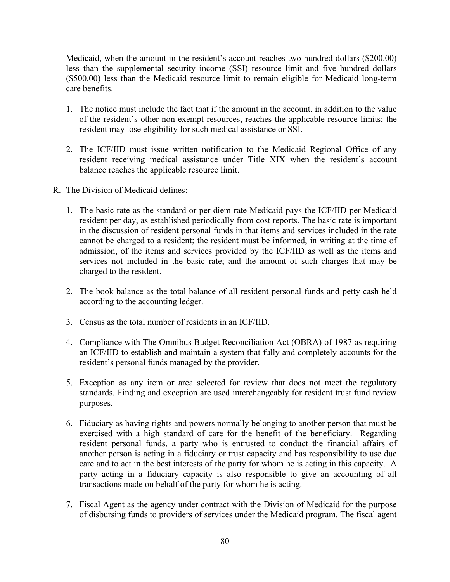Medicaid, when the amount in the resident's account reaches two hundred dollars (\$200.00) less than the supplemental security income (SSI) resource limit and five hundred dollars (\$500.00) less than the Medicaid resource limit to remain eligible for Medicaid long-term care benefits.

- 1. The notice must include the fact that if the amount in the account, in addition to the value of the resident's other non-exempt resources, reaches the applicable resource limits; the resident may lose eligibility for such medical assistance or SSI.
- 2. The ICF/IID must issue written notification to the Medicaid Regional Office of any resident receiving medical assistance under Title XIX when the resident's account balance reaches the applicable resource limit.
- R. The Division of Medicaid defines:
	- 1. The basic rate as the standard or per diem rate Medicaid pays the ICF/IID per Medicaid resident per day, as established periodically from cost reports. The basic rate is important in the discussion of resident personal funds in that items and services included in the rate cannot be charged to a resident; the resident must be informed, in writing at the time of admission, of the items and services provided by the ICF/IID as well as the items and services not included in the basic rate; and the amount of such charges that may be charged to the resident.
	- 2. The book balance as the total balance of all resident personal funds and petty cash held according to the accounting ledger.
	- 3. Census as the total number of residents in an ICF/IID.
	- 4. Compliance with The Omnibus Budget Reconciliation Act (OBRA) of 1987 as requiring an ICF/IID to establish and maintain a system that fully and completely accounts for the resident's personal funds managed by the provider.
	- 5. Exception as any item or area selected for review that does not meet the regulatory standards. Finding and exception are used interchangeably for resident trust fund review purposes.
	- 6. Fiduciary as having rights and powers normally belonging to another person that must be exercised with a high standard of care for the benefit of the beneficiary. Regarding resident personal funds, a party who is entrusted to conduct the financial affairs of another person is acting in a fiduciary or trust capacity and has responsibility to use due care and to act in the best interests of the party for whom he is acting in this capacity. A party acting in a fiduciary capacity is also responsible to give an accounting of all transactions made on behalf of the party for whom he is acting.
	- 7. Fiscal Agent as the agency under contract with the Division of Medicaid for the purpose of disbursing funds to providers of services under the Medicaid program. The fiscal agent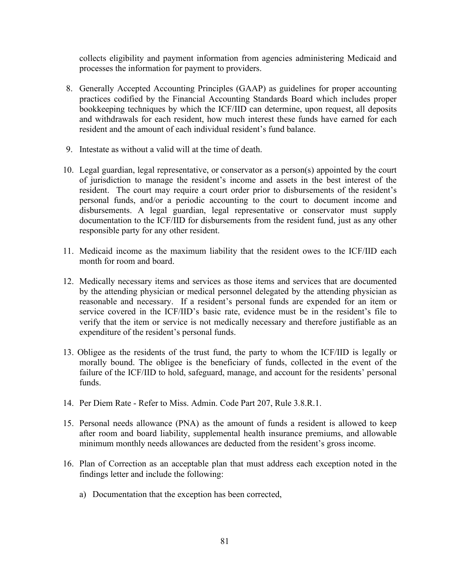collects eligibility and payment information from agencies administering Medicaid and processes the information for payment to providers.

- 8. Generally Accepted Accounting Principles (GAAP) as guidelines for proper accounting practices codified by the Financial Accounting Standards Board which includes proper bookkeeping techniques by which the ICF/IID can determine, upon request, all deposits and withdrawals for each resident, how much interest these funds have earned for each resident and the amount of each individual resident's fund balance.
- 9. Intestate as without a valid will at the time of death.
- 10. Legal guardian, legal representative, or conservator as a person(s) appointed by the court of jurisdiction to manage the resident's income and assets in the best interest of the resident. The court may require a court order prior to disbursements of the resident's personal funds, and/or a periodic accounting to the court to document income and disbursements. A legal guardian, legal representative or conservator must supply documentation to the ICF/IID for disbursements from the resident fund, just as any other responsible party for any other resident.
- 11. Medicaid income as the maximum liability that the resident owes to the ICF/IID each month for room and board.
- 12. Medically necessary items and services as those items and services that are documented by the attending physician or medical personnel delegated by the attending physician as reasonable and necessary. If a resident's personal funds are expended for an item or service covered in the ICF/IID's basic rate, evidence must be in the resident's file to verify that the item or service is not medically necessary and therefore justifiable as an expenditure of the resident's personal funds.
- 13. Obligee as the residents of the trust fund, the party to whom the ICF/IID is legally or morally bound. The obligee is the beneficiary of funds, collected in the event of the failure of the ICF/IID to hold, safeguard, manage, and account for the residents' personal funds.
- 14. Per Diem Rate Refer to Miss. Admin. Code Part 207, Rule 3.8.R.1.
- 15. Personal needs allowance (PNA) as the amount of funds a resident is allowed to keep after room and board liability, supplemental health insurance premiums, and allowable minimum monthly needs allowances are deducted from the resident's gross income.
- 16. Plan of Correction as an acceptable plan that must address each exception noted in the findings letter and include the following:
	- a) Documentation that the exception has been corrected,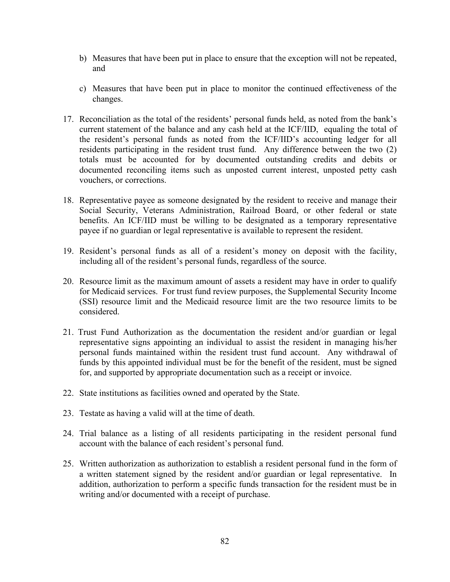- b) Measures that have been put in place to ensure that the exception will not be repeated, and
- c) Measures that have been put in place to monitor the continued effectiveness of the changes.
- 17. Reconciliation as the total of the residents' personal funds held, as noted from the bank's current statement of the balance and any cash held at the ICF/IID, equaling the total of the resident's personal funds as noted from the ICF/IID's accounting ledger for all residents participating in the resident trust fund. Any difference between the two (2) totals must be accounted for by documented outstanding credits and debits or documented reconciling items such as unposted current interest, unposted petty cash vouchers, or corrections.
- 18. Representative payee as someone designated by the resident to receive and manage their Social Security, Veterans Administration, Railroad Board, or other federal or state benefits. An ICF/IID must be willing to be designated as a temporary representative payee if no guardian or legal representative is available to represent the resident.
- 19. Resident's personal funds as all of a resident's money on deposit with the facility, including all of the resident's personal funds, regardless of the source.
- 20. Resource limit as the maximum amount of assets a resident may have in order to qualify for Medicaid services. For trust fund review purposes, the Supplemental Security Income (SSI) resource limit and the Medicaid resource limit are the two resource limits to be considered.
- 21. Trust Fund Authorization as the documentation the resident and/or guardian or legal representative signs appointing an individual to assist the resident in managing his/her personal funds maintained within the resident trust fund account. Any withdrawal of funds by this appointed individual must be for the benefit of the resident, must be signed for, and supported by appropriate documentation such as a receipt or invoice.
- 22. State institutions as facilities owned and operated by the State.
- 23. Testate as having a valid will at the time of death.
- 24. Trial balance as a listing of all residents participating in the resident personal fund account with the balance of each resident's personal fund.
- 25. Written authorization as authorization to establish a resident personal fund in the form of a written statement signed by the resident and/or guardian or legal representative. In addition, authorization to perform a specific funds transaction for the resident must be in writing and/or documented with a receipt of purchase.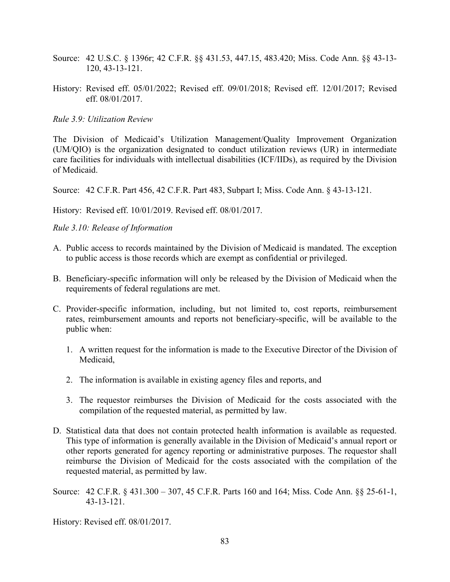- Source: 42 U.S.C. § 1396r; 42 C.F.R. §§ 431.53, 447.15, 483.420; Miss. Code Ann. §§ 43-13- 120, 43-13-121.
- History: Revised eff. 05/01/2022; Revised eff. 09/01/2018; Revised eff. 12/01/2017; Revised eff. 08/01/2017.

*Rule 3.9: Utilization Review*

The Division of Medicaid's Utilization Management/Quality Improvement Organization (UM/QIO) is the organization designated to conduct utilization reviews (UR) in intermediate care facilities for individuals with intellectual disabilities (ICF/IIDs), as required by the Division of Medicaid.

Source: 42 C.F.R. Part 456, 42 C.F.R. Part 483, Subpart I; Miss. Code Ann. § 43-13-121.

History: Revised eff. 10/01/2019. Revised eff. 08/01/2017.

*Rule 3.10: Release of Information* 

- A. Public access to records maintained by the Division of Medicaid is mandated. The exception to public access is those records which are exempt as confidential or privileged.
- B. Beneficiary-specific information will only be released by the Division of Medicaid when the requirements of federal regulations are met.
- C. Provider-specific information, including, but not limited to, cost reports, reimbursement rates, reimbursement amounts and reports not beneficiary-specific, will be available to the public when:
	- 1. A written request for the information is made to the Executive Director of the Division of Medicaid,
	- 2. The information is available in existing agency files and reports, and
	- 3. The requestor reimburses the Division of Medicaid for the costs associated with the compilation of the requested material, as permitted by law.
- D. Statistical data that does not contain protected health information is available as requested. This type of information is generally available in the Division of Medicaid's annual report or other reports generated for agency reporting or administrative purposes. The requestor shall reimburse the Division of Medicaid for the costs associated with the compilation of the requested material, as permitted by law.
- Source: 42 C.F.R. § 431.300 307, 45 C.F.R. Parts 160 and 164; Miss. Code Ann. §§ 25-61-1, 43-13-121.

History: Revised eff. 08/01/2017.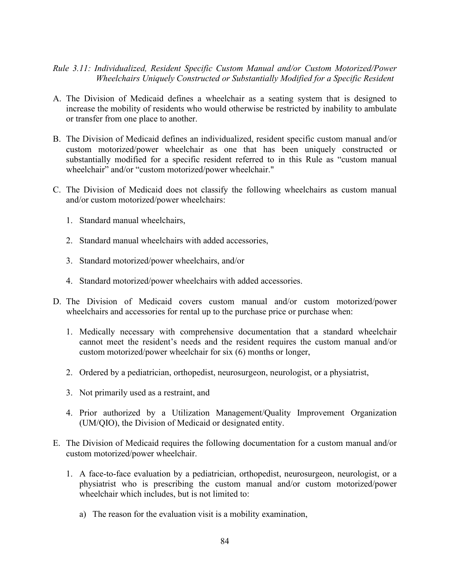## *Rule 3.11: Individualized, Resident Specific Custom Manual and/or Custom Motorized/Power Wheelchairs Uniquely Constructed or Substantially Modified for a Specific Resident*

- A. The Division of Medicaid defines a wheelchair as a seating system that is designed to increase the mobility of residents who would otherwise be restricted by inability to ambulate or transfer from one place to another.
- B. The Division of Medicaid defines an individualized, resident specific custom manual and/or custom motorized/power wheelchair as one that has been uniquely constructed or substantially modified for a specific resident referred to in this Rule as "custom manual wheelchair" and/or "custom motorized/power wheelchair."
- C. The Division of Medicaid does not classify the following wheelchairs as custom manual and/or custom motorized/power wheelchairs:
	- 1. Standard manual wheelchairs,
	- 2. Standard manual wheelchairs with added accessories,
	- 3. Standard motorized/power wheelchairs, and/or
	- 4. Standard motorized/power wheelchairs with added accessories.
- D. The Division of Medicaid covers custom manual and/or custom motorized/power wheelchairs and accessories for rental up to the purchase price or purchase when:
	- 1. Medically necessary with comprehensive documentation that a standard wheelchair cannot meet the resident's needs and the resident requires the custom manual and/or custom motorized/power wheelchair for six (6) months or longer,
	- 2. Ordered by a pediatrician, orthopedist, neurosurgeon, neurologist, or a physiatrist,
	- 3. Not primarily used as a restraint, and
	- 4. Prior authorized by a Utilization Management/Quality Improvement Organization (UM/QIO), the Division of Medicaid or designated entity.
- E. The Division of Medicaid requires the following documentation for a custom manual and/or custom motorized/power wheelchair.
	- 1. A face-to-face evaluation by a pediatrician, orthopedist, neurosurgeon, neurologist, or a physiatrist who is prescribing the custom manual and/or custom motorized/power wheelchair which includes, but is not limited to:
		- a) The reason for the evaluation visit is a mobility examination,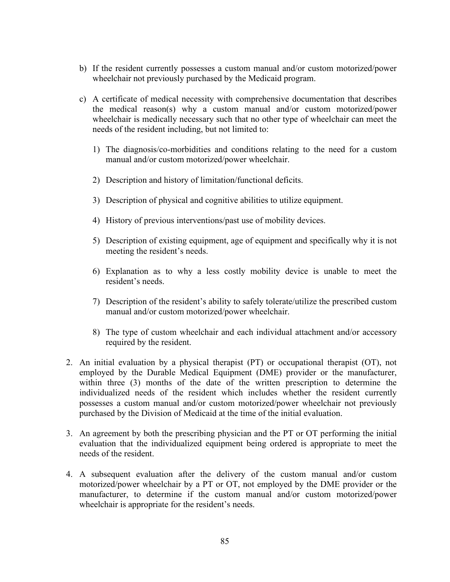- b) If the resident currently possesses a custom manual and/or custom motorized/power wheelchair not previously purchased by the Medicaid program.
- c) A certificate of medical necessity with comprehensive documentation that describes the medical reason(s) why a custom manual and/or custom motorized/power wheelchair is medically necessary such that no other type of wheelchair can meet the needs of the resident including, but not limited to:
	- 1) The diagnosis/co-morbidities and conditions relating to the need for a custom manual and/or custom motorized/power wheelchair.
	- 2) Description and history of limitation/functional deficits.
	- 3) Description of physical and cognitive abilities to utilize equipment.
	- 4) History of previous interventions/past use of mobility devices.
	- 5) Description of existing equipment, age of equipment and specifically why it is not meeting the resident's needs.
	- 6) Explanation as to why a less costly mobility device is unable to meet the resident's needs.
	- 7) Description of the resident's ability to safely tolerate/utilize the prescribed custom manual and/or custom motorized/power wheelchair.
	- 8) The type of custom wheelchair and each individual attachment and/or accessory required by the resident.
- 2. An initial evaluation by a physical therapist (PT) or occupational therapist (OT), not employed by the Durable Medical Equipment (DME) provider or the manufacturer, within three (3) months of the date of the written prescription to determine the individualized needs of the resident which includes whether the resident currently possesses a custom manual and/or custom motorized/power wheelchair not previously purchased by the Division of Medicaid at the time of the initial evaluation.
- 3. An agreement by both the prescribing physician and the PT or OT performing the initial evaluation that the individualized equipment being ordered is appropriate to meet the needs of the resident.
- 4. A subsequent evaluation after the delivery of the custom manual and/or custom motorized/power wheelchair by a PT or OT, not employed by the DME provider or the manufacturer, to determine if the custom manual and/or custom motorized/power wheelchair is appropriate for the resident's needs.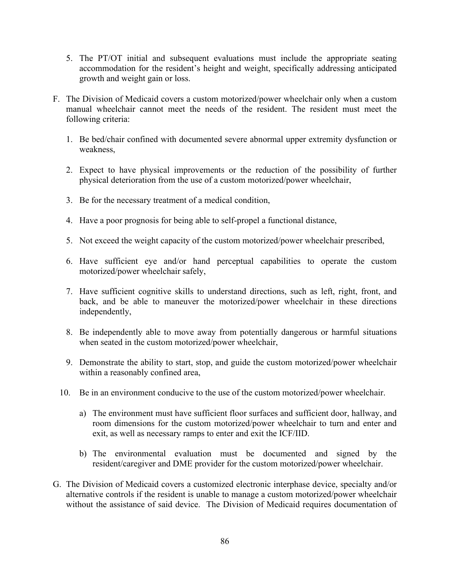- 5. The PT/OT initial and subsequent evaluations must include the appropriate seating accommodation for the resident's height and weight, specifically addressing anticipated growth and weight gain or loss.
- F. The Division of Medicaid covers a custom motorized/power wheelchair only when a custom manual wheelchair cannot meet the needs of the resident. The resident must meet the following criteria:
	- 1. Be bed/chair confined with documented severe abnormal upper extremity dysfunction or weakness,
	- 2. Expect to have physical improvements or the reduction of the possibility of further physical deterioration from the use of a custom motorized/power wheelchair,
	- 3. Be for the necessary treatment of a medical condition,
	- 4. Have a poor prognosis for being able to self-propel a functional distance,
	- 5. Not exceed the weight capacity of the custom motorized/power wheelchair prescribed,
	- 6. Have sufficient eye and/or hand perceptual capabilities to operate the custom motorized/power wheelchair safely,
	- 7. Have sufficient cognitive skills to understand directions, such as left, right, front, and back, and be able to maneuver the motorized/power wheelchair in these directions independently,
	- 8. Be independently able to move away from potentially dangerous or harmful situations when seated in the custom motorized/power wheelchair,
	- 9. Demonstrate the ability to start, stop, and guide the custom motorized/power wheelchair within a reasonably confined area,
	- 10. Be in an environment conducive to the use of the custom motorized/power wheelchair.
		- a) The environment must have sufficient floor surfaces and sufficient door, hallway, and room dimensions for the custom motorized/power wheelchair to turn and enter and exit, as well as necessary ramps to enter and exit the ICF/IID.
		- b) The environmental evaluation must be documented and signed by the resident/caregiver and DME provider for the custom motorized/power wheelchair.
- G. The Division of Medicaid covers a customized electronic interphase device, specialty and/or alternative controls if the resident is unable to manage a custom motorized/power wheelchair without the assistance of said device. The Division of Medicaid requires documentation of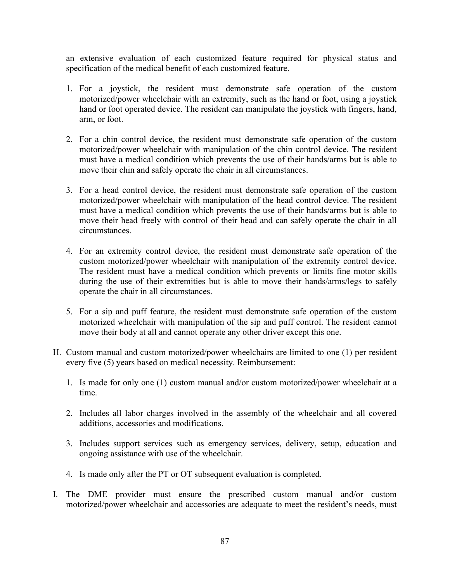an extensive evaluation of each customized feature required for physical status and specification of the medical benefit of each customized feature.

- 1. For a joystick, the resident must demonstrate safe operation of the custom motorized/power wheelchair with an extremity, such as the hand or foot, using a joystick hand or foot operated device. The resident can manipulate the joystick with fingers, hand, arm, or foot.
- 2. For a chin control device, the resident must demonstrate safe operation of the custom motorized/power wheelchair with manipulation of the chin control device. The resident must have a medical condition which prevents the use of their hands/arms but is able to move their chin and safely operate the chair in all circumstances.
- 3. For a head control device, the resident must demonstrate safe operation of the custom motorized/power wheelchair with manipulation of the head control device. The resident must have a medical condition which prevents the use of their hands/arms but is able to move their head freely with control of their head and can safely operate the chair in all circumstances.
- 4. For an extremity control device, the resident must demonstrate safe operation of the custom motorized/power wheelchair with manipulation of the extremity control device. The resident must have a medical condition which prevents or limits fine motor skills during the use of their extremities but is able to move their hands/arms/legs to safely operate the chair in all circumstances.
- 5. For a sip and puff feature, the resident must demonstrate safe operation of the custom motorized wheelchair with manipulation of the sip and puff control. The resident cannot move their body at all and cannot operate any other driver except this one.
- H. Custom manual and custom motorized/power wheelchairs are limited to one (1) per resident every five (5) years based on medical necessity. Reimbursement:
	- 1. Is made for only one (1) custom manual and/or custom motorized/power wheelchair at a time.
	- 2. Includes all labor charges involved in the assembly of the wheelchair and all covered additions, accessories and modifications.
	- 3. Includes support services such as emergency services, delivery, setup, education and ongoing assistance with use of the wheelchair.
	- 4. Is made only after the PT or OT subsequent evaluation is completed.
- I. The DME provider must ensure the prescribed custom manual and/or custom motorized/power wheelchair and accessories are adequate to meet the resident's needs, must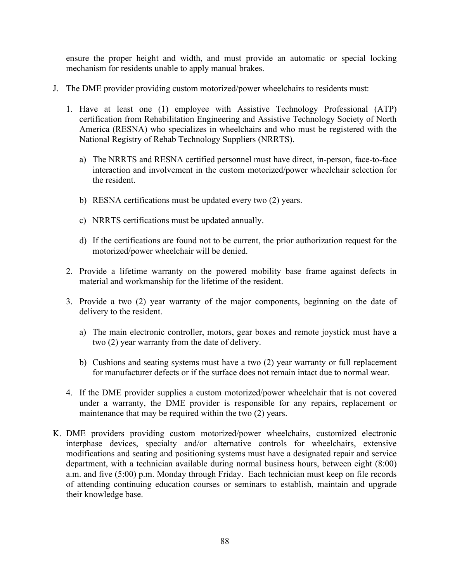ensure the proper height and width, and must provide an automatic or special locking mechanism for residents unable to apply manual brakes.

- J. The DME provider providing custom motorized/power wheelchairs to residents must:
	- 1. Have at least one (1) employee with Assistive Technology Professional (ATP) certification from Rehabilitation Engineering and Assistive Technology Society of North America (RESNA) who specializes in wheelchairs and who must be registered with the National Registry of Rehab Technology Suppliers (NRRTS).
		- a) The NRRTS and RESNA certified personnel must have direct, in-person, face-to-face interaction and involvement in the custom motorized/power wheelchair selection for the resident.
		- b) RESNA certifications must be updated every two (2) years.
		- c) NRRTS certifications must be updated annually.
		- d) If the certifications are found not to be current, the prior authorization request for the motorized/power wheelchair will be denied.
	- 2. Provide a lifetime warranty on the powered mobility base frame against defects in material and workmanship for the lifetime of the resident.
	- 3. Provide a two (2) year warranty of the major components, beginning on the date of delivery to the resident.
		- a) The main electronic controller, motors, gear boxes and remote joystick must have a two (2) year warranty from the date of delivery.
		- b) Cushions and seating systems must have a two (2) year warranty or full replacement for manufacturer defects or if the surface does not remain intact due to normal wear.
	- 4. If the DME provider supplies a custom motorized/power wheelchair that is not covered under a warranty, the DME provider is responsible for any repairs, replacement or maintenance that may be required within the two (2) years.
- K. DME providers providing custom motorized/power wheelchairs, customized electronic interphase devices, specialty and/or alternative controls for wheelchairs, extensive modifications and seating and positioning systems must have a designated repair and service department, with a technician available during normal business hours, between eight (8:00) a.m. and five (5:00) p.m. Monday through Friday. Each technician must keep on file records of attending continuing education courses or seminars to establish, maintain and upgrade their knowledge base.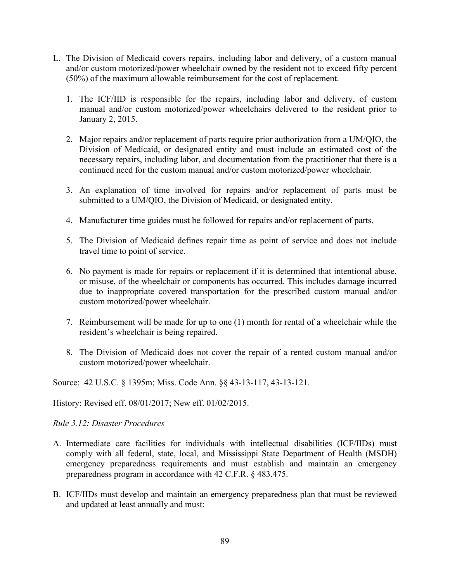- L. The Division of Medicaid covers repairs, including labor and delivery, of a custom manual and/or custom motorized/power wheelchair owned by the resident not to exceed fifty percent (50%) of the maximum allowable reimbursement for the cost of replacement.
	- 1. The ICF/IID is responsible for the repairs, including labor and delivery, of custom manual and/or custom motorized/power wheelchairs delivered to the resident prior to January 2, 2015.
	- 2. Major repairs and/or replacement of parts require prior authorization from a UM/QIO, the Division of Medicaid, or designated entity and must include an estimated cost of the necessary repairs, including labor, and documentation from the practitioner that there is a continued need for the custom manual and/or custom motorized/power wheelchair.
	- 3. An explanation of time involved for repairs and/or replacement of parts must be submitted to a UM/QIO, the Division of Medicaid, or designated entity.
	- 4. Manufacturer time guides must be followed for repairs and/or replacement of parts.
	- 5. The Division of Medicaid defines repair time as point of service and does not include travel time to point of service.
	- 6. No payment is made for repairs or replacement if it is determined that intentional abuse, or misuse, of the wheelchair or components has occurred. This includes damage incurred due to inappropriate covered transportation for the prescribed custom manual and/or custom motorized/power wheelchair.
	- 7. Reimbursement will be made for up to one (1) month for rental of a wheelchair while the resident's wheelchair is being repaired.
	- 8. The Division of Medicaid does not cover the repair of a rented custom manual and/or custom motorized/power wheelchair.

Source: 42 U.S.C. § 1395m; Miss. Code Ann. §§ 43-13-117, 43-13-121.

History: Revised eff. 08/01/2017; New eff. 01/02/2015.

### *Rule 3.12: Disaster Procedures*

- A. Intermediate care facilities for individuals with intellectual disabilities (ICF/IIDs) must comply with all federal, state, local, and Mississippi State Department of Health (MSDH) emergency preparedness requirements and must establish and maintain an emergency preparedness program in accordance with 42 C.F.R. § 483.475.
- B. ICF/IIDs must develop and maintain an emergency preparedness plan that must be reviewed and updated at least annually and must: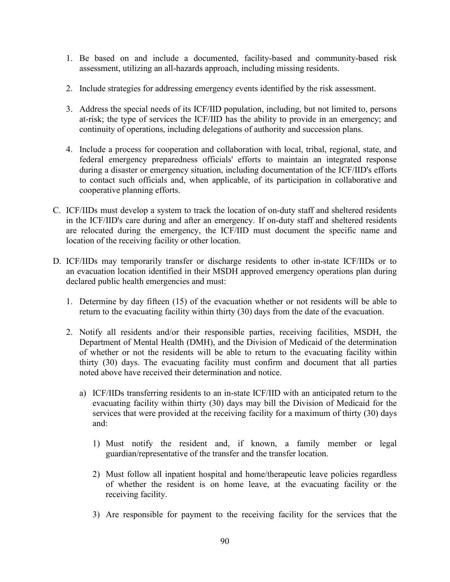- 1. Be based on and include a documented, facility-based and community-based risk assessment, utilizing an all-hazards approach, including missing residents.
- 2. Include strategies for addressing emergency events identified by the risk assessment.
- 3. Address the special needs of its ICF/IID population, including, but not limited to, persons at-risk; the type of services the ICF/IID has the ability to provide in an emergency; and continuity of operations, including delegations of authority and succession plans.
- 4. Include a process for cooperation and collaboration with local, tribal, regional, state, and federal emergency preparedness officials' efforts to maintain an integrated response during a disaster or emergency situation, including documentation of the ICF/IID's efforts to contact such officials and, when applicable, of its participation in collaborative and cooperative planning efforts.
- C. ICF/IIDs must develop a system to track the location of on-duty staff and sheltered residents in the ICF/IID's care during and after an emergency. If on-duty staff and sheltered residents are relocated during the emergency, the ICF/IID must document the specific name and location of the receiving facility or other location.
- D. ICF/IIDs may temporarily transfer or discharge residents to other in-state ICF/IIDs or to an evacuation location identified in their MSDH approved emergency operations plan during declared public health emergencies and must:
	- 1. Determine by day fifteen (15) of the evacuation whether or not residents will be able to return to the evacuating facility within thirty (30) days from the date of the evacuation.
	- 2. Notify all residents and/or their responsible parties, receiving facilities, MSDH, the Department of Mental Health (DMH), and the Division of Medicaid of the determination of whether or not the residents will be able to return to the evacuating facility within thirty (30) days. The evacuating facility must confirm and document that all parties noted above have received their determination and notice.
		- a) ICF/IIDs transferring residents to an in-state ICF/IID with an anticipated return to the evacuating facility within thirty (30) days may bill the Division of Medicaid for the services that were provided at the receiving facility for a maximum of thirty (30) days and:
			- 1) Must notify the resident and, if known, a family member or legal guardian/representative of the transfer and the transfer location.
			- 2) Must follow all inpatient hospital and home/therapeutic leave policies regardless of whether the resident is on home leave, at the evacuating facility or the receiving facility.
			- 3) Are responsible for payment to the receiving facility for the services that the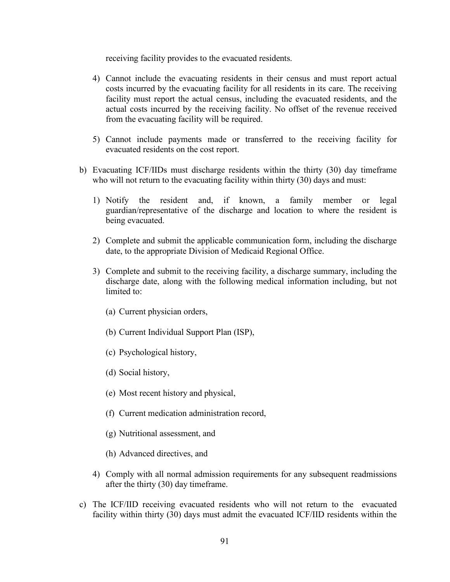receiving facility provides to the evacuated residents.

- 4) Cannot include the evacuating residents in their census and must report actual costs incurred by the evacuating facility for all residents in its care. The receiving facility must report the actual census, including the evacuated residents, and the actual costs incurred by the receiving facility. No offset of the revenue received from the evacuating facility will be required.
- 5) Cannot include payments made or transferred to the receiving facility for evacuated residents on the cost report.
- b) Evacuating ICF/IIDs must discharge residents within the thirty (30) day timeframe who will not return to the evacuating facility within thirty (30) days and must:
	- 1) Notify the resident and, if known, a family member or legal guardian/representative of the discharge and location to where the resident is being evacuated.
	- 2) Complete and submit the applicable communication form, including the discharge date, to the appropriate Division of Medicaid Regional Office.
	- 3) Complete and submit to the receiving facility, a discharge summary, including the discharge date, along with the following medical information including, but not limited to:
		- (a) Current physician orders,
		- (b) Current Individual Support Plan (ISP),
		- (c) Psychological history,
		- (d) Social history,
		- (e) Most recent history and physical,
		- (f) Current medication administration record,
		- (g) Nutritional assessment, and
		- (h) Advanced directives, and
	- 4) Comply with all normal admission requirements for any subsequent readmissions after the thirty (30) day timeframe.
- c) The ICF/IID receiving evacuated residents who will not return to the evacuated facility within thirty (30) days must admit the evacuated ICF/IID residents within the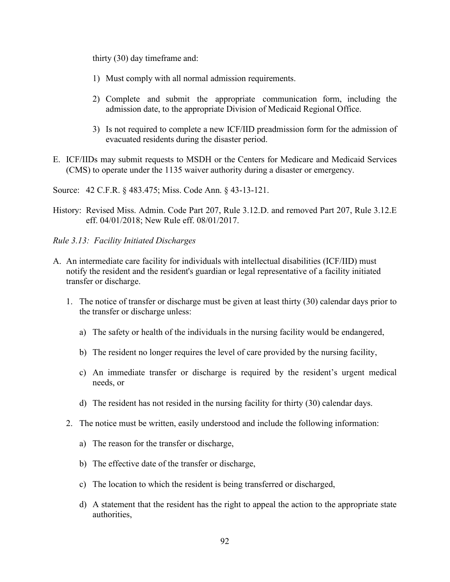thirty (30) day timeframe and:

- 1) Must comply with all normal admission requirements.
- 2) Complete and submit the appropriate communication form, including the admission date, to the appropriate Division of Medicaid Regional Office.
- 3) Is not required to complete a new ICF/IID preadmission form for the admission of evacuated residents during the disaster period.
- E. ICF/IIDs may submit requests to MSDH or the Centers for Medicare and Medicaid Services (CMS) to operate under the 1135 waiver authority during a disaster or emergency.

Source: 42 C.F.R. § 483.475; Miss. Code Ann. § 43-13-121.

- History: Revised Miss. Admin. Code Part 207, Rule 3.12.D. and removed Part 207, Rule 3.12.E eff. 04/01/2018; New Rule eff. 08/01/2017.
- *Rule 3.13: Facility Initiated Discharges*
- A. An intermediate care facility for individuals with intellectual disabilities (ICF/IID) must notify the resident and the resident's guardian or legal representative of a facility initiated transfer or discharge.
	- 1. The notice of transfer or discharge must be given at least thirty (30) calendar days prior to the transfer or discharge unless:
		- a) The safety or health of the individuals in the nursing facility would be endangered,
		- b) The resident no longer requires the level of care provided by the nursing facility,
		- c) An immediate transfer or discharge is required by the resident's urgent medical needs, or
		- d) The resident has not resided in the nursing facility for thirty (30) calendar days.
	- 2. The notice must be written, easily understood and include the following information:
		- a) The reason for the transfer or discharge,
		- b) The effective date of the transfer or discharge,
		- c) The location to which the resident is being transferred or discharged,
		- d) A statement that the resident has the right to appeal the action to the appropriate state authorities,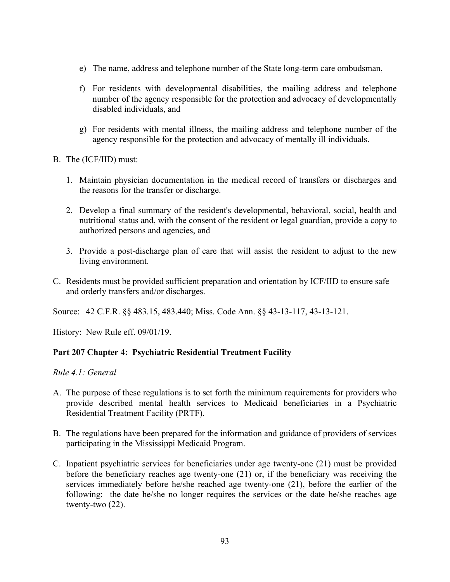- e) The name, address and telephone number of the State long-term care ombudsman,
- f) For residents with developmental disabilities, the mailing address and telephone number of the agency responsible for the protection and advocacy of developmentally disabled individuals, and
- g) For residents with mental illness, the mailing address and telephone number of the agency responsible for the protection and advocacy of mentally ill individuals.
- B. The (ICF/IID) must:
	- 1. Maintain physician documentation in the medical record of transfers or discharges and the reasons for the transfer or discharge.
	- 2. Develop a final summary of the resident's developmental, behavioral, social, health and nutritional status and, with the consent of the resident or legal guardian, provide a copy to authorized persons and agencies, and
	- 3. Provide a post-discharge plan of care that will assist the resident to adjust to the new living environment.
- C. Residents must be provided sufficient preparation and orientation by ICF/IID to ensure safe and orderly transfers and/or discharges.

Source: 42 C.F.R. §§ 483.15, 483.440; Miss. Code Ann. §§ 43-13-117, 43-13-121.

History: New Rule eff. 09/01/19.

# **Part 207 Chapter 4: Psychiatric Residential Treatment Facility**

*Rule 4.1: General*

- A. The purpose of these regulations is to set forth the minimum requirements for providers who provide described mental health services to Medicaid beneficiaries in a Psychiatric Residential Treatment Facility (PRTF).
- B. The regulations have been prepared for the information and guidance of providers of services participating in the Mississippi Medicaid Program.
- C. Inpatient psychiatric services for beneficiaries under age twenty-one (21) must be provided before the beneficiary reaches age twenty-one (21) or, if the beneficiary was receiving the services immediately before he/she reached age twenty-one (21), before the earlier of the following: the date he/she no longer requires the services or the date he/she reaches age twenty-two (22).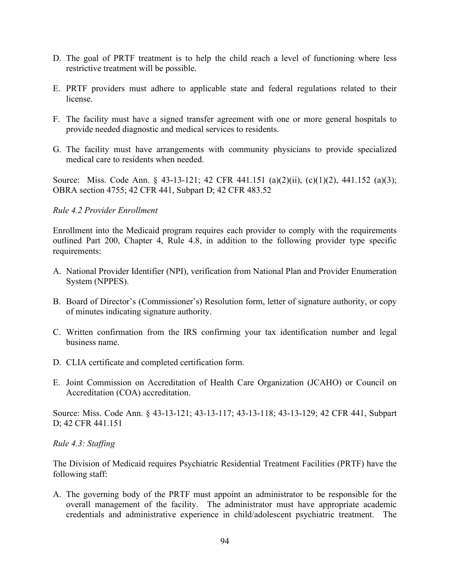- D. The goal of PRTF treatment is to help the child reach a level of functioning where less restrictive treatment will be possible.
- E. PRTF providers must adhere to applicable state and federal regulations related to their license.
- F. The facility must have a signed transfer agreement with one or more general hospitals to provide needed diagnostic and medical services to residents.
- G. The facility must have arrangements with community physicians to provide specialized medical care to residents when needed.

Source: Miss. Code Ann. § 43-13-121; 42 CFR 441.151 (a)(2)(ii), (c)(1)(2), 441.152 (a)(3); OBRA section 4755; 42 CFR 441, Subpart D; 42 CFR 483.52

## *Rule 4.2 Provider Enrollment*

Enrollment into the Medicaid program requires each provider to comply with the requirements outlined Part 200, Chapter 4, Rule 4.8, in addition to the following provider type specific requirements:

- A. National Provider Identifier (NPI), verification from National Plan and Provider Enumeration System (NPPES).
- B. Board of Director's (Commissioner's) Resolution form, letter of signature authority, or copy of minutes indicating signature authority.
- C. Written confirmation from the IRS confirming your tax identification number and legal business name.
- D. CLIA certificate and completed certification form.
- E. Joint Commission on Accreditation of Health Care Organization (JCAHO) or Council on Accreditation (COA) accreditation.

Source: Miss. Code Ann. § 43-13-121; 43-13-117; 43-13-118; 43-13-129; 42 CFR 441, Subpart D; 42 CFR 441.151

*Rule 4.3: Staffing*

The Division of Medicaid requires Psychiatric Residential Treatment Facilities (PRTF) have the following staff:

A. The governing body of the PRTF must appoint an administrator to be responsible for the overall management of the facility. The administrator must have appropriate academic credentials and administrative experience in child/adolescent psychiatric treatment. The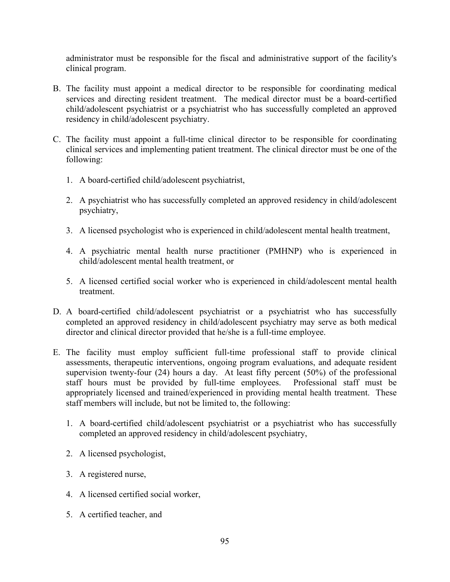administrator must be responsible for the fiscal and administrative support of the facility's clinical program.

- B. The facility must appoint a medical director to be responsible for coordinating medical services and directing resident treatment. The medical director must be a board-certified child/adolescent psychiatrist or a psychiatrist who has successfully completed an approved residency in child/adolescent psychiatry.
- C. The facility must appoint a full-time clinical director to be responsible for coordinating clinical services and implementing patient treatment. The clinical director must be one of the following:
	- 1. A board-certified child/adolescent psychiatrist,
	- 2. A psychiatrist who has successfully completed an approved residency in child/adolescent psychiatry,
	- 3. A licensed psychologist who is experienced in child/adolescent mental health treatment,
	- 4. A psychiatric mental health nurse practitioner (PMHNP) who is experienced in child/adolescent mental health treatment, or
	- 5. A licensed certified social worker who is experienced in child/adolescent mental health treatment.
- D. A board-certified child/adolescent psychiatrist or a psychiatrist who has successfully completed an approved residency in child/adolescent psychiatry may serve as both medical director and clinical director provided that he/she is a full-time employee.
- E. The facility must employ sufficient full-time professional staff to provide clinical assessments, therapeutic interventions, ongoing program evaluations, and adequate resident supervision twenty-four (24) hours a day. At least fifty percent (50%) of the professional staff hours must be provided by full-time employees. Professional staff must be appropriately licensed and trained/experienced in providing mental health treatment. These staff members will include, but not be limited to, the following:
	- 1. A board-certified child/adolescent psychiatrist or a psychiatrist who has successfully completed an approved residency in child/adolescent psychiatry,
	- 2. A licensed psychologist,
	- 3. A registered nurse,
	- 4. A licensed certified social worker,
	- 5. A certified teacher, and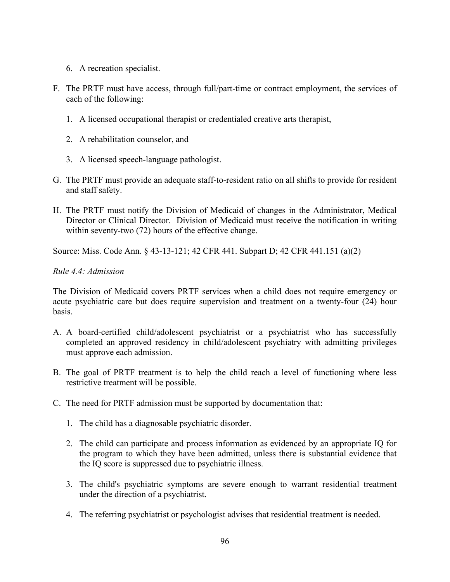- 6. A recreation specialist.
- F. The PRTF must have access, through full/part-time or contract employment, the services of each of the following:
	- 1. A licensed occupational therapist or credentialed creative arts therapist,
	- 2. A rehabilitation counselor, and
	- 3. A licensed speech-language pathologist.
- G. The PRTF must provide an adequate staff-to-resident ratio on all shifts to provide for resident and staff safety.
- H. The PRTF must notify the Division of Medicaid of changes in the Administrator, Medical Director or Clinical Director. Division of Medicaid must receive the notification in writing within seventy-two (72) hours of the effective change.

Source: Miss. Code Ann. § 43-13-121; 42 CFR 441. Subpart D; 42 CFR 441.151 (a)(2)

### *Rule 4.4: Admission*

The Division of Medicaid covers PRTF services when a child does not require emergency or acute psychiatric care but does require supervision and treatment on a twenty-four (24) hour basis.

- A. A board-certified child/adolescent psychiatrist or a psychiatrist who has successfully completed an approved residency in child/adolescent psychiatry with admitting privileges must approve each admission.
- B. The goal of PRTF treatment is to help the child reach a level of functioning where less restrictive treatment will be possible.
- C. The need for PRTF admission must be supported by documentation that:
	- 1. The child has a diagnosable psychiatric disorder.
	- 2. The child can participate and process information as evidenced by an appropriate IQ for the program to which they have been admitted, unless there is substantial evidence that the IQ score is suppressed due to psychiatric illness.
	- 3. The child's psychiatric symptoms are severe enough to warrant residential treatment under the direction of a psychiatrist.
	- 4. The referring psychiatrist or psychologist advises that residential treatment is needed.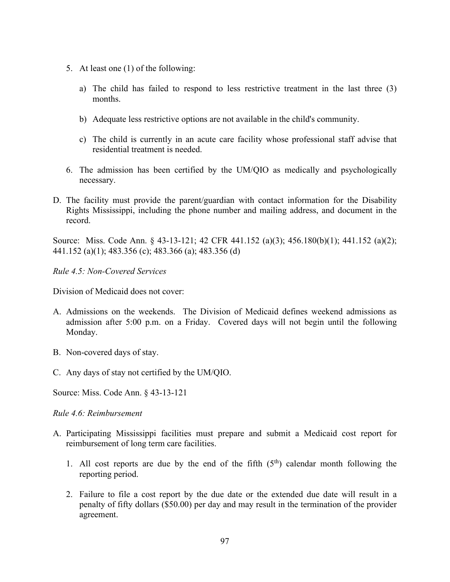- 5. At least one (1) of the following:
	- a) The child has failed to respond to less restrictive treatment in the last three (3) months.
	- b) Adequate less restrictive options are not available in the child's community.
	- c) The child is currently in an acute care facility whose professional staff advise that residential treatment is needed.
- 6. The admission has been certified by the UM/QIO as medically and psychologically necessary.
- D. The facility must provide the parent/guardian with contact information for the Disability Rights Mississippi, including the phone number and mailing address, and document in the record.

Source: Miss. Code Ann. § 43-13-121; 42 CFR 441.152 (a)(3); 456.180(b)(1); 441.152 (a)(2); 441.152 (a)(1); 483.356 (c); 483.366 (a); 483.356 (d)

*Rule 4.5: Non-Covered Services*

Division of Medicaid does not cover:

- A. Admissions on the weekends. The Division of Medicaid defines weekend admissions as admission after 5:00 p.m. on a Friday. Covered days will not begin until the following Monday.
- B. Non-covered days of stay.
- C. Any days of stay not certified by the UM/QIO.
- Source: Miss. Code Ann. § 43-13-121

*Rule 4.6: Reimbursement*

- A. Participating Mississippi facilities must prepare and submit a Medicaid cost report for reimbursement of long term care facilities.
	- 1. All cost reports are due by the end of the fifth  $(5<sup>th</sup>)$  calendar month following the reporting period.
	- 2. Failure to file a cost report by the due date or the extended due date will result in a penalty of fifty dollars (\$50.00) per day and may result in the termination of the provider agreement.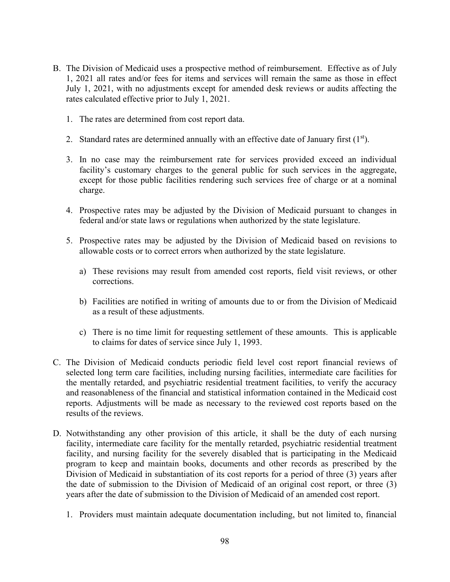- B. The Division of Medicaid uses a prospective method of reimbursement. Effective as of July 1, 2021 all rates and/or fees for items and services will remain the same as those in effect July 1, 2021, with no adjustments except for amended desk reviews or audits affecting the rates calculated effective prior to July 1, 2021.
	- 1. The rates are determined from cost report data.
	- 2. Standard rates are determined annually with an effective date of January first  $(1<sup>st</sup>)$ .
	- 3. In no case may the reimbursement rate for services provided exceed an individual facility's customary charges to the general public for such services in the aggregate, except for those public facilities rendering such services free of charge or at a nominal charge.
	- 4. Prospective rates may be adjusted by the Division of Medicaid pursuant to changes in federal and/or state laws or regulations when authorized by the state legislature.
	- 5. Prospective rates may be adjusted by the Division of Medicaid based on revisions to allowable costs or to correct errors when authorized by the state legislature.
		- a) These revisions may result from amended cost reports, field visit reviews, or other corrections.
		- b) Facilities are notified in writing of amounts due to or from the Division of Medicaid as a result of these adjustments.
		- c) There is no time limit for requesting settlement of these amounts. This is applicable to claims for dates of service since July 1, 1993.
- C. The Division of Medicaid conducts periodic field level cost report financial reviews of selected long term care facilities, including nursing facilities, intermediate care facilities for the mentally retarded, and psychiatric residential treatment facilities, to verify the accuracy and reasonableness of the financial and statistical information contained in the Medicaid cost reports. Adjustments will be made as necessary to the reviewed cost reports based on the results of the reviews.
- D. Notwithstanding any other provision of this article, it shall be the duty of each nursing facility, intermediate care facility for the mentally retarded, psychiatric residential treatment facility, and nursing facility for the severely disabled that is participating in the Medicaid program to keep and maintain books, documents and other records as prescribed by the Division of Medicaid in substantiation of its cost reports for a period of three (3) years after the date of submission to the Division of Medicaid of an original cost report, or three (3) years after the date of submission to the Division of Medicaid of an amended cost report.
	- 1. Providers must maintain adequate documentation including, but not limited to, financial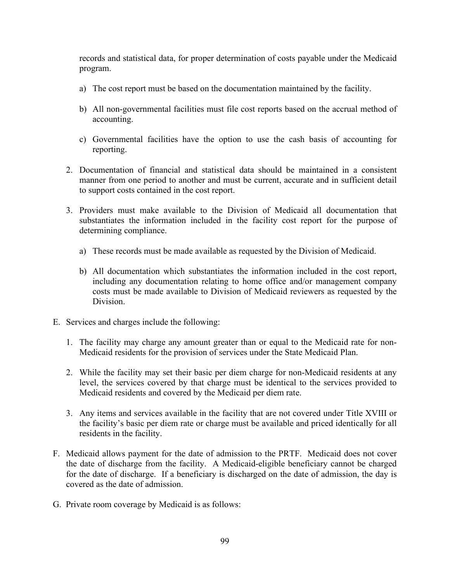records and statistical data, for proper determination of costs payable under the Medicaid program.

- a) The cost report must be based on the documentation maintained by the facility.
- b) All non-governmental facilities must file cost reports based on the accrual method of accounting.
- c) Governmental facilities have the option to use the cash basis of accounting for reporting.
- 2. Documentation of financial and statistical data should be maintained in a consistent manner from one period to another and must be current, accurate and in sufficient detail to support costs contained in the cost report.
- 3. Providers must make available to the Division of Medicaid all documentation that substantiates the information included in the facility cost report for the purpose of determining compliance.
	- a) These records must be made available as requested by the Division of Medicaid.
	- b) All documentation which substantiates the information included in the cost report, including any documentation relating to home office and/or management company costs must be made available to Division of Medicaid reviewers as requested by the Division.
- E. Services and charges include the following:
	- 1. The facility may charge any amount greater than or equal to the Medicaid rate for non-Medicaid residents for the provision of services under the State Medicaid Plan.
	- 2. While the facility may set their basic per diem charge for non-Medicaid residents at any level, the services covered by that charge must be identical to the services provided to Medicaid residents and covered by the Medicaid per diem rate.
	- 3. Any items and services available in the facility that are not covered under Title XVIII or the facility's basic per diem rate or charge must be available and priced identically for all residents in the facility.
- F. Medicaid allows payment for the date of admission to the PRTF. Medicaid does not cover the date of discharge from the facility. A Medicaid-eligible beneficiary cannot be charged for the date of discharge. If a beneficiary is discharged on the date of admission, the day is covered as the date of admission.
- G. Private room coverage by Medicaid is as follows: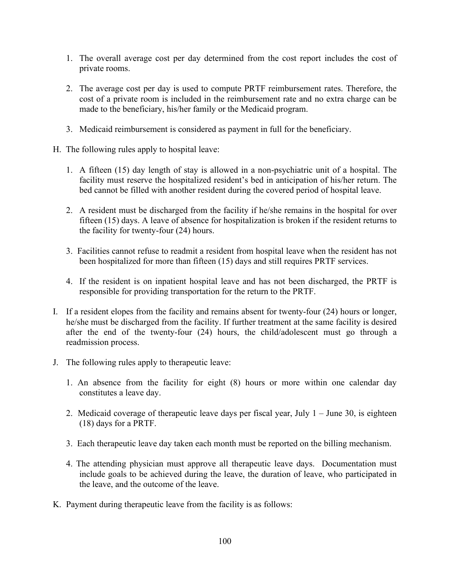- 1. The overall average cost per day determined from the cost report includes the cost of private rooms.
- 2. The average cost per day is used to compute PRTF reimbursement rates. Therefore, the cost of a private room is included in the reimbursement rate and no extra charge can be made to the beneficiary, his/her family or the Medicaid program.
- 3. Medicaid reimbursement is considered as payment in full for the beneficiary.
- H. The following rules apply to hospital leave:
	- 1. A fifteen (15) day length of stay is allowed in a non-psychiatric unit of a hospital. The facility must reserve the hospitalized resident's bed in anticipation of his/her return. The bed cannot be filled with another resident during the covered period of hospital leave.
	- 2. A resident must be discharged from the facility if he/she remains in the hospital for over fifteen (15) days. A leave of absence for hospitalization is broken if the resident returns to the facility for twenty-four (24) hours.
	- 3. Facilities cannot refuse to readmit a resident from hospital leave when the resident has not been hospitalized for more than fifteen (15) days and still requires PRTF services.
	- 4. If the resident is on inpatient hospital leave and has not been discharged, the PRTF is responsible for providing transportation for the return to the PRTF.
- I. If a resident elopes from the facility and remains absent for twenty-four (24) hours or longer, he/she must be discharged from the facility. If further treatment at the same facility is desired after the end of the twenty-four (24) hours, the child/adolescent must go through a readmission process.
- J. The following rules apply to therapeutic leave:
	- 1. An absence from the facility for eight (8) hours or more within one calendar day constitutes a leave day.
	- 2. Medicaid coverage of therapeutic leave days per fiscal year, July  $1 -$  June 30, is eighteen (18) days for a PRTF.
	- 3. Each therapeutic leave day taken each month must be reported on the billing mechanism.
	- 4. The attending physician must approve all therapeutic leave days. Documentation must include goals to be achieved during the leave, the duration of leave, who participated in the leave, and the outcome of the leave.
- K. Payment during therapeutic leave from the facility is as follows: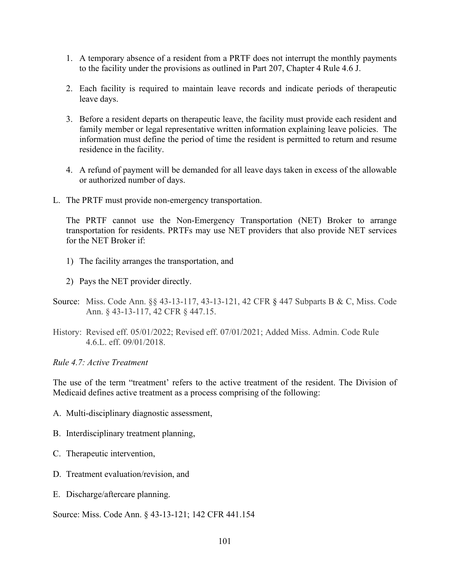- 1. A temporary absence of a resident from a PRTF does not interrupt the monthly payments to the facility under the provisions as outlined in Part 207, Chapter 4 Rule 4.6 J.
- 2. Each facility is required to maintain leave records and indicate periods of therapeutic leave days.
- 3. Before a resident departs on therapeutic leave, the facility must provide each resident and family member or legal representative written information explaining leave policies. The information must define the period of time the resident is permitted to return and resume residence in the facility.
- 4. A refund of payment will be demanded for all leave days taken in excess of the allowable or authorized number of days.
- L. The PRTF must provide non-emergency transportation.

The PRTF cannot use the Non-Emergency Transportation (NET) Broker to arrange transportation for residents. PRTFs may use NET providers that also provide NET services for the NET Broker if:

- 1) The facility arranges the transportation, and
- 2) Pays the NET provider directly.
- Source: Miss. Code Ann. §§ 43-13-117, 43-13-121, 42 CFR § 447 Subparts B & C, Miss. Code Ann. § 43-13-117, 42 CFR § 447.15.
- History: Revised eff. 05/01/2022; Revised eff. 07/01/2021; Added Miss. Admin. Code Rule 4.6.L. eff. 09/01/2018.

*Rule 4.7: Active Treatment*

The use of the term "treatment' refers to the active treatment of the resident. The Division of Medicaid defines active treatment as a process comprising of the following:

- A. Multi-disciplinary diagnostic assessment,
- B. Interdisciplinary treatment planning,
- C. Therapeutic intervention,
- D. Treatment evaluation/revision, and
- E. Discharge/aftercare planning.

Source: Miss. Code Ann. § 43-13-121; 142 CFR 441.154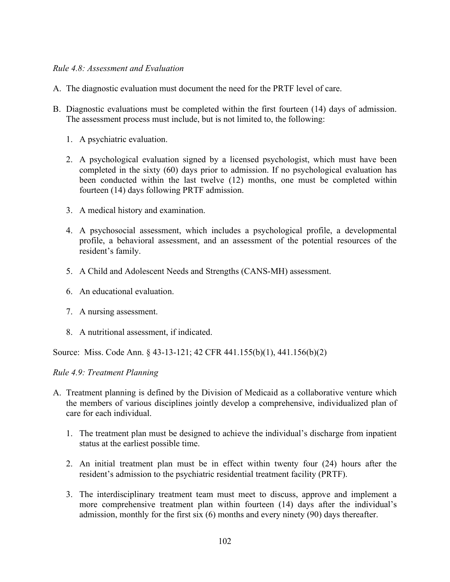### *Rule 4.8: Assessment and Evaluation*

- A. The diagnostic evaluation must document the need for the PRTF level of care.
- B. Diagnostic evaluations must be completed within the first fourteen (14) days of admission. The assessment process must include, but is not limited to, the following:
	- 1. A psychiatric evaluation.
	- 2. A psychological evaluation signed by a licensed psychologist, which must have been completed in the sixty (60) days prior to admission. If no psychological evaluation has been conducted within the last twelve (12) months, one must be completed within fourteen (14) days following PRTF admission.
	- 3. A medical history and examination.
	- 4. A psychosocial assessment, which includes a psychological profile, a developmental profile, a behavioral assessment, and an assessment of the potential resources of the resident's family.
	- 5. A Child and Adolescent Needs and Strengths (CANS-MH) assessment.
	- 6. An educational evaluation.
	- 7. A nursing assessment.
	- 8. A nutritional assessment, if indicated.

Source: Miss. Code Ann. § 43-13-121; 42 CFR 441.155(b)(1), 441.156(b)(2)

### *Rule 4.9: Treatment Planning*

- A. Treatment planning is defined by the Division of Medicaid as a collaborative venture which the members of various disciplines jointly develop a comprehensive, individualized plan of care for each individual.
	- 1. The treatment plan must be designed to achieve the individual's discharge from inpatient status at the earliest possible time.
	- 2. An initial treatment plan must be in effect within twenty four (24) hours after the resident's admission to the psychiatric residential treatment facility (PRTF).
	- 3. The interdisciplinary treatment team must meet to discuss, approve and implement a more comprehensive treatment plan within fourteen (14) days after the individual's admission, monthly for the first six (6) months and every ninety (90) days thereafter.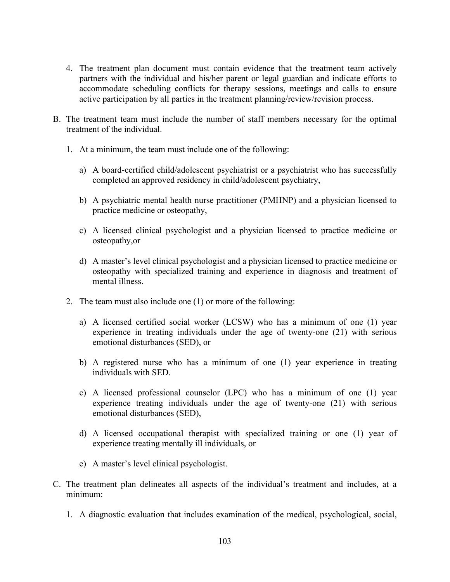- 4. The treatment plan document must contain evidence that the treatment team actively partners with the individual and his/her parent or legal guardian and indicate efforts to accommodate scheduling conflicts for therapy sessions, meetings and calls to ensure active participation by all parties in the treatment planning/review/revision process.
- B. The treatment team must include the number of staff members necessary for the optimal treatment of the individual.
	- 1. At a minimum, the team must include one of the following:
		- a) A board-certified child/adolescent psychiatrist or a psychiatrist who has successfully completed an approved residency in child/adolescent psychiatry,
		- b) A psychiatric mental health nurse practitioner (PMHNP) and a physician licensed to practice medicine or osteopathy,
		- c) A licensed clinical psychologist and a physician licensed to practice medicine or osteopathy,or
		- d) A master's level clinical psychologist and a physician licensed to practice medicine or osteopathy with specialized training and experience in diagnosis and treatment of mental illness.
	- 2. The team must also include one (1) or more of the following:
		- a) A licensed certified social worker (LCSW) who has a minimum of one (1) year experience in treating individuals under the age of twenty-one (21) with serious emotional disturbances (SED), or
		- b) A registered nurse who has a minimum of one (1) year experience in treating individuals with SED.
		- c) A licensed professional counselor (LPC) who has a minimum of one (1) year experience treating individuals under the age of twenty-one (21) with serious emotional disturbances (SED),
		- d) A licensed occupational therapist with specialized training or one (1) year of experience treating mentally ill individuals, or
		- e) A master's level clinical psychologist.
- C. The treatment plan delineates all aspects of the individual's treatment and includes, at a minimum:
	- 1. A diagnostic evaluation that includes examination of the medical, psychological, social,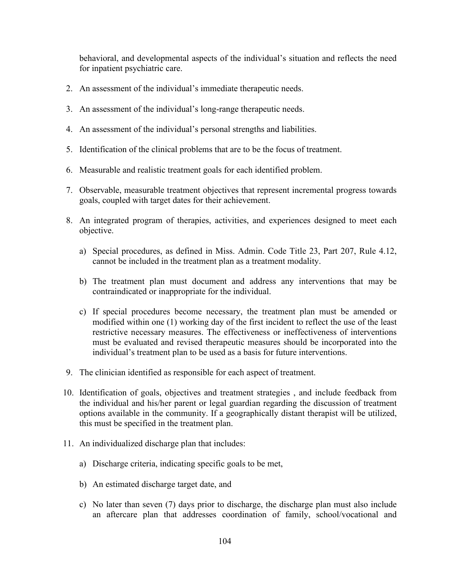behavioral, and developmental aspects of the individual's situation and reflects the need for inpatient psychiatric care.

- 2. An assessment of the individual's immediate therapeutic needs.
- 3. An assessment of the individual's long-range therapeutic needs.
- 4. An assessment of the individual's personal strengths and liabilities.
- 5. Identification of the clinical problems that are to be the focus of treatment.
- 6. Measurable and realistic treatment goals for each identified problem.
- 7. Observable, measurable treatment objectives that represent incremental progress towards goals, coupled with target dates for their achievement.
- 8. An integrated program of therapies, activities, and experiences designed to meet each objective.
	- a) Special procedures, as defined in Miss. Admin. Code Title 23, Part 207, Rule 4.12, cannot be included in the treatment plan as a treatment modality.
	- b) The treatment plan must document and address any interventions that may be contraindicated or inappropriate for the individual.
	- c) If special procedures become necessary, the treatment plan must be amended or modified within one (1) working day of the first incident to reflect the use of the least restrictive necessary measures. The effectiveness or ineffectiveness of interventions must be evaluated and revised therapeutic measures should be incorporated into the individual's treatment plan to be used as a basis for future interventions.
- 9. The clinician identified as responsible for each aspect of treatment.
- 10. Identification of goals, objectives and treatment strategies , and include feedback from the individual and his/her parent or legal guardian regarding the discussion of treatment options available in the community. If a geographically distant therapist will be utilized, this must be specified in the treatment plan.
- 11. An individualized discharge plan that includes:
	- a) Discharge criteria, indicating specific goals to be met,
	- b) An estimated discharge target date, and
	- c) No later than seven (7) days prior to discharge, the discharge plan must also include an aftercare plan that addresses coordination of family, school/vocational and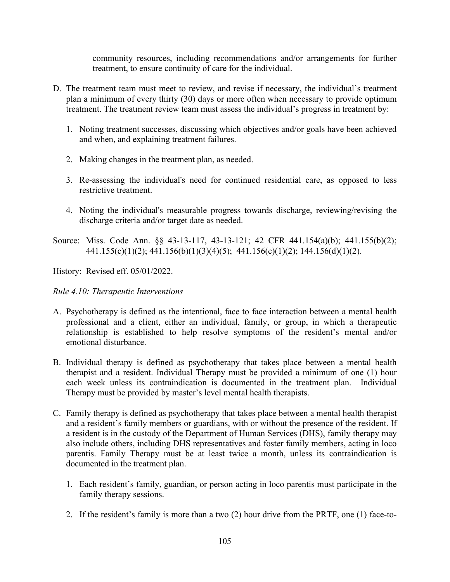community resources, including recommendations and/or arrangements for further treatment, to ensure continuity of care for the individual.

- D. The treatment team must meet to review, and revise if necessary, the individual's treatment plan a minimum of every thirty (30) days or more often when necessary to provide optimum treatment. The treatment review team must assess the individual's progress in treatment by:
	- 1. Noting treatment successes, discussing which objectives and/or goals have been achieved and when, and explaining treatment failures.
	- 2. Making changes in the treatment plan, as needed.
	- 3. Re-assessing the individual's need for continued residential care, as opposed to less restrictive treatment.
	- 4. Noting the individual's measurable progress towards discharge, reviewing/revising the discharge criteria and/or target date as needed.
- Source: Miss. Code Ann. §§ 43-13-117, 43-13-121; 42 CFR 441.154(a)(b); 441.155(b)(2);  $441.155(c)(1)(2); 441.156(b)(1)(3)(4)(5); 441.156(c)(1)(2); 144.156(d)(1)(2).$

History: Revised eff. 05/01/2022.

## *Rule 4.10: Therapeutic Interventions*

- A. Psychotherapy is defined as the intentional, face to face interaction between a mental health professional and a client, either an individual, family, or group, in which a therapeutic relationship is established to help resolve symptoms of the resident's mental and/or emotional disturbance.
- B. Individual therapy is defined as psychotherapy that takes place between a mental health therapist and a resident. Individual Therapy must be provided a minimum of one (1) hour each week unless its contraindication is documented in the treatment plan. Individual Therapy must be provided by master's level mental health therapists.
- C. Family therapy is defined as psychotherapy that takes place between a mental health therapist and a resident's family members or guardians, with or without the presence of the resident. If a resident is in the custody of the Department of Human Services (DHS), family therapy may also include others, including DHS representatives and foster family members, acting in loco parentis. Family Therapy must be at least twice a month, unless its contraindication is documented in the treatment plan.
	- 1. Each resident's family, guardian, or person acting in loco parentis must participate in the family therapy sessions.
	- 2. If the resident's family is more than a two (2) hour drive from the PRTF, one (1) face-to-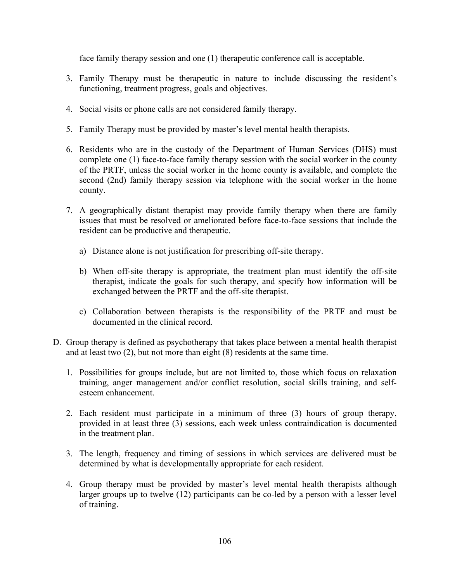face family therapy session and one (1) therapeutic conference call is acceptable.

- 3. Family Therapy must be therapeutic in nature to include discussing the resident's functioning, treatment progress, goals and objectives.
- 4. Social visits or phone calls are not considered family therapy.
- 5. Family Therapy must be provided by master's level mental health therapists.
- 6. Residents who are in the custody of the Department of Human Services (DHS) must complete one (1) face-to-face family therapy session with the social worker in the county of the PRTF, unless the social worker in the home county is available, and complete the second (2nd) family therapy session via telephone with the social worker in the home county.
- 7. A geographically distant therapist may provide family therapy when there are family issues that must be resolved or ameliorated before face-to-face sessions that include the resident can be productive and therapeutic.
	- a) Distance alone is not justification for prescribing off-site therapy.
	- b) When off-site therapy is appropriate, the treatment plan must identify the off-site therapist, indicate the goals for such therapy, and specify how information will be exchanged between the PRTF and the off-site therapist.
	- c) Collaboration between therapists is the responsibility of the PRTF and must be documented in the clinical record.
- D. Group therapy is defined as psychotherapy that takes place between a mental health therapist and at least two (2), but not more than eight (8) residents at the same time.
	- 1. Possibilities for groups include, but are not limited to, those which focus on relaxation training, anger management and/or conflict resolution, social skills training, and selfesteem enhancement.
	- 2. Each resident must participate in a minimum of three (3) hours of group therapy, provided in at least three (3) sessions, each week unless contraindication is documented in the treatment plan.
	- 3. The length, frequency and timing of sessions in which services are delivered must be determined by what is developmentally appropriate for each resident.
	- 4. Group therapy must be provided by master's level mental health therapists although larger groups up to twelve (12) participants can be co-led by a person with a lesser level of training.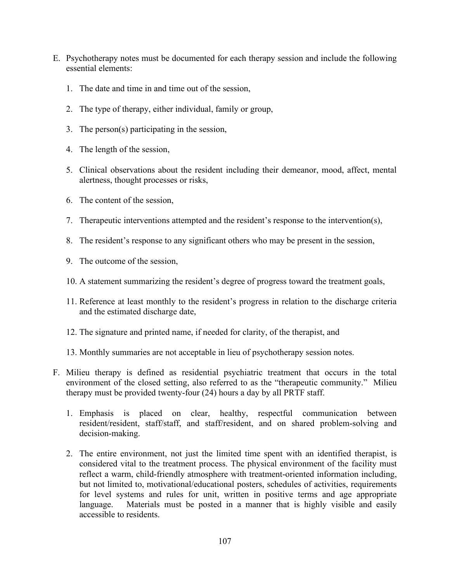- E. Psychotherapy notes must be documented for each therapy session and include the following essential elements:
	- 1. The date and time in and time out of the session,
	- 2. The type of therapy, either individual, family or group,
	- 3. The person(s) participating in the session,
	- 4. The length of the session,
	- 5. Clinical observations about the resident including their demeanor, mood, affect, mental alertness, thought processes or risks,
	- 6. The content of the session,
	- 7. Therapeutic interventions attempted and the resident's response to the intervention(s),
	- 8. The resident's response to any significant others who may be present in the session,
	- 9. The outcome of the session,
	- 10. A statement summarizing the resident's degree of progress toward the treatment goals,
	- 11. Reference at least monthly to the resident's progress in relation to the discharge criteria and the estimated discharge date,
	- 12. The signature and printed name, if needed for clarity, of the therapist, and
	- 13. Monthly summaries are not acceptable in lieu of psychotherapy session notes.
- F. Milieu therapy is defined as residential psychiatric treatment that occurs in the total environment of the closed setting, also referred to as the "therapeutic community." Milieu therapy must be provided twenty-four (24) hours a day by all PRTF staff.
	- 1. Emphasis is placed on clear, healthy, respectful communication between resident/resident, staff/staff, and staff/resident, and on shared problem-solving and decision-making.
	- 2. The entire environment, not just the limited time spent with an identified therapist, is considered vital to the treatment process. The physical environment of the facility must reflect a warm, child-friendly atmosphere with treatment-oriented information including, but not limited to, motivational/educational posters, schedules of activities, requirements for level systems and rules for unit, written in positive terms and age appropriate language. Materials must be posted in a manner that is highly visible and easily accessible to residents.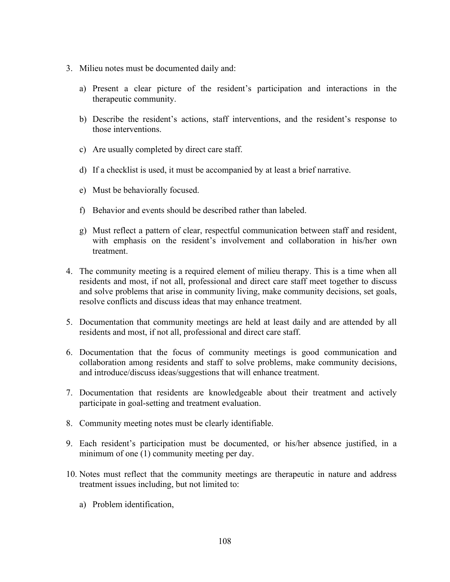- 3. Milieu notes must be documented daily and:
	- a) Present a clear picture of the resident's participation and interactions in the therapeutic community.
	- b) Describe the resident's actions, staff interventions, and the resident's response to those interventions.
	- c) Are usually completed by direct care staff.
	- d) If a checklist is used, it must be accompanied by at least a brief narrative.
	- e) Must be behaviorally focused.
	- f) Behavior and events should be described rather than labeled.
	- g) Must reflect a pattern of clear, respectful communication between staff and resident, with emphasis on the resident's involvement and collaboration in his/her own treatment.
- 4. The community meeting is a required element of milieu therapy. This is a time when all residents and most, if not all, professional and direct care staff meet together to discuss and solve problems that arise in community living, make community decisions, set goals, resolve conflicts and discuss ideas that may enhance treatment.
- 5. Documentation that community meetings are held at least daily and are attended by all residents and most, if not all, professional and direct care staff.
- 6. Documentation that the focus of community meetings is good communication and collaboration among residents and staff to solve problems, make community decisions, and introduce/discuss ideas/suggestions that will enhance treatment.
- 7. Documentation that residents are knowledgeable about their treatment and actively participate in goal-setting and treatment evaluation.
- 8. Community meeting notes must be clearly identifiable.
- 9. Each resident's participation must be documented, or his/her absence justified, in a minimum of one (1) community meeting per day.
- 10. Notes must reflect that the community meetings are therapeutic in nature and address treatment issues including, but not limited to:
	- a) Problem identification,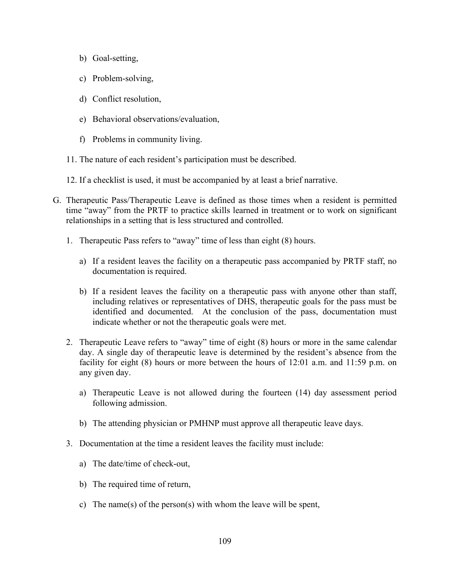- b) Goal-setting,
- c) Problem-solving,
- d) Conflict resolution,
- e) Behavioral observations/evaluation,
- f) Problems in community living.
- 11. The nature of each resident's participation must be described.
- 12. If a checklist is used, it must be accompanied by at least a brief narrative.
- G. Therapeutic Pass/Therapeutic Leave is defined as those times when a resident is permitted time "away" from the PRTF to practice skills learned in treatment or to work on significant relationships in a setting that is less structured and controlled.
	- 1. Therapeutic Pass refers to "away" time of less than eight (8) hours.
		- a) If a resident leaves the facility on a therapeutic pass accompanied by PRTF staff, no documentation is required.
		- b) If a resident leaves the facility on a therapeutic pass with anyone other than staff, including relatives or representatives of DHS, therapeutic goals for the pass must be identified and documented. At the conclusion of the pass, documentation must indicate whether or not the therapeutic goals were met.
	- 2. Therapeutic Leave refers to "away" time of eight (8) hours or more in the same calendar day. A single day of therapeutic leave is determined by the resident's absence from the facility for eight (8) hours or more between the hours of 12:01 a.m. and 11:59 p.m. on any given day.
		- a) Therapeutic Leave is not allowed during the fourteen (14) day assessment period following admission.
		- b) The attending physician or PMHNP must approve all therapeutic leave days.
	- 3. Documentation at the time a resident leaves the facility must include:
		- a) The date/time of check-out,
		- b) The required time of return,
		- c) The name(s) of the person(s) with whom the leave will be spent,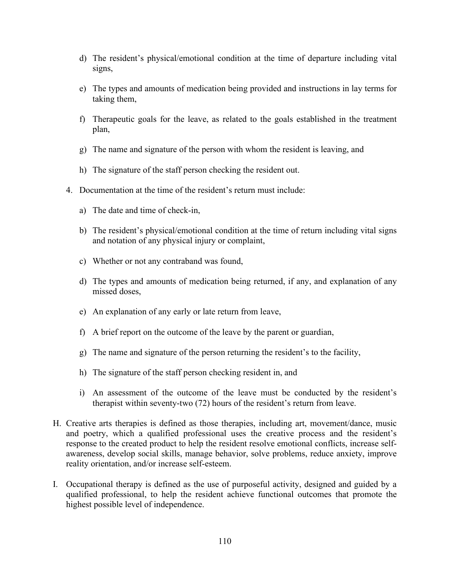- d) The resident's physical/emotional condition at the time of departure including vital signs,
- e) The types and amounts of medication being provided and instructions in lay terms for taking them,
- f) Therapeutic goals for the leave, as related to the goals established in the treatment plan,
- g) The name and signature of the person with whom the resident is leaving, and
- h) The signature of the staff person checking the resident out.
- 4. Documentation at the time of the resident's return must include:
	- a) The date and time of check-in,
	- b) The resident's physical/emotional condition at the time of return including vital signs and notation of any physical injury or complaint,
	- c) Whether or not any contraband was found,
	- d) The types and amounts of medication being returned, if any, and explanation of any missed doses,
	- e) An explanation of any early or late return from leave,
	- f) A brief report on the outcome of the leave by the parent or guardian,
	- g) The name and signature of the person returning the resident's to the facility,
	- h) The signature of the staff person checking resident in, and
	- i) An assessment of the outcome of the leave must be conducted by the resident's therapist within seventy-two (72) hours of the resident's return from leave.
- H. Creative arts therapies is defined as those therapies, including art, movement/dance, music and poetry, which a qualified professional uses the creative process and the resident's response to the created product to help the resident resolve emotional conflicts, increase selfawareness, develop social skills, manage behavior, solve problems, reduce anxiety, improve reality orientation, and/or increase self-esteem.
- I. Occupational therapy is defined as the use of purposeful activity, designed and guided by a qualified professional, to help the resident achieve functional outcomes that promote the highest possible level of independence.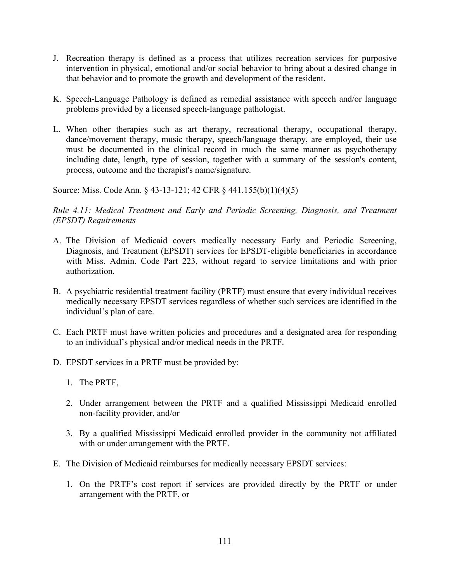- J. Recreation therapy is defined as a process that utilizes recreation services for purposive intervention in physical, emotional and/or social behavior to bring about a desired change in that behavior and to promote the growth and development of the resident.
- K. Speech-Language Pathology is defined as remedial assistance with speech and/or language problems provided by a licensed speech-language pathologist.
- L. When other therapies such as art therapy, recreational therapy, occupational therapy, dance/movement therapy, music therapy, speech/language therapy, are employed, their use must be documented in the clinical record in much the same manner as psychotherapy including date, length, type of session, together with a summary of the session's content, process, outcome and the therapist's name/signature.

Source: Miss. Code Ann. § 43-13-121; 42 CFR § 441.155(b)(1)(4)(5)

*Rule 4.11: Medical Treatment and Early and Periodic Screening, Diagnosis, and Treatment (EPSDT) Requirements*

- A. The Division of Medicaid covers medically necessary Early and Periodic Screening, Diagnosis, and Treatment (EPSDT) services for EPSDT-eligible beneficiaries in accordance with Miss. Admin. Code Part 223, without regard to service limitations and with prior authorization.
- B. A psychiatric residential treatment facility (PRTF) must ensure that every individual receives medically necessary EPSDT services regardless of whether such services are identified in the individual's plan of care.
- C. Each PRTF must have written policies and procedures and a designated area for responding to an individual's physical and/or medical needs in the PRTF.
- D. EPSDT services in a PRTF must be provided by:
	- 1. The PRTF,
	- 2. Under arrangement between the PRTF and a qualified Mississippi Medicaid enrolled non-facility provider, and/or
	- 3. By a qualified Mississippi Medicaid enrolled provider in the community not affiliated with or under arrangement with the PRTF.
- E. The Division of Medicaid reimburses for medically necessary EPSDT services:
	- 1. On the PRTF's cost report if services are provided directly by the PRTF or under arrangement with the PRTF, or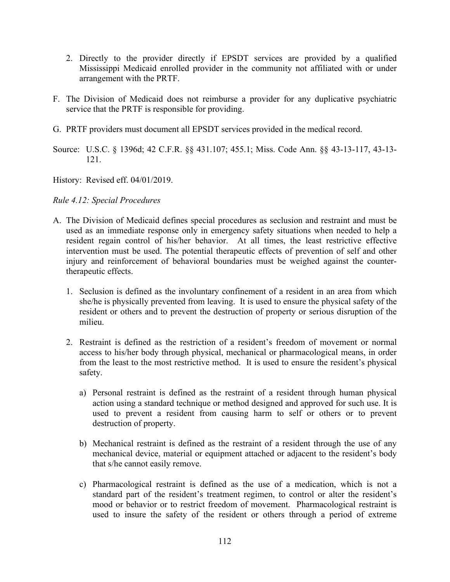- 2. Directly to the provider directly if EPSDT services are provided by a qualified Mississippi Medicaid enrolled provider in the community not affiliated with or under arrangement with the PRTF.
- F. The Division of Medicaid does not reimburse a provider for any duplicative psychiatric service that the PRTF is responsible for providing.
- G. PRTF providers must document all EPSDT services provided in the medical record.
- Source: U.S.C. § 1396d; 42 C.F.R. §§ 431.107; 455.1; Miss. Code Ann. §§ 43-13-117, 43-13- 121.

History: Revised eff. 04/01/2019.

### *Rule 4.12: Special Procedures*

- A. The Division of Medicaid defines special procedures as seclusion and restraint and must be used as an immediate response only in emergency safety situations when needed to help a resident regain control of his/her behavior. At all times, the least restrictive effective intervention must be used. The potential therapeutic effects of prevention of self and other injury and reinforcement of behavioral boundaries must be weighed against the countertherapeutic effects.
	- 1. Seclusion is defined as the involuntary confinement of a resident in an area from which she/he is physically prevented from leaving. It is used to ensure the physical safety of the resident or others and to prevent the destruction of property or serious disruption of the milieu.
	- 2. Restraint is defined as the restriction of a resident's freedom of movement or normal access to his/her body through physical, mechanical or pharmacological means, in order from the least to the most restrictive method. It is used to ensure the resident's physical safety.
		- a) Personal restraint is defined as the restraint of a resident through human physical action using a standard technique or method designed and approved for such use. It is used to prevent a resident from causing harm to self or others or to prevent destruction of property.
		- b) Mechanical restraint is defined as the restraint of a resident through the use of any mechanical device, material or equipment attached or adjacent to the resident's body that s/he cannot easily remove.
		- c) Pharmacological restraint is defined as the use of a medication, which is not a standard part of the resident's treatment regimen, to control or alter the resident's mood or behavior or to restrict freedom of movement. Pharmacological restraint is used to insure the safety of the resident or others through a period of extreme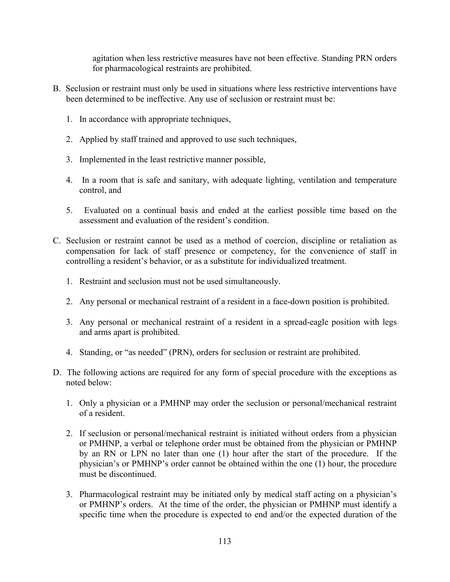agitation when less restrictive measures have not been effective. Standing PRN orders for pharmacological restraints are prohibited.

- B. Seclusion or restraint must only be used in situations where less restrictive interventions have been determined to be ineffective. Any use of seclusion or restraint must be:
	- 1. In accordance with appropriate techniques,
	- 2. Applied by staff trained and approved to use such techniques,
	- 3. Implemented in the least restrictive manner possible,
	- 4. In a room that is safe and sanitary, with adequate lighting, ventilation and temperature control, and
	- 5. Evaluated on a continual basis and ended at the earliest possible time based on the assessment and evaluation of the resident's condition.
- C. Seclusion or restraint cannot be used as a method of coercion, discipline or retaliation as compensation for lack of staff presence or competency, for the convenience of staff in controlling a resident's behavior, or as a substitute for individualized treatment.
	- 1. Restraint and seclusion must not be used simultaneously.
	- 2. Any personal or mechanical restraint of a resident in a face-down position is prohibited.
	- 3. Any personal or mechanical restraint of a resident in a spread-eagle position with legs and arms apart is prohibited.
	- 4. Standing, or "as needed" (PRN), orders for seclusion or restraint are prohibited.
- D. The following actions are required for any form of special procedure with the exceptions as noted below:
	- 1. Only a physician or a PMHNP may order the seclusion or personal/mechanical restraint of a resident.
	- 2. If seclusion or personal/mechanical restraint is initiated without orders from a physician or PMHNP, a verbal or telephone order must be obtained from the physician or PMHNP by an RN or LPN no later than one (1) hour after the start of the procedure. If the physician's or PMHNP's order cannot be obtained within the one (1) hour, the procedure must be discontinued.
	- 3. Pharmacological restraint may be initiated only by medical staff acting on a physician's or PMHNP's orders. At the time of the order, the physician or PMHNP must identify a specific time when the procedure is expected to end and/or the expected duration of the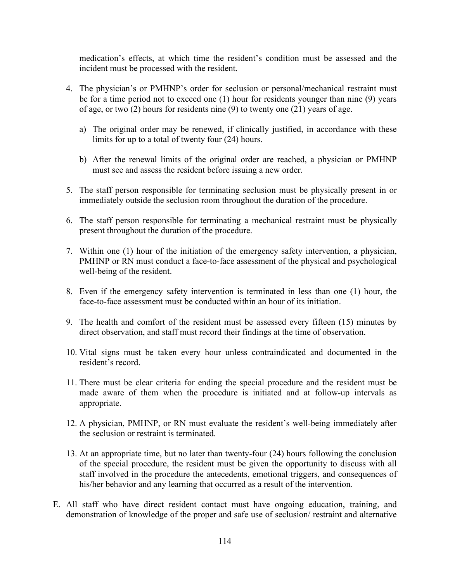medication's effects, at which time the resident's condition must be assessed and the incident must be processed with the resident.

- 4. The physician's or PMHNP's order for seclusion or personal/mechanical restraint must be for a time period not to exceed one (1) hour for residents younger than nine (9) years of age, or two (2) hours for residents nine (9) to twenty one (21) years of age.
	- a) The original order may be renewed, if clinically justified, in accordance with these limits for up to a total of twenty four (24) hours.
	- b) After the renewal limits of the original order are reached, a physician or PMHNP must see and assess the resident before issuing a new order.
- 5. The staff person responsible for terminating seclusion must be physically present in or immediately outside the seclusion room throughout the duration of the procedure.
- 6. The staff person responsible for terminating a mechanical restraint must be physically present throughout the duration of the procedure.
- 7. Within one (1) hour of the initiation of the emergency safety intervention, a physician, PMHNP or RN must conduct a face-to-face assessment of the physical and psychological well-being of the resident.
- 8. Even if the emergency safety intervention is terminated in less than one (1) hour, the face-to-face assessment must be conducted within an hour of its initiation.
- 9. The health and comfort of the resident must be assessed every fifteen (15) minutes by direct observation, and staff must record their findings at the time of observation.
- 10. Vital signs must be taken every hour unless contraindicated and documented in the resident's record.
- 11. There must be clear criteria for ending the special procedure and the resident must be made aware of them when the procedure is initiated and at follow-up intervals as appropriate.
- 12. A physician, PMHNP, or RN must evaluate the resident's well-being immediately after the seclusion or restraint is terminated.
- 13. At an appropriate time, but no later than twenty-four (24) hours following the conclusion of the special procedure, the resident must be given the opportunity to discuss with all staff involved in the procedure the antecedents, emotional triggers, and consequences of his/her behavior and any learning that occurred as a result of the intervention.
- E. All staff who have direct resident contact must have ongoing education, training, and demonstration of knowledge of the proper and safe use of seclusion/ restraint and alternative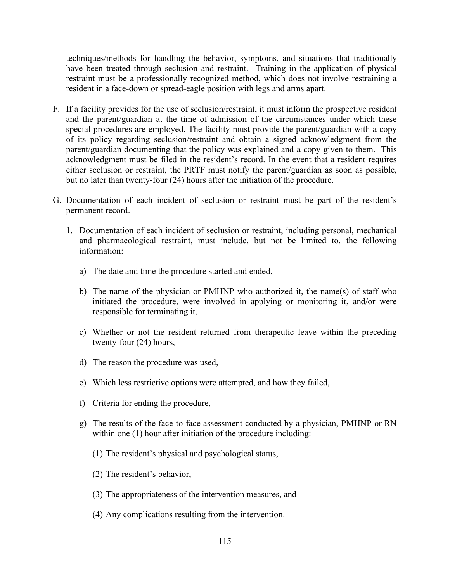techniques/methods for handling the behavior, symptoms, and situations that traditionally have been treated through seclusion and restraint. Training in the application of physical restraint must be a professionally recognized method, which does not involve restraining a resident in a face-down or spread-eagle position with legs and arms apart.

- F. If a facility provides for the use of seclusion/restraint, it must inform the prospective resident and the parent/guardian at the time of admission of the circumstances under which these special procedures are employed. The facility must provide the parent/guardian with a copy of its policy regarding seclusion/restraint and obtain a signed acknowledgment from the parent/guardian documenting that the policy was explained and a copy given to them. This acknowledgment must be filed in the resident's record. In the event that a resident requires either seclusion or restraint, the PRTF must notify the parent/guardian as soon as possible, but no later than twenty-four (24) hours after the initiation of the procedure.
- G. Documentation of each incident of seclusion or restraint must be part of the resident's permanent record.
	- 1. Documentation of each incident of seclusion or restraint, including personal, mechanical and pharmacological restraint, must include, but not be limited to, the following information:
		- a) The date and time the procedure started and ended,
		- b) The name of the physician or PMHNP who authorized it, the name(s) of staff who initiated the procedure, were involved in applying or monitoring it, and/or were responsible for terminating it,
		- c) Whether or not the resident returned from therapeutic leave within the preceding twenty-four (24) hours,
		- d) The reason the procedure was used,
		- e) Which less restrictive options were attempted, and how they failed,
		- f) Criteria for ending the procedure,
		- g) The results of the face-to-face assessment conducted by a physician, PMHNP or RN within one (1) hour after initiation of the procedure including:
			- (1) The resident's physical and psychological status,
			- (2) The resident's behavior,
			- (3) The appropriateness of the intervention measures, and
			- (4) Any complications resulting from the intervention.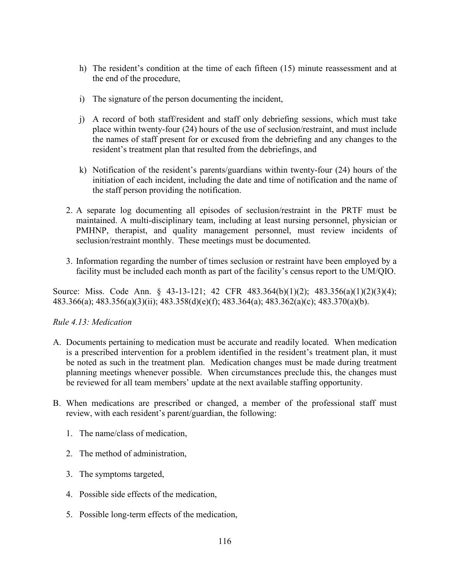- h) The resident's condition at the time of each fifteen (15) minute reassessment and at the end of the procedure,
- i) The signature of the person documenting the incident,
- j) A record of both staff/resident and staff only debriefing sessions, which must take place within twenty-four (24) hours of the use of seclusion/restraint, and must include the names of staff present for or excused from the debriefing and any changes to the resident's treatment plan that resulted from the debriefings, and
- k) Notification of the resident's parents/guardians within twenty-four (24) hours of the initiation of each incident, including the date and time of notification and the name of the staff person providing the notification.
- 2. A separate log documenting all episodes of seclusion/restraint in the PRTF must be maintained. A multi-disciplinary team, including at least nursing personnel, physician or PMHNP, therapist, and quality management personnel, must review incidents of seclusion/restraint monthly. These meetings must be documented.
- 3. Information regarding the number of times seclusion or restraint have been employed by a facility must be included each month as part of the facility's census report to the UM/QIO.

Source: Miss. Code Ann. § 43-13-121; 42 CFR 483.364(b)(1)(2); 483.356(a)(1)(2)(3)(4); 483.366(a); 483.356(a)(3)(ii); 483.358(d)(e)(f); 483.364(a); 483.362(a)(c); 483.370(a)(b).

### *Rule 4.13: Medication*

- A. Documents pertaining to medication must be accurate and readily located. When medication is a prescribed intervention for a problem identified in the resident's treatment plan, it must be noted as such in the treatment plan. Medication changes must be made during treatment planning meetings whenever possible. When circumstances preclude this, the changes must be reviewed for all team members' update at the next available staffing opportunity.
- B. When medications are prescribed or changed, a member of the professional staff must review, with each resident's parent/guardian, the following:
	- 1. The name/class of medication,
	- 2. The method of administration,
	- 3. The symptoms targeted,
	- 4. Possible side effects of the medication,
	- 5. Possible long-term effects of the medication,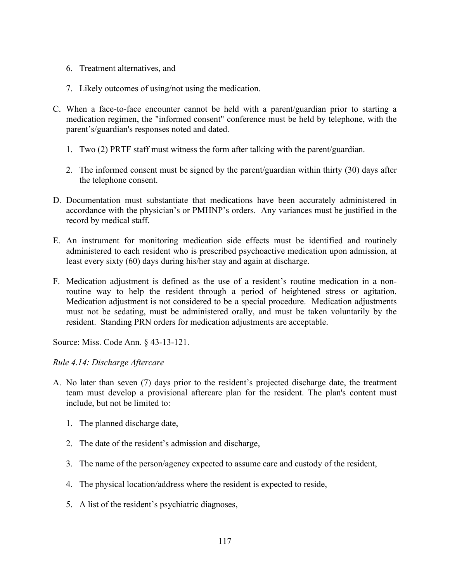- 6. Treatment alternatives, and
- 7. Likely outcomes of using/not using the medication.
- C. When a face-to-face encounter cannot be held with a parent/guardian prior to starting a medication regimen, the "informed consent" conference must be held by telephone, with the parent's/guardian's responses noted and dated.
	- 1. Two (2) PRTF staff must witness the form after talking with the parent/guardian.
	- 2. The informed consent must be signed by the parent/guardian within thirty (30) days after the telephone consent.
- D. Documentation must substantiate that medications have been accurately administered in accordance with the physician's or PMHNP's orders. Any variances must be justified in the record by medical staff.
- E. An instrument for monitoring medication side effects must be identified and routinely administered to each resident who is prescribed psychoactive medication upon admission, at least every sixty (60) days during his/her stay and again at discharge.
- F. Medication adjustment is defined as the use of a resident's routine medication in a nonroutine way to help the resident through a period of heightened stress or agitation. Medication adjustment is not considered to be a special procedure. Medication adjustments must not be sedating, must be administered orally, and must be taken voluntarily by the resident. Standing PRN orders for medication adjustments are acceptable.

Source: Miss. Code Ann. § 43-13-121.

# *Rule 4.14: Discharge Aftercare*

- A. No later than seven (7) days prior to the resident's projected discharge date, the treatment team must develop a provisional aftercare plan for the resident. The plan's content must include, but not be limited to:
	- 1. The planned discharge date,
	- 2. The date of the resident's admission and discharge,
	- 3. The name of the person/agency expected to assume care and custody of the resident,
	- 4. The physical location/address where the resident is expected to reside,
	- 5. A list of the resident's psychiatric diagnoses,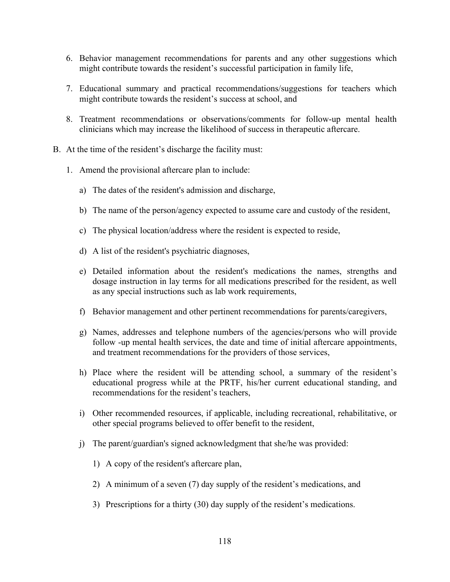- 6. Behavior management recommendations for parents and any other suggestions which might contribute towards the resident's successful participation in family life,
- 7. Educational summary and practical recommendations/suggestions for teachers which might contribute towards the resident's success at school, and
- 8. Treatment recommendations or observations/comments for follow-up mental health clinicians which may increase the likelihood of success in therapeutic aftercare.
- B. At the time of the resident's discharge the facility must:
	- 1. Amend the provisional aftercare plan to include:
		- a) The dates of the resident's admission and discharge,
		- b) The name of the person/agency expected to assume care and custody of the resident,
		- c) The physical location/address where the resident is expected to reside,
		- d) A list of the resident's psychiatric diagnoses,
		- e) Detailed information about the resident's medications the names, strengths and dosage instruction in lay terms for all medications prescribed for the resident, as well as any special instructions such as lab work requirements,
		- f) Behavior management and other pertinent recommendations for parents/caregivers,
		- g) Names, addresses and telephone numbers of the agencies/persons who will provide follow -up mental health services, the date and time of initial aftercare appointments, and treatment recommendations for the providers of those services,
		- h) Place where the resident will be attending school, a summary of the resident's educational progress while at the PRTF, his/her current educational standing, and recommendations for the resident's teachers,
		- i) Other recommended resources, if applicable, including recreational, rehabilitative, or other special programs believed to offer benefit to the resident,
		- j) The parent/guardian's signed acknowledgment that she/he was provided:
			- 1) A copy of the resident's aftercare plan,
			- 2) A minimum of a seven (7) day supply of the resident's medications, and
			- 3) Prescriptions for a thirty (30) day supply of the resident's medications.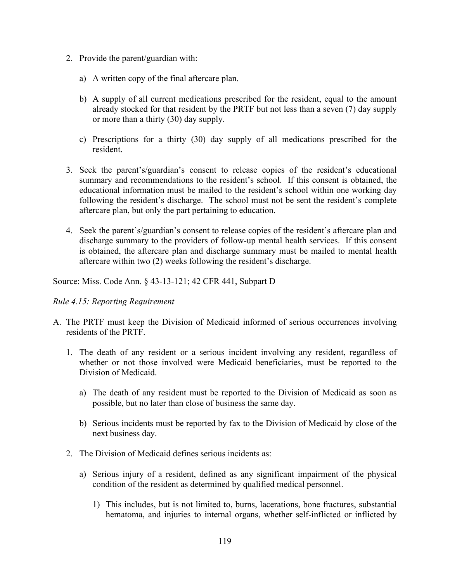- 2. Provide the parent/guardian with:
	- a) A written copy of the final aftercare plan.
	- b) A supply of all current medications prescribed for the resident, equal to the amount already stocked for that resident by the PRTF but not less than a seven (7) day supply or more than a thirty (30) day supply.
	- c) Prescriptions for a thirty (30) day supply of all medications prescribed for the resident.
- 3. Seek the parent's/guardian's consent to release copies of the resident's educational summary and recommendations to the resident's school. If this consent is obtained, the educational information must be mailed to the resident's school within one working day following the resident's discharge. The school must not be sent the resident's complete aftercare plan, but only the part pertaining to education.
- 4. Seek the parent's/guardian's consent to release copies of the resident's aftercare plan and discharge summary to the providers of follow-up mental health services. If this consent is obtained, the aftercare plan and discharge summary must be mailed to mental health aftercare within two (2) weeks following the resident's discharge.

Source: Miss. Code Ann. § 43-13-121; 42 CFR 441, Subpart D

### *Rule 4.15: Reporting Requirement*

- A. The PRTF must keep the Division of Medicaid informed of serious occurrences involving residents of the PRTF.
	- 1. The death of any resident or a serious incident involving any resident, regardless of whether or not those involved were Medicaid beneficiaries, must be reported to the Division of Medicaid.
		- a) The death of any resident must be reported to the Division of Medicaid as soon as possible, but no later than close of business the same day.
		- b) Serious incidents must be reported by fax to the Division of Medicaid by close of the next business day.
	- 2. The Division of Medicaid defines serious incidents as:
		- a) Serious injury of a resident, defined as any significant impairment of the physical condition of the resident as determined by qualified medical personnel.
			- 1) This includes, but is not limited to, burns, lacerations, bone fractures, substantial hematoma, and injuries to internal organs, whether self-inflicted or inflicted by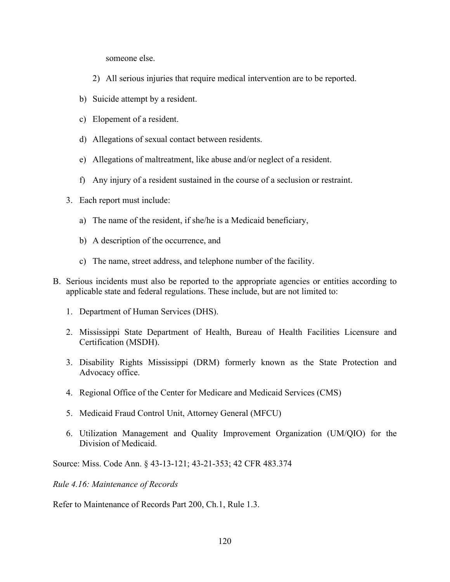someone else.

- 2) All serious injuries that require medical intervention are to be reported.
- b) Suicide attempt by a resident.
- c) Elopement of a resident.
- d) Allegations of sexual contact between residents.
- e) Allegations of maltreatment, like abuse and/or neglect of a resident.
- f) Any injury of a resident sustained in the course of a seclusion or restraint.
- 3. Each report must include:
	- a) The name of the resident, if she/he is a Medicaid beneficiary,
	- b) A description of the occurrence, and
	- c) The name, street address, and telephone number of the facility.
- B. Serious incidents must also be reported to the appropriate agencies or entities according to applicable state and federal regulations. These include, but are not limited to:
	- 1. Department of Human Services (DHS).
	- 2. Mississippi State Department of Health, Bureau of Health Facilities Licensure and Certification (MSDH).
	- 3. Disability Rights Mississippi (DRM) formerly known as the State Protection and Advocacy office.
	- 4. Regional Office of the Center for Medicare and Medicaid Services (CMS)
	- 5. Medicaid Fraud Control Unit, Attorney General (MFCU)
	- 6. Utilization Management and Quality Improvement Organization (UM/QIO) for the Division of Medicaid.

Source: Miss. Code Ann. § 43-13-121; 43-21-353; 42 CFR 483.374

*Rule 4.16: Maintenance of Records*

Refer to Maintenance of Records Part 200, Ch.1, Rule 1.3.